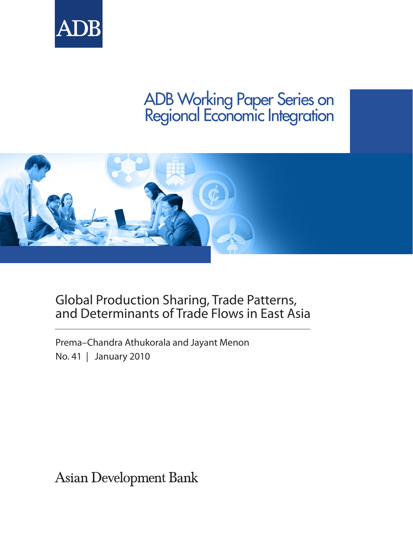

# ADB Working Paper Series on Regional Economic Integration



## Global Production Sharing, Trade Patterns, and Determinants of Trade Flows in East Asia

Prema–Chandra Athukorala and Jayant Menon No. 41 | January 2010

**Asian Development Bank**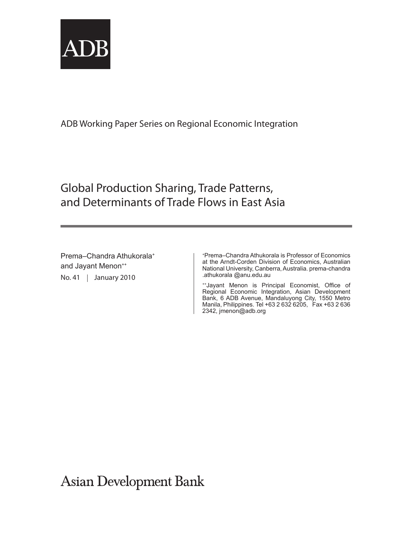

ADB Working Paper Series on Regional Economic Integration

## Global Production Sharing, Trade Patterns, and Determinants of Trade Flows in East Asia

Prema–Chandra Athukorala<sup>+</sup> and Jayant Menon<sup>++</sup> No. 41 January 2010

+Prema–Chandra Athukorala is Professor of Economics at the Arndt-Corden Division of Economics, Australian National University, Canberra, Australia. prema-chandra .athukorala @anu.edu.au

++Jayant Menon is Principal Economist, Office of Regional Economic Integration, Asian Development Bank, 6 ADB Avenue, Mandaluyong City, 1550 Metro Manila, Philippines. Tel +63 2 632 6205, Fax +63 2 636 2342, jmenon@adb.org

**Asian Development Bank**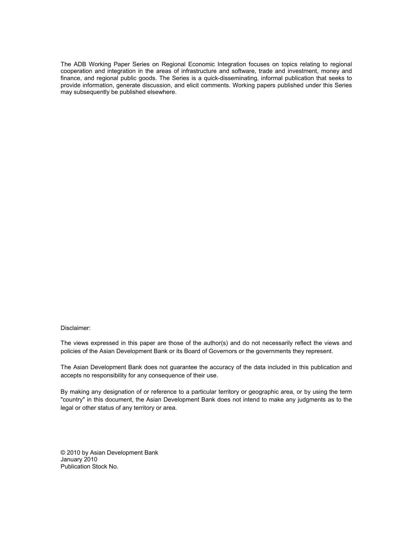The ADB Working Paper Series on Regional Economic Integration focuses on topics relating to regional cooperation and integration in the areas of infrastructure and software, trade and investment, money and finance, and regional public goods. The Series is a quick-disseminating, informal publication that seeks to provide information, generate discussion, and elicit comments. Working papers published under this Series may subsequently be published elsewhere.

#### Disclaimer:

The views expressed in this paper are those of the author(s) and do not necessarily reflect the views and policies of the Asian Development Bank or its Board of Governors or the governments they represent.

The Asian Development Bank does not guarantee the accuracy of the data included in this publication and accepts no responsibility for any consequence of their use.

By making any designation of or reference to a particular territory or geographic area, or by using the term "country" in this document, the Asian Development Bank does not intend to make any judgments as to the legal or other status of any territory or area.

© 2010 by Asian Development Bank January 2010 Publication Stock No.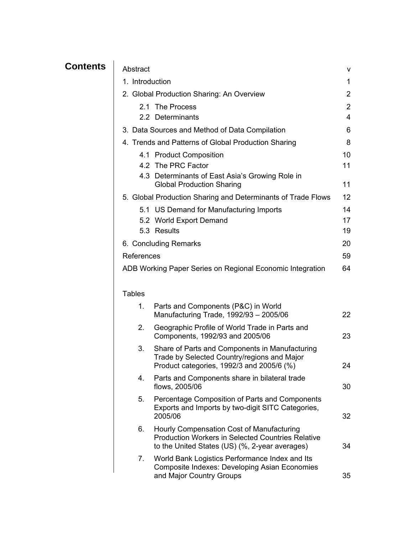| Abstract        |                                                                                                                                            | v               |
|-----------------|--------------------------------------------------------------------------------------------------------------------------------------------|-----------------|
| 1. Introduction |                                                                                                                                            | 1               |
|                 | 2. Global Production Sharing: An Overview                                                                                                  | 2               |
|                 | 2.1 The Process                                                                                                                            | $\overline{2}$  |
|                 | 2.2 Determinants                                                                                                                           | $\overline{4}$  |
|                 | 3. Data Sources and Method of Data Compilation                                                                                             | 6               |
|                 | 4. Trends and Patterns of Global Production Sharing                                                                                        | 8               |
|                 | 4.1 Product Composition                                                                                                                    | 10 <sup>1</sup> |
|                 | 4.2 The PRC Factor                                                                                                                         | 11              |
|                 | 4.3 Determinants of East Asia's Growing Role in<br><b>Global Production Sharing</b>                                                        | 11              |
|                 | 5. Global Production Sharing and Determinants of Trade Flows                                                                               | 12 <sup>2</sup> |
|                 | 5.1 US Demand for Manufacturing Imports                                                                                                    | 14              |
|                 | 5.2 World Export Demand                                                                                                                    | 17              |
|                 | 5.3 Results                                                                                                                                | 19              |
|                 | 6. Concluding Remarks                                                                                                                      | 20              |
| References      |                                                                                                                                            | 59              |
|                 | ADB Working Paper Series on Regional Economic Integration                                                                                  | 64              |
| <b>Tables</b>   |                                                                                                                                            |                 |
| 1.              | Parts and Components (P&C) in World<br>Manufacturing Trade, 1992/93 - 2005/06                                                              | 22              |
| 2.              | Geographic Profile of World Trade in Parts and<br>Components, 1992/93 and 2005/06                                                          | 23              |
| 3.              | Share of Parts and Components in Manufacturing<br>Trade by Selected Country/regions and Major<br>Product categories, 1992/3 and 2005/6 (%) | 24              |
| 4.              | Parts and Components share in bilateral trade<br>flows, 2005/06                                                                            | 30              |

- 5. Percentage Composition of Parts and Components Exports and Imports by two-digit SITC Categories, 2005/06 32 6. Hourly Compensation Cost of Manufacturing
- Production Workers in Selected Countries Relative to the United States (US) (%, 2-year averages) 34 7. World Bank Logistics Performance Index and Its
- Composite Indexes: Developing Asian Economies and Major Country Groups 35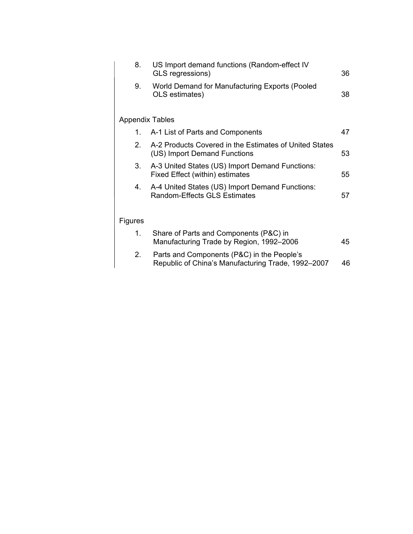| 8.                     | US Import demand functions (Random-effect IV<br>GLS regressions)                                 | 36 |
|------------------------|--------------------------------------------------------------------------------------------------|----|
| 9.                     | World Demand for Manufacturing Exports (Pooled<br>OLS estimates)                                 | 38 |
| <b>Appendix Tables</b> |                                                                                                  |    |
|                        | 1. A-1 List of Parts and Components                                                              | 47 |
| 2                      | A-2 Products Covered in the Estimates of United States<br>(US) Import Demand Functions           | 53 |
| 3.                     | A-3 United States (US) Import Demand Functions:<br>Fixed Effect (within) estimates               | 55 |
| 4.                     | A-4 United States (US) Import Demand Functions:<br><b>Random-Effects GLS Estimates</b>           | 57 |
| <b>Figures</b>         |                                                                                                  |    |
| 1.                     | Share of Parts and Components (P&C) in<br>Manufacturing Trade by Region, 1992-2006               | 45 |
| 2.                     | Parts and Components (P&C) in the People's<br>Republic of China's Manufacturing Trade, 1992–2007 | 46 |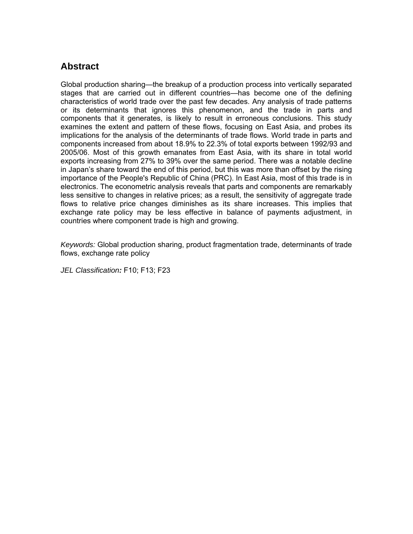## **Abstract**

Global production sharing—the breakup of a production process into vertically separated stages that are carried out in different countries—has become one of the defining characteristics of world trade over the past few decades. Any analysis of trade patterns or its determinants that ignores this phenomenon, and the trade in parts and components that it generates, is likely to result in erroneous conclusions. This study examines the extent and pattern of these flows, focusing on East Asia, and probes its implications for the analysis of the determinants of trade flows. World trade in parts and components increased from about 18.9% to 22.3% of total exports between 1992/93 and 2005/06. Most of this growth emanates from East Asia, with its share in total world exports increasing from 27% to 39% over the same period. There was a notable decline in Japan's share toward the end of this period, but this was more than offset by the rising importance of the People's Republic of China (PRC). In East Asia, most of this trade is in electronics. The econometric analysis reveals that parts and components are remarkably less sensitive to changes in relative prices; as a result, the sensitivity of aggregate trade flows to relative price changes diminishes as its share increases. This implies that exchange rate policy may be less effective in balance of payments adjustment, in countries where component trade is high and growing.

*Keywords:* Global production sharing, product fragmentation trade, determinants of trade flows, exchange rate policy

*JEL Classification:* F10; F13; F23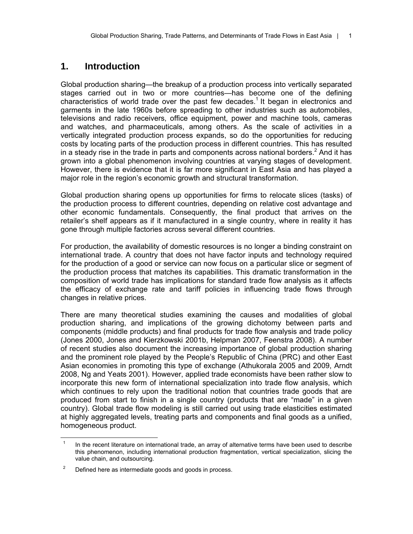## **1. Introduction**

Global production sharing—the breakup of a production process into vertically separated stages carried out in two or more countries—has become one of the defining characteristics of world trade over the past few decades.<sup>1</sup> It began in electronics and garments in the late 1960s before spreading to other industries such as automobiles, televisions and radio receivers, office equipment, power and machine tools, cameras and watches, and pharmaceuticals, among others. As the scale of activities in a vertically integrated production process expands, so do the opportunities for reducing costs by locating parts of the production process in different countries. This has resulted in a steady rise in the trade in parts and components across national borders.<sup>2</sup> And it has grown into a global phenomenon involving countries at varying stages of development. However, there is evidence that it is far more significant in East Asia and has played a major role in the region's economic growth and structural transformation.

Global production sharing opens up opportunities for firms to relocate slices (tasks) of the production process to different countries, depending on relative cost advantage and other economic fundamentals. Consequently, the final product that arrives on the retailer's shelf appears as if it manufactured in a single country, where in reality it has gone through multiple factories across several different countries.

For production, the availability of domestic resources is no longer a binding constraint on international trade. A country that does not have factor inputs and technology required for the production of a good or service can now focus on a particular slice or segment of the production process that matches its capabilities. This dramatic transformation in the composition of world trade has implications for standard trade flow analysis as it affects the efficacy of exchange rate and tariff policies in influencing trade flows through changes in relative prices.

There are many theoretical studies examining the causes and modalities of global production sharing, and implications of the growing dichotomy between parts and components (middle products) and final products for trade flow analysis and trade policy (Jones 2000, Jones and Kierzkowski 2001b, Helpman 2007, Feenstra 2008). A number of recent studies also document the increasing importance of global production sharing and the prominent role played by the People's Republic of China (PRC) and other East Asian economies in promoting this type of exchange (Athukorala 2005 and 2009, Arndt 2008, Ng and Yeats 2001). However, applied trade economists have been rather slow to incorporate this new form of international specialization into trade flow analysis, which which continues to rely upon the traditional notion that countries trade goods that are produced from start to finish in a single country (products that are "made" in a given country). Global trade flow modeling is still carried out using trade elasticities estimated at highly aggregated levels, treating parts and components and final goods as a unified, homogeneous product.

 1 In the recent literature on international trade, an array of alternative terms have been used to describe this phenomenon, including international production fragmentation, vertical specialization, slicing the value chain, and outsourcing.

<sup>2</sup> Defined here as intermediate goods and goods in process.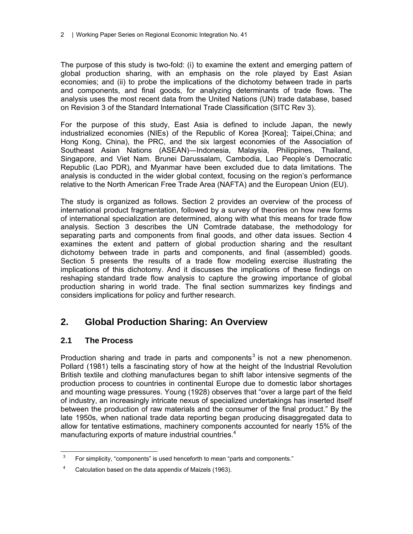The purpose of this study is two-fold: (i) to examine the extent and emerging pattern of global production sharing, with an emphasis on the role played by East Asian economies; and (ii) to probe the implications of the dichotomy between trade in parts and components, and final goods, for analyzing determinants of trade flows. The analysis uses the most recent data from the United Nations (UN) trade database, based on Revision 3 of the Standard International Trade Classification (SITC Rev 3).

For the purpose of this study, East Asia is defined to include Japan, the newly industrialized economies (NIEs) of the Republic of Korea [Korea]; Taipei,China; and Hong Kong, China), the PRC, and the six largest economies of the Association of Southeast Asian Nations (ASEAN)―Indonesia, Malaysia, Philippines, Thailand, Singapore, and Viet Nam. Brunei Darussalam, Cambodia, Lao People's Democratic Republic (Lao PDR), and Myanmar have been excluded due to data limitations. The analysis is conducted in the wider global context, focusing on the region's performance relative to the North American Free Trade Area (NAFTA) and the European Union (EU).

The study is organized as follows. Section 2 provides an overview of the process of international product fragmentation, followed by a survey of theories on how new forms of international specialization are determined, along with what this means for trade flow analysis. Section 3 describes the UN Comtrade database, the methodology for separating parts and components from final goods, and other data issues. Section 4 examines the extent and pattern of global production sharing and the resultant dichotomy between trade in parts and components, and final (assembled) goods. Section 5 presents the results of a trade flow modeling exercise illustrating the implications of this dichotomy. And it discusses the implications of these findings on reshaping standard trade flow analysis to capture the growing importance of global production sharing in world trade. The final section summarizes key findings and considers implications for policy and further research.

## **2. Global Production Sharing: An Overview**

#### **2.1 The Process**

Production sharing and trade in parts and components<sup>3</sup> is not a new phenomenon. Pollard (1981) tells a fascinating story of how at the height of the Industrial Revolution British textile and clothing manufactures began to shift labor intensive segments of the production process to countries in continental Europe due to domestic labor shortages and mounting wage pressures. Young (1928) observes that "over a large part of the field of industry, an increasingly intricate nexus of specialized undertakings has inserted itself between the production of raw materials and the consumer of the final product." By the late 1950s, when national trade data reporting began producing disaggregated data to allow for tentative estimations, machinery components accounted for nearly 15% of the manufacturing exports of mature industrial countries.<sup>4</sup>

 $\overline{3}$ For simplicity, "components" is used henceforth to mean "parts and components."

<sup>4</sup> Calculation based on the data appendix of Maizels (1963).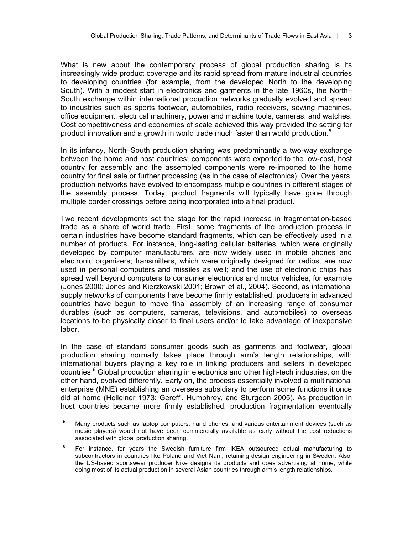What is new about the contemporary process of global production sharing is its increasingly wide product coverage and its rapid spread from mature industrial countries to developing countries (for example, from the developed North to the developing South). With a modest start in electronics and garments in the late 1960s, the North– South exchange within international production networks gradually evolved and spread to industries such as sports footwear, automobiles, radio receivers, sewing machines, office equipment, electrical machinery, power and machine tools, cameras, and watches. Cost competitiveness and economies of scale achieved this way provided the setting for product innovation and a growth in world trade much faster than world production.<sup>5</sup>

In its infancy, North–South production sharing was predominantly a two-way exchange between the home and host countries; components were exported to the low-cost, host country for assembly and the assembled components were re-imported to the home country for final sale or further processing (as in the case of electronics). Over the years, production networks have evolved to encompass multiple countries in different stages of the assembly process. Today, product fragments will typically have gone through multiple border crossings before being incorporated into a final product.

Two recent developments set the stage for the rapid increase in fragmentation-based trade as a share of world trade. First, some fragments of the production process in certain industries have become standard fragments, which can be effectively used in a number of products. For instance, long-lasting cellular batteries, which were originally developed by computer manufacturers, are now widely used in mobile phones and electronic organizers; transmitters, which were originally designed for radios, are now used in personal computers and missiles as well; and the use of electronic chips has spread well beyond computers to consumer electronics and motor vehicles, for example (Jones 2000; Jones and Kierzkowski 2001; Brown et al., 2004). Second, as international supply networks of components have become firmly established, producers in advanced countries have begun to move final assembly of an increasing range of consumer durables (such as computers, cameras, televisions, and automobiles) to overseas locations to be physically closer to final users and/or to take advantage of inexpensive labor.

In the case of standard consumer goods such as garments and footwear, global production sharing normally takes place through arm's length relationships, with international buyers playing a key role in linking producers and sellers in developed countries.<sup>6</sup> Global production sharing in electronics and other high-tech industries, on the other hand, evolved differently. Early on, the process essentially involved a multinational enterprise (MNE) establishing an overseas subsidiary to perform some functions it once did at home (Helleiner 1973; Gereffi, Humphrey, and Sturgeon 2005). As production in host countries became more firmly established, production fragmentation eventually

 5 Many products such as laptop computers, hand phones, and various entertainment devices (such as music players) would not have been commercially available as early without the cost reductions associated with global production sharing.

<sup>6</sup> For instance, for years the Swedish furniture firm IKEA outsourced actual manufacturing to subcontractors in countries like Poland and Viet Nam, retaining design engineering in Sweden. Also, the US-based sportswear producer Nike designs its products and does advertising at home, while doing most of its actual production in several Asian countries through arm's length relationships.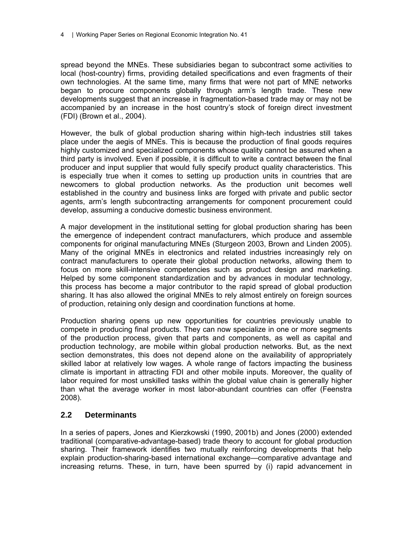spread beyond the MNEs. These subsidiaries began to subcontract some activities to local (host-country) firms, providing detailed specifications and even fragments of their own technologies. At the same time, many firms that were not part of MNE networks began to procure components globally through arm's length trade. These new developments suggest that an increase in fragmentation-based trade may or may not be accompanied by an increase in the host country's stock of foreign direct investment (FDI) (Brown et al., 2004).

However, the bulk of global production sharing within high-tech industries still takes place under the aegis of MNEs. This is because the production of final goods requires highly customized and specialized components whose quality cannot be assured when a third party is involved. Even if possible, it is difficult to write a contract between the final producer and input supplier that would fully specify product quality characteristics. This is especially true when it comes to setting up production units in countries that are newcomers to global production networks. As the production unit becomes well established in the country and business links are forged with private and public sector agents, arm's length subcontracting arrangements for component procurement could develop, assuming a conducive domestic business environment.

A major development in the institutional setting for global production sharing has been the emergence of independent contract manufacturers, which produce and assemble components for original manufacturing MNEs (Sturgeon 2003, Brown and Linden 2005). Many of the original MNEs in electronics and related industries increasingly rely on contract manufacturers to operate their global production networks, allowing them to focus on more skill-intensive competencies such as product design and marketing. Helped by some component standardization and by advances in modular technology, this process has become a major contributor to the rapid spread of global production sharing. It has also allowed the original MNEs to rely almost entirely on foreign sources of production, retaining only design and coordination functions at home.

Production sharing opens up new opportunities for countries previously unable to compete in producing final products. They can now specialize in one or more segments of the production process, given that parts and components, as well as capital and production technology, are mobile within global production networks. But, as the next section demonstrates, this does not depend alone on the availability of appropriately skilled labor at relatively low wages. A whole range of factors impacting the business climate is important in attracting FDI and other mobile inputs. Moreover, the quality of labor required for most unskilled tasks within the global value chain is generally higher than what the average worker in most labor-abundant countries can offer (Feenstra 2008).

#### **2.2 Determinants**

In a series of papers, Jones and Kierzkowski (1990, 2001b) and Jones (2000) extended traditional (comparative-advantage-based) trade theory to account for global production sharing. Their framework identifies two mutually reinforcing developments that help explain production-sharing-based international exchange—comparative advantage and increasing returns. These, in turn, have been spurred by (i) rapid advancement in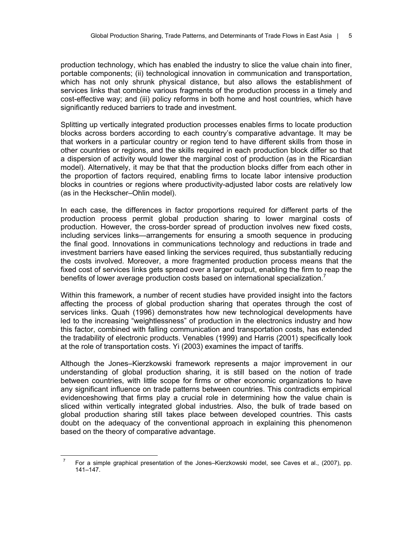production technology, which has enabled the industry to slice the value chain into finer, portable components; (ii) technological innovation in communication and transportation, which has not only shrunk physical distance, but also allows the establishment of services links that combine various fragments of the production process in a timely and cost-effective way; and (iii) policy reforms in both home and host countries, which have significantly reduced barriers to trade and investment.

Splitting up vertically integrated production processes enables firms to locate production blocks across borders according to each country's comparative advantage. It may be that workers in a particular country or region tend to have different skills from those in other countries or regions, and the skills required in each production block differ so that a dispersion of activity would lower the marginal cost of production (as in the Ricardian model). Alternatively, it may be that that the production blocks differ from each other in the proportion of factors required, enabling firms to locate labor intensive production blocks in countries or regions where productivity-adjusted labor costs are relatively low (as in the Heckscher–Ohlin model).

In each case, the differences in factor proportions required for different parts of the production process permit global production sharing to lower marginal costs of production. However, the cross-border spread of production involves new fixed costs, including services links—arrangements for ensuring a smooth sequence in producing the final good. Innovations in communications technology and reductions in trade and investment barriers have eased linking the services required, thus substantially reducing the costs involved. Moreover, a more fragmented production process means that the fixed cost of services links gets spread over a larger output, enabling the firm to reap the benefits of lower average production costs based on international specialization.<sup>7</sup>

Within this framework, a number of recent studies have provided insight into the factors affecting the process of global production sharing that operates through the cost of services links. Quah (1996) demonstrates how new technological developments have led to the increasing "weightlessness" of production in the electronics industry and how this factor, combined with falling communication and transportation costs, has extended the tradability of electronic products. Venables (1999) and Harris (2001) specifically look at the role of transportation costs. Yi (2003) examines the impact of tariffs.

Although the Jones–Kierzkowski framework represents a major improvement in our understanding of global production sharing, it is still based on the notion of trade between countries, with little scope for firms or other economic organizations to have any significant influence on trade patterns between countries. This contradicts empirical evidenceshowing that firms play a crucial role in determining how the value chain is sliced within vertically integrated global industries. Also, the bulk of trade based on global production sharing still takes place between developed countries. This casts doubt on the adequacy of the conventional approach in explaining this phenomenon based on the theory of comparative advantage.

 $\overline{a}$ 7 For a simple graphical presentation of the Jones–Kierzkowski model, see Caves et al., (2007), pp. 141–147.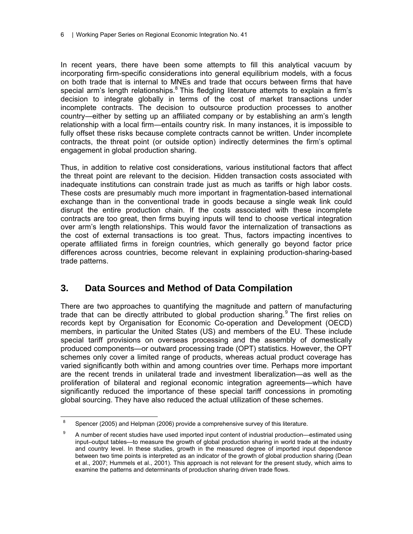In recent years, there have been some attempts to fill this analytical vacuum by incorporating firm-specific considerations into general equilibrium models, with a focus on both trade that is internal to MNEs and trade that occurs between firms that have special arm's length relationships. $8$  This fledgling literature attempts to explain a firm's decision to integrate globally in terms of the cost of market transactions under incomplete contracts. The decision to outsource production processes to another country―either by setting up an affiliated company or by establishing an arm's length relationship with a local firm―entails country risk. In many instances, it is impossible to fully offset these risks because complete contracts cannot be written. Under incomplete contracts, the threat point (or outside option) indirectly determines the firm's optimal engagement in global production sharing.

Thus, in addition to relative cost considerations, various institutional factors that affect the threat point are relevant to the decision. Hidden transaction costs associated with inadequate institutions can constrain trade just as much as tariffs or high labor costs. These costs are presumably much more important in fragmentation-based international exchange than in the conventional trade in goods because a single weak link could disrupt the entire production chain. If the costs associated with these incomplete contracts are too great, then firms buying inputs will tend to choose vertical integration over arm's length relationships. This would favor the internalization of transactions as the cost of external transactions is too great. Thus, factors impacting incentives to operate affiliated firms in foreign countries, which generally go beyond factor price differences across countries, become relevant in explaining production-sharing-based trade patterns.

### **3. Data Sources and Method of Data Compilation**

There are two approaches to quantifying the magnitude and pattern of manufacturing trade that can be directly attributed to global production sharing.<sup>9</sup> The first relies on records kept by Organisation for Economic Co-operation and Development (OECD) members, in particular the United States (US) and members of the EU. These include special tariff provisions on overseas processing and the assembly of domestically produced components—or outward processing trade (OPT) statistics. However, the OPT schemes only cover a limited range of products, whereas actual product coverage has varied significantly both within and among countries over time. Perhaps more important are the recent trends in unilateral trade and investment liberalization—as well as the proliferation of bilateral and regional economic integration agreements—which have significantly reduced the importance of these special tariff concessions in promoting global sourcing. They have also reduced the actual utilization of these schemes.

 $\overline{a}$ 8 Spencer (2005) and Helpman (2006) provide a comprehensive survey of this literature.

<sup>9</sup> A number of recent studies have used imported input content of industrial production—estimated using input–output tables—to measure the growth of global production sharing in world trade at the industry and country level. In these studies, growth in the measured degree of imported input dependence between two time points is interpreted as an indicator of the growth of global production sharing (Dean et al., 2007; Hummels et al., 2001). This approach is not relevant for the present study, which aims to examine the patterns and determinants of production sharing driven trade flows.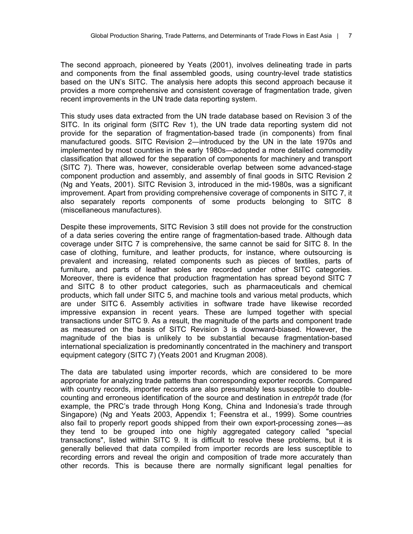The second approach, pioneered by Yeats (2001), involves delineating trade in parts and components from the final assembled goods, using country-level trade statistics based on the UN's SITC. The analysis here adopts this second approach because it provides a more comprehensive and consistent coverage of fragmentation trade, given recent improvements in the UN trade data reporting system.

This study uses data extracted from the UN trade database based on Revision 3 of the SITC. In its original form (SITC Rev 1), the UN trade data reporting system did not provide for the separation of fragmentation-based trade (in components) from final manufactured goods. SITC Revision 2―introduced by the UN in the late 1970s and implemented by most countries in the early 1980s―adopted a more detailed commodity classification that allowed for the separation of components for machinery and transport (SITC 7). There was, however, considerable overlap between some advanced-stage component production and assembly, and assembly of final goods in SITC Revision 2 (Ng and Yeats, 2001). SITC Revision 3, introduced in the mid-1980s, was a significant improvement. Apart from providing comprehensive coverage of components in SITC 7, it also separately reports components of some products belonging to SITC 8 (miscellaneous manufactures).

Despite these improvements, SITC Revision 3 still does not provide for the construction of a data series covering the entire range of fragmentation-based trade. Although data coverage under SITC 7 is comprehensive, the same cannot be said for SITC 8. In the case of clothing, furniture, and leather products, for instance, where outsourcing is prevalent and increasing, related components such as pieces of textiles, parts of furniture, and parts of leather soles are recorded under other SITC categories. Moreover, there is evidence that production fragmentation has spread beyond SITC 7 and SITC 8 to other product categories, such as pharmaceuticals and chemical products, which fall under SITC 5, and machine tools and various metal products, which are under SITC 6. Assembly activities in software trade have likewise recorded impressive expansion in recent years. These are lumped together with special transactions under SITC 9. As a result, the magnitude of the parts and component trade as measured on the basis of SITC Revision 3 is downward-biased. However, the magnitude of the bias is unlikely to be substantial because fragmentation-based international specialization is predominantly concentrated in the machinery and transport equipment category (SITC 7) (Yeats 2001 and Krugman 2008).

The data are tabulated using importer records, which are considered to be more appropriate for analyzing trade patterns than corresponding exporter records. Compared with country records, importer records are also presumably less susceptible to doublecounting and erroneous identification of the source and destination in *entrepôt* trade (for example, the PRC's trade through Hong Kong, China and Indonesia's trade through Singapore) (Ng and Yeats 2003, Appendix 1; Feenstra et al., 1999). Some countries also fail to properly report goods shipped from their own export-processing zones—as they tend to be grouped into one highly aggregated category called "special transactions", listed within SITC 9. It is difficult to resolve these problems, but it is generally believed that data compiled from importer records are less susceptible to recording errors and reveal the origin and composition of trade more accurately than other records. This is because there are normally significant legal penalties for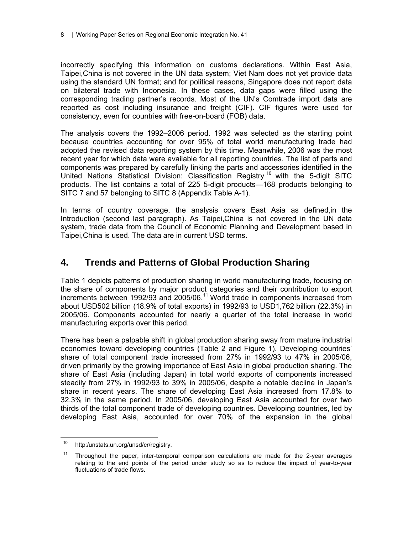incorrectly specifying this information on customs declarations. Within East Asia, Taipei,China is not covered in the UN data system; Viet Nam does not yet provide data using the standard UN format; and for political reasons, Singapore does not report data on bilateral trade with Indonesia. In these cases, data gaps were filled using the corresponding trading partner's records. Most of the UN's Comtrade import data are reported as cost including insurance and freight (CIF). CIF figures were used for consistency, even for countries with free-on-board (FOB) data.

The analysis covers the 1992–2006 period. 1992 was selected as the starting point because countries accounting for over 95% of total world manufacturing trade had adopted the revised data reporting system by this time. Meanwhile, 2006 was the most recent year for which data were available for all reporting countries. The list of parts and components was prepared by carefully linking the parts and accessories identified in the United Nations Statistical Division: Classification Registry<sup>10</sup> with the 5-digit SITC products. The list contains a total of 225 5-digit products—168 products belonging to SITC 7 and 57 belonging to SITC 8 (Appendix Table A-1).

In terms of country coverage, the analysis covers East Asia as defined,in the Introduction (second last paragraph). As Taipei,China is not covered in the UN data system, trade data from the Council of Economic Planning and Development based in Taipei,China is used. The data are in current USD terms.

## **4. Trends and Patterns of Global Production Sharing**

Table 1 depicts patterns of production sharing in world manufacturing trade, focusing on the share of components by major product categories and their contribution to export increments between 1992/93 and 2005/06.<sup>11</sup> World trade in components increased from about USD502 billion (18.9% of total exports) in 1992/93 to USD1,762 billion (22.3%) in 2005/06. Components accounted for nearly a quarter of the total increase in world manufacturing exports over this period.

There has been a palpable shift in global production sharing away from mature industrial economies toward developing countries (Table 2 and Figure 1). Developing countries' share of total component trade increased from 27% in 1992/93 to 47% in 2005/06, driven primarily by the growing importance of East Asia in global production sharing. The share of East Asia (including Japan) in total world exports of components increased steadily from 27% in 1992/93 to 39% in 2005/06, despite a notable decline in Japan's share in recent years. The share of developing East Asia increased from 17.8% to 32.3% in the same period. In 2005/06, developing East Asia accounted for over two thirds of the total component trade of developing countries. Developing countries, led by developing East Asia, accounted for over 70% of the expansion in the global

 $\overline{a}$ 10 http:/unstats.un.org/unsd/cr/registry.

<sup>11</sup> Throughout the paper, inter-temporal comparison calculations are made for the 2-year averages relating to the end points of the period under study so as to reduce the impact of year-to-year fluctuations of trade flows.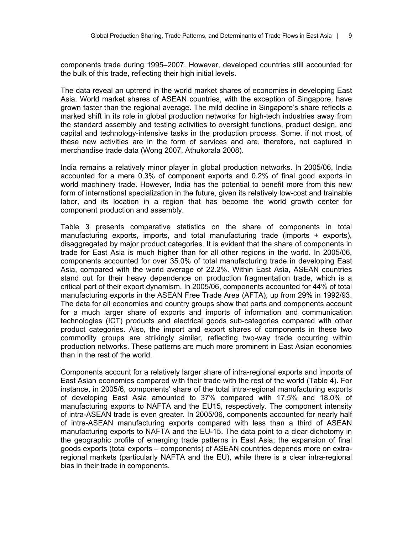components trade during 1995–2007. However, developed countries still accounted for the bulk of this trade, reflecting their high initial levels.

The data reveal an uptrend in the world market shares of economies in developing East Asia. World market shares of ASEAN countries, with the exception of Singapore, have grown faster than the regional average. The mild decline in Singapore's share reflects a marked shift in its role in global production networks for high-tech industries away from the standard assembly and testing activities to oversight functions, product design, and capital and technology-intensive tasks in the production process. Some, if not most, of these new activities are in the form of services and are, therefore, not captured in merchandise trade data (Wong 2007, Athukorala 2008).

India remains a relatively minor player in global production networks. In 2005/06, India accounted for a mere 0.3% of component exports and 0.2% of final good exports in world machinery trade. However, India has the potential to benefit more from this new form of international specialization in the future, given its relatively low-cost and trainable labor, and its location in a region that has become the world growth center for component production and assembly.

Table 3 presents comparative statistics on the share of components in total manufacturing exports, imports, and total manufacturing trade (imports + exports), disaggregated by major product categories. It is evident that the share of components in trade for East Asia is much higher than for all other regions in the world. In 2005/06, components accounted for over 35.0% of total manufacturing trade in developing East Asia, compared with the world average of 22.2%. Within East Asia, ASEAN countries stand out for their heavy dependence on production fragmentation trade, which is a critical part of their export dynamism. In 2005/06, components accounted for 44% of total manufacturing exports in the ASEAN Free Trade Area (AFTA), up from 29% in 1992/93. The data for all economies and country groups show that parts and components account for a much larger share of exports and imports of information and communication technologies (ICT) products and electrical goods sub-categories compared with other product categories. Also, the import and export shares of components in these two commodity groups are strikingly similar, reflecting two-way trade occurring within production networks. These patterns are much more prominent in East Asian economies than in the rest of the world.

Components account for a relatively larger share of intra-regional exports and imports of East Asian economies compared with their trade with the rest of the world (Table 4). For instance, in 2005/6, components' share of the total intra-regional manufacturing exports of developing East Asia amounted to 37% compared with 17.5% and 18.0% of manufacturing exports to NAFTA and the EU15, respectively. The component intensity of intra-ASEAN trade is even greater. In 2005/06, components accounted for nearly half of intra-ASEAN manufacturing exports compared with less than a third of ASEAN manufacturing exports to NAFTA and the EU-15. The data point to a clear dichotomy in the geographic profile of emerging trade patterns in East Asia; the expansion of final goods exports (total exports – components) of ASEAN countries depends more on extraregional markets (particularly NAFTA and the EU), while there is a clear intra-regional bias in their trade in components.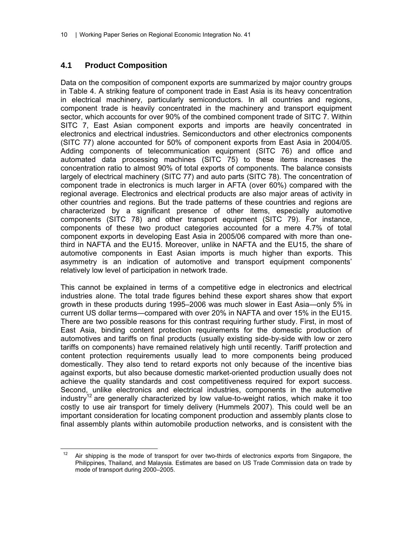#### **4.1 Product Composition**

Data on the composition of component exports are summarized by major country groups in Table 4. A striking feature of component trade in East Asia is its heavy concentration in electrical machinery, particularly semiconductors. In all countries and regions, component trade is heavily concentrated in the machinery and transport equipment sector, which accounts for over 90% of the combined component trade of SITC 7. Within SITC 7, East Asian component exports and imports are heavily concentrated in electronics and electrical industries. Semiconductors and other electronics components (SITC 77) alone accounted for 50% of component exports from East Asia in 2004/05. Adding components of telecommunication equipment (SITC 76) and office and automated data processing machines (SITC 75) to these items increases the concentration ratio to almost 90% of total exports of components. The balance consists largely of electrical machinery (SITC 77) and auto parts (SITC 78). The concentration of component trade in electronics is much larger in AFTA (over 60%) compared with the regional average. Electronics and electrical products are also major areas of activity in other countries and regions. But the trade patterns of these countries and regions are characterized by a significant presence of other items, especially automotive components (SITC 78) and other transport equipment (SITC 79). For instance, components of these two product categories accounted for a mere 4.7% of total component exports in developing East Asia in 2005/06 compared with more than onethird in NAFTA and the EU15. Moreover, unlike in NAFTA and the EU15, the share of automotive components in East Asian imports is much higher than exports. This asymmetry is an indication of automotive and transport equipment components' relatively low level of participation in network trade.

This cannot be explained in terms of a competitive edge in electronics and electrical industries alone. The total trade figures behind these export shares show that export growth in these products during 1995–2006 was much slower in East Asia—only 5% in current US dollar terms—compared with over 20% in NAFTA and over 15% in the EU15. There are two possible reasons for this contrast requiring further study. First, in most of East Asia, binding content protection requirements for the domestic production of automotives and tariffs on final products (usually existing side-by-side with low or zero tariffs on components) have remained relatively high until recently. Tariff protection and content protection requirements usually lead to more components being produced domestically. They also tend to retard exports not only because of the incentive bias against exports, but also because domestic market-oriented production usually does not achieve the quality standards and cost competitiveness required for export success. Second, unlike electronics and electrical industries, components in the automotive industry<sup>12</sup> are generally characterized by low value-to-weight ratios, which make it too costly to use air transport for timely delivery (Hummels 2007). This could well be an important consideration for locating component production and assembly plants close to final assembly plants within automobile production networks, and is consistent with the

 $\overline{a}$  $12$  Air shipping is the mode of transport for over two-thirds of electronics exports from Singapore, the Philippines, Thailand, and Malaysia. Estimates are based on US Trade Commission data on trade by mode of transport during 2000–2005.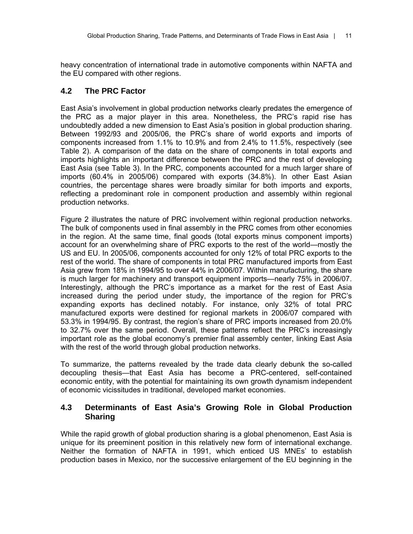heavy concentration of international trade in automotive components within NAFTA and the EU compared with other regions.

#### **4.2 The PRC Factor**

East Asia's involvement in global production networks clearly predates the emergence of the PRC as a major player in this area. Nonetheless, the PRC's rapid rise has undoubtedly added a new dimension to East Asia's position in global production sharing. Between 1992/93 and 2005/06, the PRC's share of world exports and imports of components increased from 1.1% to 10.9% and from 2.4% to 11.5%, respectively (see Table 2). A comparison of the data on the share of components in total exports and imports highlights an important difference between the PRC and the rest of developing East Asia (see Table 3). In the PRC, components accounted for a much larger share of imports (60.4% in 2005/06) compared with exports (34.8%). In other East Asian countries, the percentage shares were broadly similar for both imports and exports, reflecting a predominant role in component production and assembly within regional production networks.

Figure 2 illustrates the nature of PRC involvement within regional production networks. The bulk of components used in final assembly in the PRC comes from other economies in the region. At the same time, final goods (total exports minus component imports) account for an overwhelming share of PRC exports to the rest of the world—mostly the US and EU. In 2005/06, components accounted for only 12% of total PRC exports to the rest of the world. The share of components in total PRC manufactured imports from East Asia grew from 18% in 1994/95 to over 44% in 2006/07. Within manufacturing, the share is much larger for machinery and transport equipment imports—nearly 75% in 2006/07. Interestingly, although the PRC's importance as a market for the rest of East Asia increased during the period under study, the importance of the region for PRC's expanding exports has declined notably. For instance, only 32% of total PRC manufactured exports were destined for regional markets in 2006/07 compared with 53.3% in 1994/95. By contrast, the region's share of PRC imports increased from 20.0% to 32.7% over the same period. Overall, these patterns reflect the PRC's increasingly important role as the global economy's premier final assembly center, linking East Asia with the rest of the world through global production networks.

To summarize, the patterns revealed by the trade data clearly debunk the so-called decoupling thesis—that East Asia has become a PRC-centered, self-contained economic entity, with the potential for maintaining its own growth dynamism independent of economic vicissitudes in traditional, developed market economies.

#### **4.3 Determinants of East Asia's Growing Role in Global Production Sharing**

While the rapid growth of global production sharing is a global phenomenon, East Asia is unique for its preeminent position in this relatively new form of international exchange. Neither the formation of NAFTA in 1991, which enticed US MNEs' to establish production bases in Mexico, nor the successive enlargement of the EU beginning in the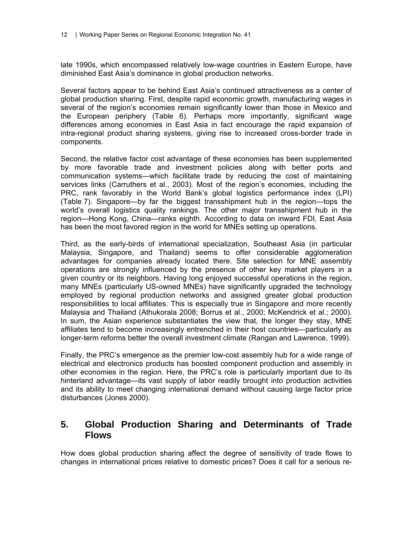late 1990s, which encompassed relatively low-wage countries in Eastern Europe, have diminished East Asia's dominance in global production networks.

Several factors appear to be behind East Asia's continued attractiveness as a center of global production sharing. First, despite rapid economic growth, manufacturing wages in several of the region's economies remain significantly lower than those in Mexico and the European periphery (Table 6). Perhaps more importantly, significant wage differences among economies in East Asia in fact encourage the rapid expansion of intra-regional product sharing systems, giving rise to increased cross-border trade in components.

Second, the relative factor cost advantage of these economies has been supplemented by more favorable trade and investment policies along with better ports and communication systems—which facilitate trade by reducing the cost of maintaining services links (Carruthers et al., 2003). Most of the region's economies, including the PRC, rank favorably in the World Bank's global logistics performance index (LPI) (Table 7). Singapore—by far the biggest transshipment hub in the region—tops the world's overall logistics quality rankings. The other major transshipment hub in the region—Hong Kong, China—ranks eighth. According to data on inward FDI, East Asia has been the most favored region in the world for MNEs setting up operations.

Third, as the early-birds of international specialization, Southeast Asia (in particular Malaysia, Singapore, and Thailand) seems to offer considerable agglomeration advantages for companies already located there. Site selection for MNE assembly operations are strongly influenced by the presence of other key market players in a given country or its neighbors. Having long enjoyed successful operations in the region, many MNEs (particularly US-owned MNEs) have significantly upgraded the technology employed by regional production networks and assigned greater global production responsibilities to local affiliates. This is especially true in Singapore and more recently Malaysia and Thailand (Athukorala 2008; Borrus et al., 2000; McKendrick et al.; 2000). In sum, the Asian experience substantiates the view that, the longer they stay, MNE affiliates tend to become increasingly entrenched in their host countries—particularly as longer-term reforms better the overall investment climate (Rangan and Lawrence, 1999).

Finally, the PRC's emergence as the premier low-cost assembly hub for a wide range of electrical and electronics products has boosted component production and assembly in other economies in the region. Here, the PRC's role is particularly important due to its hinterland advantage—its vast supply of labor readily brought into production activities and its ability to meet changing international demand without causing large factor price disturbances (Jones 2000).

### **5. Global Production Sharing and Determinants of Trade Flows**

How does global production sharing affect the degree of sensitivity of trade flows to changes in international prices relative to domestic prices? Does it call for a serious re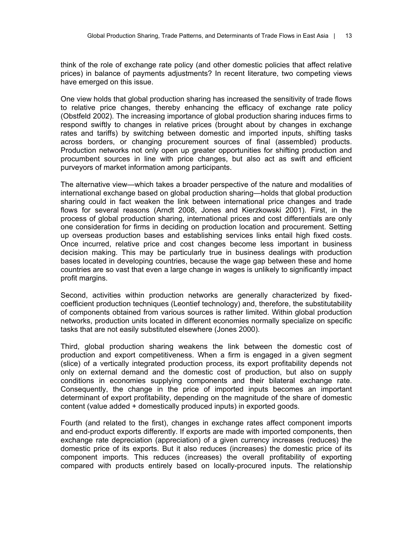think of the role of exchange rate policy (and other domestic policies that affect relative prices) in balance of payments adjustments? In recent literature, two competing views have emerged on this issue.

One view holds that global production sharing has increased the sensitivity of trade flows to relative price changes, thereby enhancing the efficacy of exchange rate policy (Obstfeld 2002). The increasing importance of global production sharing induces firms to respond swiftly to changes in relative prices (brought about by changes in exchange rates and tariffs) by switching between domestic and imported inputs, shifting tasks across borders, or changing procurement sources of final (assembled) products. Production networks not only open up greater opportunities for shifting production and procumbent sources in line with price changes, but also act as swift and efficient purveyors of market information among participants.

The alternative view—which takes a broader perspective of the nature and modalities of international exchange based on global production sharing—holds that global production sharing could in fact weaken the link between international price changes and trade flows for several reasons (Arndt 2008, Jones and Kierzkowski 2001). First, in the process of global production sharing, international prices and cost differentials are only one consideration for firms in deciding on production location and procurement. Setting up overseas production bases and establishing services links entail high fixed costs. Once incurred, relative price and cost changes become less important in business decision making. This may be particularly true in business dealings with production bases located in developing countries, because the wage gap between these and home countries are so vast that even a large change in wages is unlikely to significantly impact profit margins.

Second, activities within production networks are generally characterized by fixedcoefficient production techniques (Leontief technology) and, therefore, the substitutability of components obtained from various sources is rather limited. Within global production networks, production units located in different economies normally specialize on specific tasks that are not easily substituted elsewhere (Jones 2000).

Third, global production sharing weakens the link between the domestic cost of production and export competitiveness. When a firm is engaged in a given segment (slice) of a vertically integrated production process, its export profitability depends not only on external demand and the domestic cost of production, but also on supply conditions in economies supplying components and their bilateral exchange rate. Consequently, the change in the price of imported inputs becomes an important determinant of export profitability, depending on the magnitude of the share of domestic content (value added + domestically produced inputs) in exported goods.

Fourth (and related to the first), changes in exchange rates affect component imports and end-product exports differently. If exports are made with imported components, then exchange rate depreciation (appreciation) of a given currency increases (reduces) the domestic price of its exports. But it also reduces (increases) the domestic price of its component imports. This reduces (increases) the overall profitability of exporting compared with products entirely based on locally-procured inputs. The relationship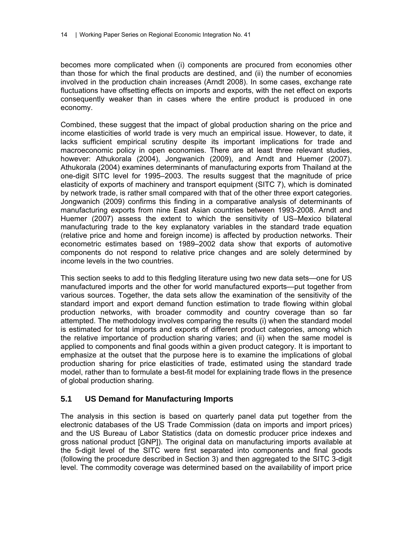becomes more complicated when (i) components are procured from economies other than those for which the final products are destined, and (ii) the number of economies involved in the production chain increases (Arndt 2008). In some cases, exchange rate fluctuations have offsetting effects on imports and exports, with the net effect on exports consequently weaker than in cases where the entire product is produced in one economy.

Combined, these suggest that the impact of global production sharing on the price and income elasticities of world trade is very much an empirical issue. However, to date, it lacks sufficient empirical scrutiny despite its important implications for trade and macroeconomic policy in open economies. There are at least three relevant studies, however: Athukorala (2004), Jongwanich (2009), and Arndt and Huemer (2007). Athukorala (2004) examines determinants of manufacturing exports from Thailand at the one-digit SITC level for 1995–2003. The results suggest that the magnitude of price elasticity of exports of machinery and transport equipment (SITC 7), which is dominated by network trade, is rather small compared with that of the other three export categories. Jongwanich (2009) confirms this finding in a comparative analysis of determinants of manufacturing exports from nine East Asian countries between 1993-2008. Arndt and Huemer (2007) assess the extent to which the sensitivity of US–Mexico bilateral manufacturing trade to the key explanatory variables in the standard trade equation (relative price and home and foreign income) is affected by production networks. Their econometric estimates based on 1989–2002 data show that exports of automotive components do not respond to relative price changes and are solely determined by income levels in the two countries.

This section seeks to add to this fledgling literature using two new data sets—one for US manufactured imports and the other for world manufactured exports—put together from various sources. Together, the data sets allow the examination of the sensitivity of the standard import and export demand function estimation to trade flowing within global production networks, with broader commodity and country coverage than so far attempted. The methodology involves comparing the results (i) when the standard model is estimated for total imports and exports of different product categories, among which the relative importance of production sharing varies; and (ii) when the same model is applied to components and final goods within a given product category. It is important to emphasize at the outset that the purpose here is to examine the implications of global production sharing for price elasticities of trade, estimated using the standard trade model, rather than to formulate a best-fit model for explaining trade flows in the presence of global production sharing.

#### **5.1 US Demand for Manufacturing Imports**

The analysis in this section is based on quarterly panel data put together from the electronic databases of the US Trade Commission (data on imports and import prices) and the US Bureau of Labor Statistics (data on domestic producer price indexes and gross national product [GNP]). The original data on manufacturing imports available at the 5-digit level of the SITC were first separated into components and final goods (following the procedure described in Section 3) and then aggregated to the SITC 3-digit level. The commodity coverage was determined based on the availability of import price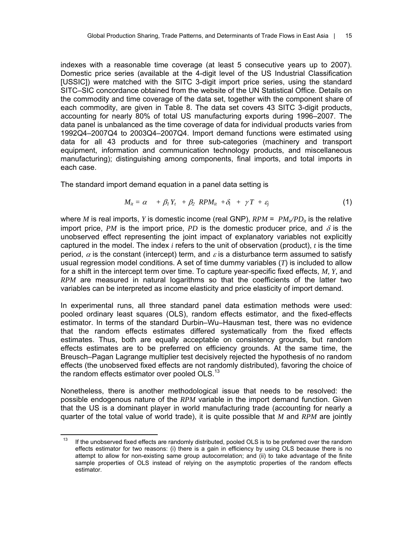indexes with a reasonable time coverage (at least 5 consecutive years up to 2007). Domestic price series (available at the 4-digit level of the US Industrial Classification [USSIC]) were matched with the SITC 3-digit import price series, using the standard SITC–SIC concordance obtained from the website of the UN Statistical Office. Details on the commodity and time coverage of the data set, together with the component share of each commodity, are given in Table 8. The data set covers 43 SITC 3-digit products, accounting for nearly 80% of total US manufacturing exports during 1996–2007. The data panel is unbalanced as the time coverage of data for individual products varies from 1992Q4–2007Q4 to 2003Q4–2007Q4. Import demand functions were estimated using data for all 43 products and for three sub-categories (machinery and transport equipment, information and communication technology products, and miscellaneous manufacturing); distinguishing among components, final imports, and total imports in each case.

The standard import demand equation in a panel data setting is

$$
M_{it} = \alpha + \beta_I Y_t + \beta_2 RPM_{it} + \delta_i + \gamma T + \varepsilon_j \tag{1}
$$

where *M* is real imports, *Y* is domestic income (real GNP),  $RPM = PM_i/PD_i$  is the relative import price, *PM* is the import price, *PD* is the domestic producer price, and  $\delta$  is the unobserved effect representing the joint impact of explanatory variables not explicitly captured in the model. The index *i* refers to the unit of observation (product), *t* is the time period,  $\alpha$  is the constant (intercept) term, and  $\varepsilon$  is a disturbance term assumed to satisfy usual regression model conditions. A set of time dummy variables (*T*) is included to allow for a shift in the intercept term over time. To capture year-specific fixed effects, *M, Y,* and *RPM* are measured in natural logarithms so that the coefficients of the latter two variables can be interpreted as income elasticity and price elasticity of import demand.

In experimental runs, all three standard panel data estimation methods were used: pooled ordinary least squares (OLS), random effects estimator, and the fixed-effects estimator. In terms of the standard Durbin–Wu–Hausman test, there was no evidence that the random effects estimates differed systematically from the fixed effects estimates. Thus, both are equally acceptable on consistency grounds, but random effects estimates are to be preferred on efficiency grounds. At the same time, the Breusch–Pagan Lagrange multiplier test decisively rejected the hypothesis of no random effects (the unobserved fixed effects are not randomly distributed), favoring the choice of the random effects estimator over pooled OLS. $^{13}$ 

Nonetheless, there is another methodological issue that needs to be resolved: the possible endogenous nature of the *RPM* variable in the import demand function. Given that the US is a dominant player in world manufacturing trade (accounting for nearly a quarter of the total value of world trade), it is quite possible that *M* and *RPM* are jointly

 $\overline{a}$ 

 $13$  If the unobserved fixed effects are randomly distributed, pooled OLS is to be preferred over the random effects estimator for two reasons: (i) there is a gain in efficiency by using OLS because there is no attempt to allow for non-existing same group autocorrelation; and (ii) to take advantage of the finite sample properties of OLS instead of relying on the asymptotic properties of the random effects estimator.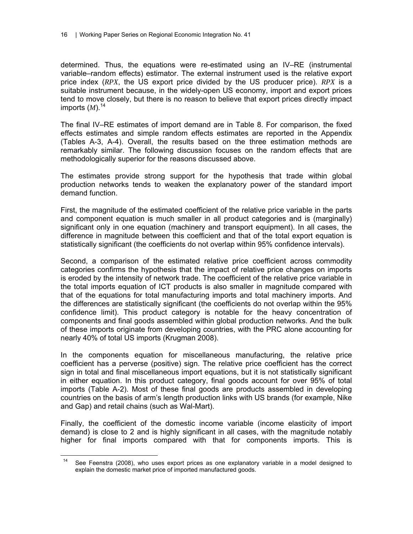determined. Thus, the equations were re-estimated using an IV–RE (instrumental variable–random effects) estimator. The external instrument used is the relative export price index (*RPX*, the US export price divided by the US producer price). *RPX* is a suitable instrument because, in the widely-open US economy, import and export prices tend to move closely, but there is no reason to believe that export prices directly impact imports  $(M)$ .<sup>14</sup>

The final IV–RE estimates of import demand are in Table 8. For comparison, the fixed effects estimates and simple random effects estimates are reported in the Appendix (Tables A-3, A-4). Overall, the results based on the three estimation methods are remarkably similar. The following discussion focuses on the random effects that are methodologically superior for the reasons discussed above.

The estimates provide strong support for the hypothesis that trade within global production networks tends to weaken the explanatory power of the standard import demand function.

First, the magnitude of the estimated coefficient of the relative price variable in the parts and component equation is much smaller in all product categories and is (marginally) significant only in one equation (machinery and transport equipment). In all cases, the difference in magnitude between this coefficient and that of the total export equation is statistically significant (the coefficients do not overlap within 95% confidence intervals).

Second, a comparison of the estimated relative price coefficient across commodity categories confirms the hypothesis that the impact of relative price changes on imports is eroded by the intensity of network trade. The coefficient of the relative price variable in the total imports equation of ICT products is also smaller in magnitude compared with that of the equations for total manufacturing imports and total machinery imports. And the differences are statistically significant (the coefficients do not overlap within the 95% confidence limit). This product category is notable for the heavy concentration of components and final goods assembled within global production networks. And the bulk of these imports originate from developing countries, with the PRC alone accounting for nearly 40% of total US imports (Krugman 2008).

In the components equation for miscellaneous manufacturing, the relative price coefficient has a perverse (positive) sign. The relative price coefficient has the correct sign in total and final miscellaneous import equations, but it is not statistically significant in either equation. In this product category, final goods account for over 95% of total imports (Table A-2). Most of these final goods are products assembled in developing countries on the basis of arm's length production links with US brands (for example, Nike and Gap) and retail chains (such as Wal-Mart).

Finally, the coefficient of the domestic income variable (income elasticity of import demand) is close to 2 and is highly significant in all cases, with the magnitude notably higher for final imports compared with that for components imports. This is

 $\overline{a}$  $14$  See Feenstra (2008), who uses export prices as one explanatory variable in a model designed to explain the domestic market price of imported manufactured goods.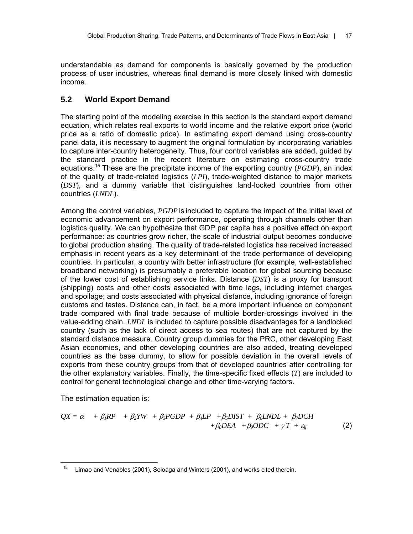understandable as demand for components is basically governed by the production process of user industries, whereas final demand is more closely linked with domestic income.

#### **5.2 World Export Demand**

The starting point of the modeling exercise in this section is the standard export demand equation, which relates real exports to world income and the relative export price (world price as a ratio of domestic price). In estimating export demand using cross-country panel data, it is necessary to augment the original formulation by incorporating variables to capture inter-country heterogeneity. Thus, four control variables are added, guided by the standard practice in the recent literature on estimating cross-country trade equations.15 These are the precipitate income of the exporting country (*PGDP*), an index of the quality of trade-related logistics (*LPI*), trade-weighted distance to major markets (*DST*), and a dummy variable that distinguishes land-locked countries from other countries (*LNDL*).

Among the control variables, *PGDP* is included to capture the impact of the initial level of economic advancement on export performance, operating through channels other than logistics quality. We can hypothesize that GDP per capita has a positive effect on export performance: as countries grow richer, the scale of industrial output becomes conducive to global production sharing. The quality of trade-related logistics has received increased emphasis in recent years as a key determinant of the trade performance of developing countries. In particular, a country with better infrastructure (for example, well-established broadband networking) is presumably a preferable location for global sourcing because of the lower cost of establishing service links. Distance (*DST*) is a proxy for transport (shipping) costs and other costs associated with time lags, including internet charges and spoilage; and costs associated with physical distance, including ignorance of foreign customs and tastes. Distance can, in fact, be a more important influence on component trade compared with final trade because of multiple border-crossings involved in the value-adding chain. *LNDL* is included to capture possible disadvantages for a landlocked country (such as the lack of direct access to sea routes) that are not captured by the standard distance measure. Country group dummies for the PRC, other developing East Asian economies, and other developing countries are also added, treating developed countries as the base dummy, to allow for possible deviation in the overall levels of exports from these country groups from that of developed countries after controlling for the other explanatory variables. Finally, the time-specific fixed effects (*T*) are included to control for general technological change and other time-varying factors.

The estimation equation is:

$$
QX = \alpha + \beta_I RP + \beta_2YW + \beta_3PGDP + \beta_4LP + \beta_5DIST + \beta_6LDL + \beta_7DCH + \beta_8DEA + \beta_9ODC + \gamma T + \varepsilon_{ij}
$$
(2)

 $\overline{a}$  $15$  Limao and Venables (2001), Soloaga and Winters (2001), and works cited therein.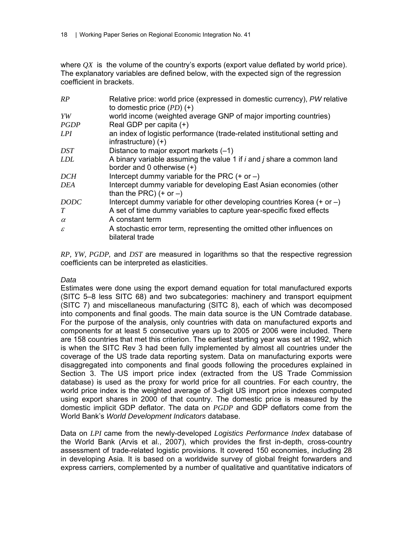where *QX* is the volume of the country's exports (export value deflated by world price). The explanatory variables are defined below, with the expected sign of the regression coefficient in brackets.

| RP            | Relative price: world price (expressed in domestic currency), PW relative                                           |
|---------------|---------------------------------------------------------------------------------------------------------------------|
|               | to domestic price $(PD)$ (+)                                                                                        |
| YW            | world income (weighted average GNP of major importing countries)                                                    |
| <b>PGDP</b>   | Real GDP per capita (+)                                                                                             |
| <b>LPI</b>    | an index of logistic performance (trade-related institutional setting and<br>infrastructure) $(+)$                  |
| DST.          | Distance to major export markets $(-1)$                                                                             |
| LDL           | A binary variable assuming the value 1 if <i>i</i> and <i>j</i> share a common land<br>border and 0 otherwise $(+)$ |
| DCH           | Intercept dummy variable for the PRC $(+ or -)$                                                                     |
| <b>DEA</b>    | Intercept dummy variable for developing East Asian economies (other<br>than the PRC) $(+ or -)$                     |
| <b>DODC</b>   | Intercept dummy variable for other developing countries Korea $(+ or -)$                                            |
| $\, T \,$     | A set of time dummy variables to capture year-specific fixed effects                                                |
| $\alpha$      | A constant term                                                                                                     |
| $\mathcal{E}$ | A stochastic error term, representing the omitted other influences on<br>bilateral trade                            |

*RP, YW, PGDP,* and *DST* are measured in logarithms so that the respective regression coefficients can be interpreted as elasticities.

#### *Data*

Estimates were done using the export demand equation for total manufactured exports (SITC 5–8 less SITC 68) and two subcategories: machinery and transport equipment (SITC 7) and miscellaneous manufacturing (SITC 8), each of which was decomposed into components and final goods. The main data source is the UN Comtrade database. For the purpose of the analysis, only countries with data on manufactured exports and components for at least 5 consecutive years up to 2005 or 2006 were included. There are 158 countries that met this criterion. The earliest starting year was set at 1992, which is when the SITC Rev 3 had been fully implemented by almost all countries under the coverage of the US trade data reporting system. Data on manufacturing exports were disaggregated into components and final goods following the procedures explained in Section 3. The US import price index (extracted from the US Trade Commission database) is used as the proxy for world price for all countries. For each country, the world price index is the weighted average of 3-digit US import price indexes computed using export shares in 2000 of that country. The domestic price is measured by the domestic implicit GDP deflator. The data on *PGDP* and GDP deflators come from the World Bank's *World Development Indicators* database.

Data on *LPI* came from the newly-developed *Logistics Performance Index* database of the World Bank (Arvis et al., 2007), which provides the first in-depth, cross-country assessment of trade-related logistic provisions. It covered 150 economies, including 28 in developing Asia. It is based on a worldwide survey of global freight forwarders and express carriers, complemented by a number of qualitative and quantitative indicators of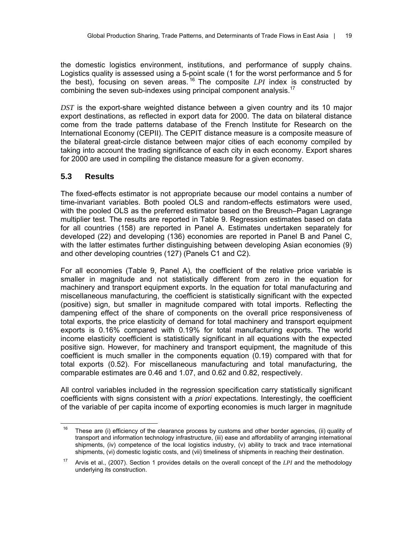the domestic logistics environment, institutions, and performance of supply chains. Logistics quality is assessed using a 5-point scale (1 for the worst performance and 5 for the best), focusing on seven areas. 16 The composite *LPI* index is constructed by combining the seven sub-indexes using principal component analysis.<sup>17</sup>

*DST* is the export-share weighted distance between a given country and its 10 major export destinations, as reflected in export data for 2000. The data on bilateral distance come from the trade patterns database of the French Institute for Research on the International Economy (CEPII). The CEPIT distance measure is a composite measure of the bilateral great-circle distance between major cities of each economy compiled by taking into account the trading significance of each city in each economy. Export shares for 2000 are used in compiling the distance measure for a given economy.

#### **5.3 Results**

 $\overline{a}$ 

The fixed-effects estimator is not appropriate because our model contains a number of time-invariant variables. Both pooled OLS and random-effects estimators were used, with the pooled OLS as the preferred estimator based on the Breusch–Pagan Lagrange multiplier test. The results are reported in Table 9. Regression estimates based on data for all countries (158) are reported in Panel A. Estimates undertaken separately for developed (22) and developing (136) economies are reported in Panel B and Panel C, with the latter estimates further distinguishing between developing Asian economies (9) and other developing countries (127) (Panels C1 and C2).

For all economies (Table 9, Panel A), the coefficient of the relative price variable is smaller in magnitude and not statistically different from zero in the equation for machinery and transport equipment exports. In the equation for total manufacturing and miscellaneous manufacturing, the coefficient is statistically significant with the expected (positive) sign, but smaller in magnitude compared with total imports. Reflecting the dampening effect of the share of components on the overall price responsiveness of total exports, the price elasticity of demand for total machinery and transport equipment exports is 0.16% compared with 0.19% for total manufacturing exports. The world income elasticity coefficient is statistically significant in all equations with the expected positive sign. However, for machinery and transport equipment, the magnitude of this coefficient is much smaller in the components equation (0.19) compared with that for total exports (0.52). For miscellaneous manufacturing and total manufacturing, the comparable estimates are 0.46 and 1.07, and 0.62 and 0.82, respectively.

All control variables included in the regression specification carry statistically significant coefficients with signs consistent with *a priori* expectations. Interestingly, the coefficient of the variable of per capita income of exporting economies is much larger in magnitude

<sup>&</sup>lt;sup>16</sup> These are (i) efficiency of the clearance process by customs and other border agencies, (ii) quality of transport and information technology infrastructure, (iii) ease and affordability of arranging international shipments, (iv) competence of the local logistics industry, (v) ability to track and trace international shipments, (vi) domestic logistic costs, and (vii) timeliness of shipments in reaching their destination.

<sup>17</sup> Arvis et al., (2007). Section 1 provides details on the overall concept of the *LPI* and the methodology underlying its construction.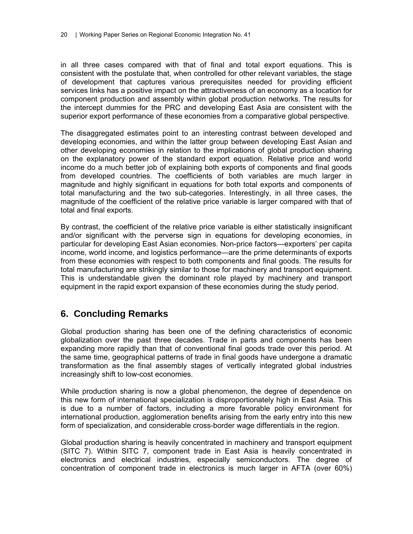in all three cases compared with that of final and total export equations. This is consistent with the postulate that, when controlled for other relevant variables, the stage of development that captures various prerequisites needed for providing efficient services links has a positive impact on the attractiveness of an economy as a location for component production and assembly within global production networks. The results for the intercept dummies for the PRC and developing East Asia are consistent with the superior export performance of these economies from a comparative global perspective.

The disaggregated estimates point to an interesting contrast between developed and developing economies, and within the latter group between developing East Asian and other developing economies in relation to the implications of global production sharing on the explanatory power of the standard export equation. Relative price and world income do a much better job of explaining both exports of components and final goods from developed countries. The coefficients of both variables are much larger in magnitude and highly significant in equations for both total exports and components of total manufacturing and the two sub-categories. Interestingly, in all three cases, the magnitude of the coefficient of the relative price variable is larger compared with that of total and final exports.

By contrast, the coefficient of the relative price variable is either statistically insignificant and/or significant with the perverse sign in equations for developing economies, in particular for developing East Asian economies. Non-price factors—exporters' per capita income, world income, and logistics performance—are the prime determinants of exports from these economies with respect to both components and final goods. The results for total manufacturing are strikingly similar to those for machinery and transport equipment. This is understandable given the dominant role played by machinery and transport equipment in the rapid export expansion of these economies during the study period.

## **6. Concluding Remarks**

Global production sharing has been one of the defining characteristics of economic globalization over the past three decades. Trade in parts and components has been expanding more rapidly than that of conventional final goods trade over this period. At the same time, geographical patterns of trade in final goods have undergone a dramatic transformation as the final assembly stages of vertically integrated global industries increasingly shift to low-cost economies.

While production sharing is now a global phenomenon, the degree of dependence on this new form of international specialization is disproportionately high in East Asia. This is due to a number of factors, including a more favorable policy environment for international production, agglomeration benefits arising from the early entry into this new form of specialization, and considerable cross-border wage differentials in the region.

Global production sharing is heavily concentrated in machinery and transport equipment (SITC 7). Within SITC 7, component trade in East Asia is heavily concentrated in electronics and electrical industries, especially semiconductors. The degree of concentration of component trade in electronics is much larger in AFTA (over 60%)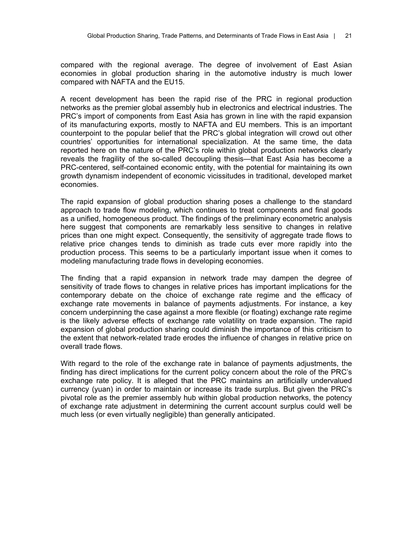compared with the regional average. The degree of involvement of East Asian economies in global production sharing in the automotive industry is much lower compared with NAFTA and the EU15.

A recent development has been the rapid rise of the PRC in regional production networks as the premier global assembly hub in electronics and electrical industries. The PRC's import of components from East Asia has grown in line with the rapid expansion of its manufacturing exports, mostly to NAFTA and EU members. This is an important counterpoint to the popular belief that the PRC's global integration will crowd out other countries' opportunities for international specialization. At the same time, the data reported here on the nature of the PRC's role within global production networks clearly reveals the fragility of the so-called decoupling thesis—that East Asia has become a PRC-centered, self-contained economic entity, with the potential for maintaining its own growth dynamism independent of economic vicissitudes in traditional, developed market economies.

The rapid expansion of global production sharing poses a challenge to the standard approach to trade flow modeling, which continues to treat components and final goods as a unified, homogeneous product. The findings of the preliminary econometric analysis here suggest that components are remarkably less sensitive to changes in relative prices than one might expect. Consequently, the sensitivity of aggregate trade flows to relative price changes tends to diminish as trade cuts ever more rapidly into the production process. This seems to be a particularly important issue when it comes to modeling manufacturing trade flows in developing economies.

The finding that a rapid expansion in network trade may dampen the degree of sensitivity of trade flows to changes in relative prices has important implications for the contemporary debate on the choice of exchange rate regime and the efficacy of exchange rate movements in balance of payments adjustments. For instance, a key concern underpinning the case against a more flexible (or floating) exchange rate regime is the likely adverse effects of exchange rate volatility on trade expansion. The rapid expansion of global production sharing could diminish the importance of this criticism to the extent that network-related trade erodes the influence of changes in relative price on overall trade flows.

With regard to the role of the exchange rate in balance of payments adjustments, the finding has direct implications for the current policy concern about the role of the PRC's exchange rate policy. It is alleged that the PRC maintains an artificially undervalued currency (yuan) in order to maintain or increase its trade surplus. But given the PRC's pivotal role as the premier assembly hub within global production networks, the potency of exchange rate adjustment in determining the current account surplus could well be much less (or even virtually negligible) than generally anticipated.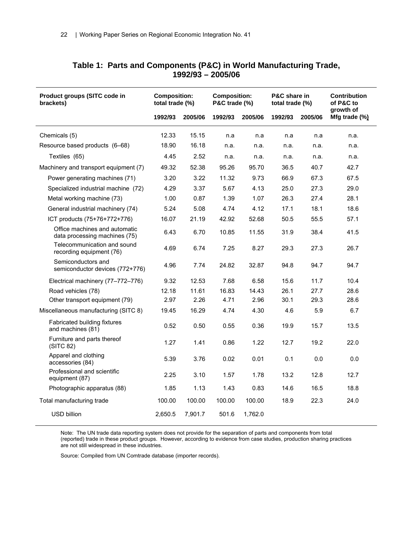| Product groups (SITC code in<br>brackets)                      | <b>Composition:</b><br>total trade (%) |         | <b>Composition:</b><br>P&C trade (%) |         | <b>P&amp;C</b> share in<br>total trade (%) |         | <b>Contribution</b><br>of P&C to<br>growth of |
|----------------------------------------------------------------|----------------------------------------|---------|--------------------------------------|---------|--------------------------------------------|---------|-----------------------------------------------|
|                                                                | 1992/93                                | 2005/06 | 1992/93                              | 2005/06 | 1992/93                                    | 2005/06 | Mfg trade (%)                                 |
| Chemicals (5)                                                  | 12.33                                  | 15.15   | n.a                                  | n.a     | n.a                                        | n.a     | n.a.                                          |
| Resource based products (6–68)                                 | 18.90                                  | 16.18   | n.a.                                 | n.a.    | n.a.                                       | n.a.    | n.a.                                          |
| Textiles (65)                                                  | 4.45                                   | 2.52    | n.a.                                 | n.a.    | n.a.                                       | n.a.    | n.a.                                          |
| Machinery and transport equipment (7)                          | 49.32                                  | 52.38   | 95.26                                | 95.70   | 36.5                                       | 40.7    | 42.7                                          |
| Power generating machines (71)                                 | 3.20                                   | 3.22    | 11.32                                | 9.73    | 66.9                                       | 67.3    | 67.5                                          |
| Specialized industrial machine (72)                            | 4.29                                   | 3.37    | 5.67                                 | 4.13    | 25.0                                       | 27.3    | 29.0                                          |
| Metal working machine (73)                                     | 1.00                                   | 0.87    | 1.39                                 | 1.07    | 26.3                                       | 27.4    | 28.1                                          |
| General industrial machinery (74)                              | 5.24                                   | 5.08    | 4.74                                 | 4.12    | 17.1                                       | 18.1    | 18.6                                          |
| ICT products (75+76+772+776)                                   | 16.07                                  | 21.19   | 42.92                                | 52.68   | 50.5                                       | 55.5    | 57.1                                          |
| Office machines and automatic<br>data processing machines (75) | 6.43                                   | 6.70    | 10.85                                | 11.55   | 31.9                                       | 38.4    | 41.5                                          |
| Telecommunication and sound<br>recording equipment (76)        | 4.69                                   | 6.74    | 7.25                                 | 8.27    | 29.3                                       | 27.3    | 26.7                                          |
| Semiconductors and<br>semiconductor devices (772+776)          | 4.96                                   | 7.74    | 24.82                                | 32.87   | 94.8                                       | 94.7    | 94.7                                          |
| Electrical machinery (77-772-776)                              | 9.32                                   | 12.53   | 7.68                                 | 6.58    | 15.6                                       | 11.7    | 10.4                                          |
| Road vehicles (78)                                             | 12.18                                  | 11.61   | 16.83                                | 14.43   | 26.1                                       | 27.7    | 28.6                                          |
| Other transport equipment (79)                                 | 2.97                                   | 2.26    | 4.71                                 | 2.96    | 30.1                                       | 29.3    | 28.6                                          |
| Miscellaneous manufacturing (SITC 8)                           | 19.45                                  | 16.29   | 4.74                                 | 4.30    | 4.6                                        | 5.9     | 6.7                                           |
| Fabricated building fixtures<br>and machines (81)              | 0.52                                   | 0.50    | 0.55                                 | 0.36    | 19.9                                       | 15.7    | 13.5                                          |
| Furniture and parts thereof<br>(SITC 82)                       | 1.27                                   | 1.41    | 0.86                                 | 1.22    | 12.7                                       | 19.2    | 22.0                                          |
| Apparel and clothing<br>accessories (84)                       | 5.39                                   | 3.76    | 0.02                                 | 0.01    | 0.1                                        | 0.0     | 0.0                                           |
| Professional and scientific<br>equipment (87)                  | 2.25                                   | 3.10    | 1.57                                 | 1.78    | 13.2                                       | 12.8    | 12.7                                          |
| Photographic apparatus (88)                                    | 1.85                                   | 1.13    | 1.43                                 | 0.83    | 14.6                                       | 16.5    | 18.8                                          |
| Total manufacturing trade                                      | 100.00                                 | 100.00  | 100.00                               | 100.00  | 18.9                                       | 22.3    | 24.0                                          |
| USD billion                                                    | 2,650.5                                | 7,901.7 | 501.6                                | 1,762.0 |                                            |         |                                               |

#### **Table 1: Parts and Components (P&C) in World Manufacturing Trade, 1992/93 – 2005/06**

Note: The UN trade data reporting system does not provide for the separation of parts and components from total (reported) trade in these product groups. However, according to evidence from case studies, production sharing practices are not still widespread in these industries.

Source: Compiled from UN Comtrade database (importer records).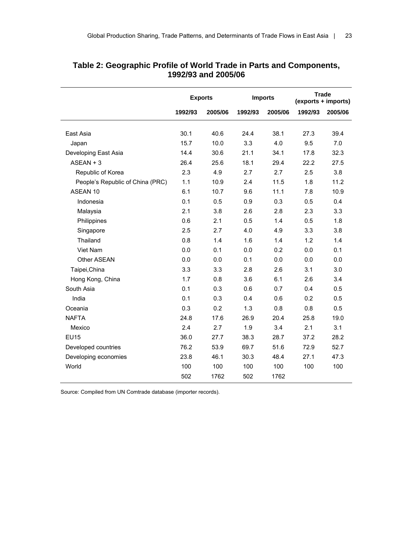|                                  | <b>Exports</b> |         |         | <b>Imports</b> | <b>Trade</b><br>(exports + imports) |         |
|----------------------------------|----------------|---------|---------|----------------|-------------------------------------|---------|
|                                  | 1992/93        | 2005/06 | 1992/93 | 2005/06        | 1992/93                             | 2005/06 |
|                                  |                |         |         |                |                                     |         |
| East Asia                        | 30.1           | 40.6    | 24.4    | 38.1           | 27.3                                | 39.4    |
| Japan                            | 15.7           | 10.0    | 3.3     | 4.0            | 9.5                                 | 7.0     |
| Developing East Asia             | 14.4           | 30.6    | 21.1    | 34.1           | 17.8                                | 32.3    |
| $ASEAN + 3$                      | 26.4           | 25.6    | 18.1    | 29.4           | 22.2                                | 27.5    |
| Republic of Korea                | 2.3            | 4.9     | 2.7     | 2.7            | 2.5                                 | 3.8     |
| People's Republic of China (PRC) | 1.1            | 10.9    | 2.4     | 11.5           | 1.8                                 | 11.2    |
| ASEAN 10                         | 6.1            | 10.7    | 9.6     | 11.1           | 7.8                                 | 10.9    |
| Indonesia                        | 0.1            | 0.5     | 0.9     | 0.3            | 0.5                                 | 0.4     |
| Malaysia                         | 2.1            | 3.8     | 2.6     | 2.8            | 2.3                                 | 3.3     |
| Philippines                      | 0.6            | 2.1     | 0.5     | 1.4            | 0.5                                 | 1.8     |
| Singapore                        | 2.5            | 2.7     | 4.0     | 4.9            | 3.3                                 | 3.8     |
| Thailand                         | 0.8            | 1.4     | 1.6     | 1.4            | 1.2                                 | 1.4     |
| Viet Nam                         | 0.0            | 0.1     | 0.0     | 0.2            | 0.0                                 | 0.1     |
| Other ASEAN                      | 0.0            | 0.0     | 0.1     | 0.0            | 0.0                                 | 0.0     |
| Taipei, China                    | 3.3            | 3.3     | 2.8     | 2.6            | 3.1                                 | 3.0     |
| Hong Kong, China                 | 1.7            | 0.8     | 3.6     | 6.1            | 2.6                                 | 3.4     |
| South Asia                       | 0.1            | 0.3     | 0.6     | 0.7            | 0.4                                 | 0.5     |
| India                            | 0.1            | 0.3     | 0.4     | 0.6            | 0.2                                 | 0.5     |
| Oceania                          | 0.3            | 0.2     | 1.3     | 0.8            | 0.8                                 | 0.5     |
| <b>NAFTA</b>                     | 24.8           | 17.6    | 26.9    | 20.4           | 25.8                                | 19.0    |
| Mexico                           | 2.4            | 2.7     | 1.9     | 3.4            | 2.1                                 | 3.1     |
| <b>EU15</b>                      | 36.0           | 27.7    | 38.3    | 28.7           | 37.2                                | 28.2    |
| Developed countries              | 76.2           | 53.9    | 69.7    | 51.6           | 72.9                                | 52.7    |
| Developing economies             | 23.8           | 46.1    | 30.3    | 48.4           | 27.1                                | 47.3    |
| World                            | 100            | 100     | 100     | 100            | 100                                 | 100     |
|                                  | 502            | 1762    | 502     | 1762           |                                     |         |

#### **Table 2: Geographic Profile of World Trade in Parts and Components, 1992/93 and 2005/06**

Source: Compiled from UN Comtrade database (importer records).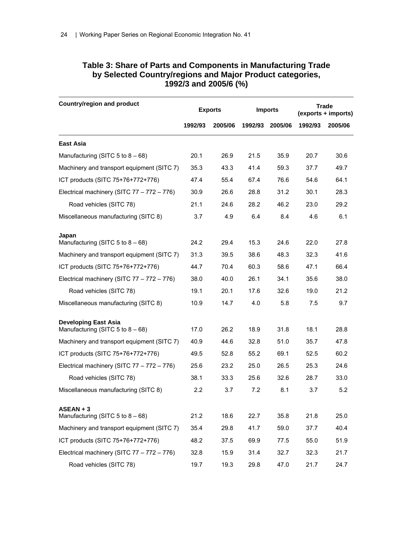| Country/region and product                                           |         | <b>Exports</b> |         | <b>Imports</b> | Trade<br>(exports + imports) |         |
|----------------------------------------------------------------------|---------|----------------|---------|----------------|------------------------------|---------|
|                                                                      | 1992/93 | 2005/06        | 1992/93 | 2005/06        | 1992/93                      | 2005/06 |
| East Asia                                                            |         |                |         |                |                              |         |
| Manufacturing (SITC $5$ to $8 - 68$ )                                | 20.1    | 26.9           | 21.5    | 35.9           | 20.7                         | 30.6    |
| Machinery and transport equipment (SITC 7)                           | 35.3    | 43.3           | 41.4    | 59.3           | 37.7                         | 49.7    |
| ICT products (SITC 75+76+772+776)                                    | 47.4    | 55.4           | 67.4    | 76.6           | 54.6                         | 64.1    |
| Electrical machinery (SITC 77 - 772 - 776)                           | 30.9    | 26.6           | 28.8    | 31.2           | 30.1                         | 28.3    |
| Road vehicles (SITC 78)                                              | 21.1    | 24.6           | 28.2    | 46.2           | 23.0                         | 29.2    |
| Miscellaneous manufacturing (SITC 8)                                 | 3.7     | 4.9            | 6.4     | 8.4            | 4.6                          | 6.1     |
| Japan<br>Manufacturing (SITC $5$ to $8 - 68$ )                       | 24.2    | 29.4           | 15.3    | 24.6           | 22.0                         | 27.8    |
| Machinery and transport equipment (SITC 7)                           | 31.3    | 39.5           | 38.6    | 48.3           | 32.3                         | 41.6    |
| ICT products (SITC 75+76+772+776)                                    | 44.7    | 70.4           | 60.3    | 58.6           | 47.1                         | 66.4    |
| Electrical machinery (SITC 77 - 772 - 776)                           | 38.0    | 40.0           | 26.1    | 34.1           | 35.6                         | 38.0    |
| Road vehicles (SITC 78)                                              | 19.1    | 20.1           | 17.6    | 32.6           | 19.0                         | 21.2    |
| Miscellaneous manufacturing (SITC 8)                                 | 10.9    | 14.7           | 4.0     | 5.8            | 7.5                          | 9.7     |
| <b>Developing East Asia</b><br>Manufacturing (SITC $5$ to $8 - 68$ ) | 17.0    | 26.2           | 18.9    | 31.8           | 18.1                         | 28.8    |
| Machinery and transport equipment (SITC 7)                           | 40.9    | 44.6           | 32.8    | 51.0           | 35.7                         | 47.8    |
| ICT products (SITC 75+76+772+776)                                    | 49.5    | 52.8           | 55.2    | 69.1           | 52.5                         | 60.2    |
| Electrical machinery (SITC 77 - 772 - 776)                           | 25.6    | 23.2           | 25.0    | 26.5           | 25.3                         | 24.6    |
| Road vehicles (SITC 78)                                              | 38.1    | 33.3           | 25.6    | 32.6           | 28.7                         | 33.0    |
| Miscellaneous manufacturing (SITC 8)                                 | 2.2     | 3.7            | 7.2     | 8.1            | 3.7                          | 5.2     |
| $ASEAN + 3$<br>Manufacturing (SITC $5$ to $8 - 68$ )                 | 21.2    | 18.6           | 22.7    | 35.8           | 21.8                         | 25.0    |
| Machinery and transport equipment (SITC 7)                           | 35.4    | 29.8           | 41.7    | 59.0           | 37.7                         | 40.4    |
| ICT products (SITC 75+76+772+776)                                    | 48.2    | 37.5           | 69.9    | 77.5           | 55.0                         | 51.9    |
| Electrical machinery (SITC 77 - 772 - 776)                           | 32.8    | 15.9           | 31.4    | 32.7           | 32.3                         | 21.7    |
| Road vehicles (SITC 78)                                              | 19.7    | 19.3           | 29.8    | 47.0           | 21.7                         | 24.7    |

#### **Table 3: Share of Parts and Components in Manufacturing Trade by Selected Country/regions and Major Product categories, 1992/3 and 2005/6 (%)**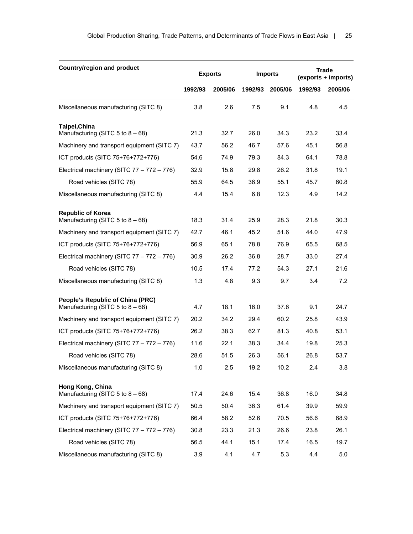| Country/region and product                                                |         | <b>Exports</b> | <b>Imports</b> |         | Trade<br>(exports + imports) |         |
|---------------------------------------------------------------------------|---------|----------------|----------------|---------|------------------------------|---------|
|                                                                           | 1992/93 | 2005/06        | 1992/93        | 2005/06 | 1992/93                      | 2005/06 |
| Miscellaneous manufacturing (SITC 8)                                      | 3.8     | 2.6            | 7.5            | 9.1     | 4.8                          | 4.5     |
| Taipei, China<br>Manufacturing (SITC $5$ to $8 - 68$ )                    | 21.3    | 32.7           | 26.0           | 34.3    | 23.2                         | 33.4    |
| Machinery and transport equipment (SITC 7)                                | 43.7    | 56.2           | 46.7           | 57.6    | 45.1                         | 56.8    |
| ICT products (SITC 75+76+772+776)                                         | 54.6    | 74.9           | 79.3           | 84.3    | 64.1                         | 78.8    |
| Electrical machinery (SITC 77 - 772 - 776)                                | 32.9    | 15.8           | 29.8           | 26.2    | 31.8                         | 19.1    |
| Road vehicles (SITC 78)                                                   | 55.9    | 64.5           | 36.9           | 55.1    | 45.7                         | 60.8    |
| Miscellaneous manufacturing (SITC 8)                                      | 4.4     | 15.4           | 6.8            | 12.3    | 4.9                          | 14.2    |
| <b>Republic of Korea</b><br>Manufacturing (SITC $5$ to $8 - 68$ )         | 18.3    | 31.4           | 25.9           | 28.3    | 21.8                         | 30.3    |
| Machinery and transport equipment (SITC 7)                                | 42.7    | 46.1           | 45.2           | 51.6    | 44.0                         | 47.9    |
| ICT products (SITC 75+76+772+776)                                         | 56.9    | 65.1           | 78.8           | 76.9    | 65.5                         | 68.5    |
| Electrical machinery (SITC 77 - 772 - 776)                                | 30.9    | 26.2           | 36.8           | 28.7    | 33.0                         | 27.4    |
| Road vehicles (SITC 78)                                                   | 10.5    | 17.4           | 77.2           | 54.3    | 27.1                         | 21.6    |
| Miscellaneous manufacturing (SITC 8)                                      | 1.3     | 4.8            | 9.3            | 9.7     | 3.4                          | 7.2     |
| People's Republic of China (PRC)<br>Manufacturing (SITC $5$ to $8 - 68$ ) | 4.7     | 18.1           | 16.0           | 37.6    | 9.1                          | 24.7    |
| Machinery and transport equipment (SITC 7)                                | 20.2    | 34.2           | 29.4           | 60.2    | 25.8                         | 43.9    |
| ICT products (SITC 75+76+772+776)                                         | 26.2    | 38.3           | 62.7           | 81.3    | 40.8                         | 53.1    |
| Electrical machinery (SITC 77 - 772 - 776)                                | 11.6    | 22.1           | 38.3           | 34.4    | 19.8                         | 25.3    |
| Road vehicles (SITC 78)                                                   | 28.6    | 51.5           | 26.3           | 56.1    | 26.8                         | 53.7    |
| Miscellaneous manufacturing (SITC 8)                                      | 1.0     | 2.5            | 19.2           | 10.2    | 2.4                          | 3.8     |
| Hong Kong, China<br>Manufacturing (SITC $5$ to $8 - 68$ )                 | 17.4    | 24.6           | 15.4           | 36.8    | 16.0                         | 34.8    |
| Machinery and transport equipment (SITC 7)                                | 50.5    | 50.4           | 36.3           | 61.4    | 39.9                         | 59.9    |
| ICT products (SITC 75+76+772+776)                                         | 66.4    | 58.2           | 52.6           | 70.5    | 56.6                         | 68.9    |
| Electrical machinery (SITC 77 - 772 - 776)                                | 30.8    | 23.3           | 21.3           | 26.6    | 23.8                         | 26.1    |
| Road vehicles (SITC 78)                                                   | 56.5    | 44.1           | 15.1           | 17.4    | 16.5                         | 19.7    |
| Miscellaneous manufacturing (SITC 8)                                      | 3.9     | 4.1            | 4.7            | 5.3     | 4.4                          | 5.0     |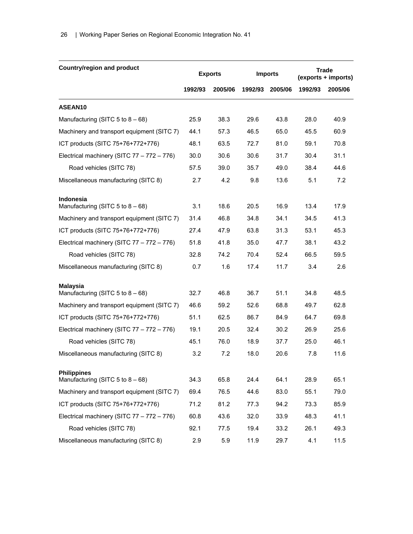| <b>Country/region and product</b>                           |         | <b>Exports</b> | <b>Imports</b> |         | Trade<br>(exports + imports) |         |
|-------------------------------------------------------------|---------|----------------|----------------|---------|------------------------------|---------|
|                                                             | 1992/93 | 2005/06        | 1992/93        | 2005/06 | 1992/93                      | 2005/06 |
| ASEAN <sub>10</sub>                                         |         |                |                |         |                              |         |
| Manufacturing (SITC $5$ to $8 - 68$ )                       | 25.9    | 38.3           | 29.6           | 43.8    | 28.0                         | 40.9    |
| Machinery and transport equipment (SITC 7)                  | 44.1    | 57.3           | 46.5           | 65.0    | 45.5                         | 60.9    |
| ICT products (SITC 75+76+772+776)                           | 48.1    | 63.5           | 72.7           | 81.0    | 59.1                         | 70.8    |
| Electrical machinery (SITC 77 - 772 - 776)                  | 30.0    | 30.6           | 30.6           | 31.7    | 30.4                         | 31.1    |
| Road vehicles (SITC 78)                                     | 57.5    | 39.0           | 35.7           | 49.0    | 38.4                         | 44.6    |
| Miscellaneous manufacturing (SITC 8)                        | 2.7     | 4.2            | 9.8            | 13.6    | 5.1                          | 7.2     |
| <b>Indonesia</b><br>Manufacturing (SITC $5$ to $8 - 68$ )   | 3.1     | 18.6           | 20.5           | 16.9    | 13.4                         | 17.9    |
| Machinery and transport equipment (SITC 7)                  | 31.4    | 46.8           | 34.8           | 34.1    | 34.5                         | 41.3    |
| ICT products (SITC 75+76+772+776)                           | 27.4    | 47.9           | 63.8           | 31.3    | 53.1                         | 45.3    |
| Electrical machinery (SITC 77 - 772 - 776)                  | 51.8    | 41.8           | 35.0           | 47.7    | 38.1                         | 43.2    |
| Road vehicles (SITC 78)                                     | 32.8    | 74.2           | 70.4           | 52.4    | 66.5                         | 59.5    |
| Miscellaneous manufacturing (SITC 8)                        | 0.7     | 1.6            | 17.4           | 11.7    | 3.4                          | 2.6     |
| <b>Malaysia</b><br>Manufacturing (SITC $5$ to $8 - 68$ )    | 32.7    | 46.8           | 36.7           | 51.1    | 34.8                         | 48.5    |
| Machinery and transport equipment (SITC 7)                  | 46.6    | 59.2           | 52.6           | 68.8    | 49.7                         | 62.8    |
| ICT products (SITC 75+76+772+776)                           | 51.1    | 62.5           | 86.7           | 84.9    | 64.7                         | 69.8    |
| Electrical machinery (SITC 77 - 772 - 776)                  | 19.1    | 20.5           | 32.4           | 30.2    | 26.9                         | 25.6    |
| Road vehicles (SITC 78)                                     | 45.1    | 76.0           | 18.9           | 37.7    | 25.0                         | 46.1    |
| Miscellaneous manufacturing (SITC 8)                        | 3.2     | 7.2            | 18.0           | 20.6    | 7.8                          | 11.6    |
| <b>Philippines</b><br>Manufacturing (SITC $5$ to $8 - 68$ ) | 34.3    | 65.8           | 24.4           | 64.1    | 28.9                         | 65.1    |
| Machinery and transport equipment (SITC 7)                  | 69.4    | 76.5           | 44.6           | 83.0    | 55.1                         | 79.0    |
| ICT products (SITC 75+76+772+776)                           | 71.2    | 81.2           | 77.3           | 94.2    | 73.3                         | 85.9    |
| Electrical machinery (SITC 77 - 772 - 776)                  | 60.8    | 43.6           | 32.0           | 33.9    | 48.3                         | 41.1    |
| Road vehicles (SITC 78)                                     | 92.1    | 77.5           | 19.4           | 33.2    | 26.1                         | 49.3    |
| Miscellaneous manufacturing (SITC 8)                        | 2.9     | 5.9            | 11.9           | 29.7    | 4.1                          | 11.5    |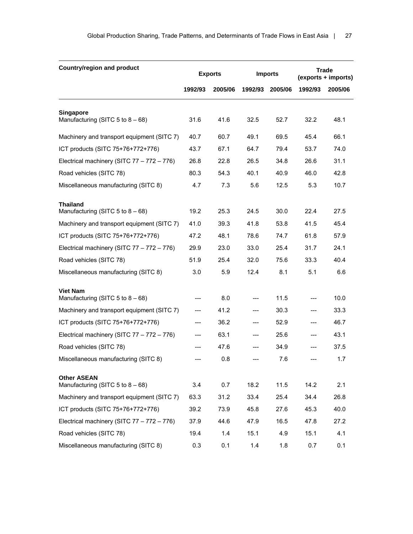| <b>Country/region and product</b>                           |         | <b>Exports</b> | <b>Imports</b> |         | Trade<br>(exports + imports) |         |
|-------------------------------------------------------------|---------|----------------|----------------|---------|------------------------------|---------|
|                                                             | 1992/93 | 2005/06        | 1992/93        | 2005/06 | 1992/93                      | 2005/06 |
| <b>Singapore</b><br>Manufacturing (SITC 5 to $8 - 68$ )     | 31.6    | 41.6           | 32.5           | 52.7    | 32.2                         | 48.1    |
| Machinery and transport equipment (SITC 7)                  | 40.7    | 60.7           | 49.1           | 69.5    | 45.4                         | 66.1    |
| ICT products (SITC 75+76+772+776)                           | 43.7    | 67.1           | 64.7           | 79.4    | 53.7                         | 74.0    |
| Electrical machinery (SITC 77 - 772 - 776)                  | 26.8    | 22.8           | 26.5           | 34.8    | 26.6                         | 31.1    |
| Road vehicles (SITC 78)                                     | 80.3    | 54.3           | 40.1           | 40.9    | 46.0                         | 42.8    |
| Miscellaneous manufacturing (SITC 8)                        | 4.7     | 7.3            | 5.6            | 12.5    | 5.3                          | 10.7    |
| Thailand<br>Manufacturing (SITC $5$ to $8 - 68$ )           | 19.2    | 25.3           | 24.5           | 30.0    | 22.4                         | 27.5    |
| Machinery and transport equipment (SITC 7)                  | 41.0    | 39.3           | 41.8           | 53.8    | 41.5                         | 45.4    |
| ICT products (SITC 75+76+772+776)                           | 47.2    | 48.1           | 78.6           | 74.7    | 61.8                         | 57.9    |
| Electrical machinery (SITC 77 - 772 - 776)                  | 29.9    | 23.0           | 33.0           | 25.4    | 31.7                         | 24.1    |
| Road vehicles (SITC 78)                                     | 51.9    | 25.4           | 32.0           | 75.6    | 33.3                         | 40.4    |
| Miscellaneous manufacturing (SITC 8)                        | 3.0     | 5.9            | 12.4           | 8.1     | 5.1                          | 6.6     |
| <b>Viet Nam</b><br>Manufacturing (SITC $5$ to $8 - 68$ )    | ---     | 8.0            | $---$          | 11.5    | $---$                        | 10.0    |
| Machinery and transport equipment (SITC 7)                  | ---     | 41.2           | ---            | 30.3    | $---$                        | 33.3    |
| ICT products (SITC 75+76+772+776)                           | ---     | 36.2           | $---$          | 52.9    | ---                          | 46.7    |
| Electrical machinery (SITC 77 - 772 - 776)                  | ---     | 63.1           | $---$          | 25.6    | ---                          | 43.1    |
| Road vehicles (SITC 78)                                     | ---     | 47.6           | ---            | 34.9    | ---                          | 37.5    |
| Miscellaneous manufacturing (SITC 8)                        |         | 0.8            | ---            | 7.6     | $---$                        | 1.7     |
| <b>Other ASEAN</b><br>Manufacturing (SITC $5$ to $8 - 68$ ) | 3.4     | 0.7            | 18.2           | 11.5    | 14.2                         | 2.1     |
| Machinery and transport equipment (SITC 7)                  | 63.3    | 31.2           | 33.4           | 25.4    | 34.4                         | 26.8    |
| ICT products (SITC 75+76+772+776)                           | 39.2    | 73.9           | 45.8           | 27.6    | 45.3                         | 40.0    |
| Electrical machinery (SITC 77 - 772 - 776)                  | 37.9    | 44.6           | 47.9           | 16.5    | 47.8                         | 27.2    |
| Road vehicles (SITC 78)                                     | 19.4    | 1.4            | 15.1           | 4.9     | 15.1                         | 4.1     |
| Miscellaneous manufacturing (SITC 8)                        | 0.3     | 0.1            | 1.4            | 1.8     | 0.7                          | 0.1     |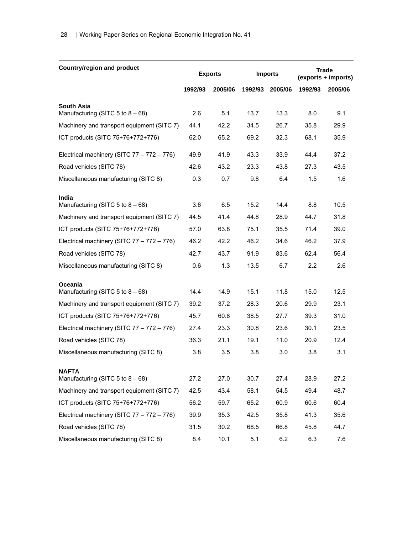| Country/region and product                                 |         | <b>Exports</b> | <b>Imports</b> |         | Trade<br>(exports + imports) |         |
|------------------------------------------------------------|---------|----------------|----------------|---------|------------------------------|---------|
|                                                            | 1992/93 | 2005/06        | 1992/93        | 2005/06 | 1992/93                      | 2005/06 |
| <b>South Asia</b><br>Manufacturing (SITC $5$ to $8 - 68$ ) | 2.6     | 5.1            | 13.7           | 13.3    | 8.0                          | 9.1     |
| Machinery and transport equipment (SITC 7)                 | 44.1    | 42.2           | 34.5           | 26.7    | 35.8                         | 29.9    |
| ICT products (SITC 75+76+772+776)                          | 62.0    | 65.2           | 69.2           | 32.3    | 68.1                         | 35.9    |
| Electrical machinery (SITC 77 - 772 - 776)                 | 49.9    | 41.9           | 43.3           | 33.9    | 44.4                         | 37.2    |
| Road vehicles (SITC 78)                                    | 42.6    | 43.2           | 23.3           | 43.8    | 27.3                         | 43.5    |
| Miscellaneous manufacturing (SITC 8)                       | 0.3     | 0.7            | 9.8            | 6.4     | 1.5                          | 1.6     |
| India<br>Manufacturing (SITC $5$ to $8 - 68$ )             | 3.6     | 6.5            | 15.2           | 14.4    | 8.8                          | 10.5    |
| Machinery and transport equipment (SITC 7)                 | 44.5    | 41.4           | 44.8           | 28.9    | 44.7                         | 31.8    |
| ICT products (SITC 75+76+772+776)                          | 57.0    | 63.8           | 75.1           | 35.5    | 71.4                         | 39.0    |
| Electrical machinery (SITC 77 - 772 - 776)                 | 46.2    | 42.2           | 46.2           | 34.6    | 46.2                         | 37.9    |
| Road vehicles (SITC 78)                                    | 42.7    | 43.7           | 91.9           | 83.6    | 62.4                         | 56.4    |
| Miscellaneous manufacturing (SITC 8)                       | 0.6     | 1.3            | 13.5           | 6.7     | 2.2                          | 2.6     |
| Oceania<br>Manufacturing (SITC $5$ to $8 - 68$ )           | 14.4    | 14.9           | 15.1           | 11.8    | 15.0                         | 12.5    |
| Machinery and transport equipment (SITC 7)                 | 39.2    | 37.2           | 28.3           | 20.6    | 29.9                         | 23.1    |
| ICT products (SITC 75+76+772+776)                          | 45.7    | 60.8           | 38.5           | 27.7    | 39.3                         | 31.0    |
| Electrical machinery (SITC 77 - 772 - 776)                 | 27.4    | 23.3           | 30.8           | 23.6    | 30.1                         | 23.5    |
| Road vehicles (SITC 78)                                    | 36.3    | 21.1           | 19.1           | 11.0    | 20.9                         | 12.4    |
| Miscellaneous manufacturing (SITC 8)                       | 3.8     | 3.5            | 3.8            | 3.0     | 3.8                          | 3.1     |
| <b>NAFTA</b><br>Manufacturing (SITC $5$ to $8 - 68$ )      | 27.2    | 27.0           | 30.7           | 27.4    | 28.9                         | 27.2    |
| Machinery and transport equipment (SITC 7)                 | 42.5    | 43.4           | 58.1           | 54.5    | 49.4                         | 48.7    |
| ICT products (SITC 75+76+772+776)                          | 56.2    | 59.7           | 65.2           | 60.9    | 60.6                         | 60.4    |
| Electrical machinery (SITC 77 - 772 - 776)                 | 39.9    | 35.3           | 42.5           | 35.8    | 41.3                         | 35.6    |
| Road vehicles (SITC 78)                                    | 31.5    | 30.2           | 68.5           | 66.8    | 45.8                         | 44.7    |
| Miscellaneous manufacturing (SITC 8)                       | 8.4     | 10.1           | 5.1            | 6.2     | 6.3                          | 7.6     |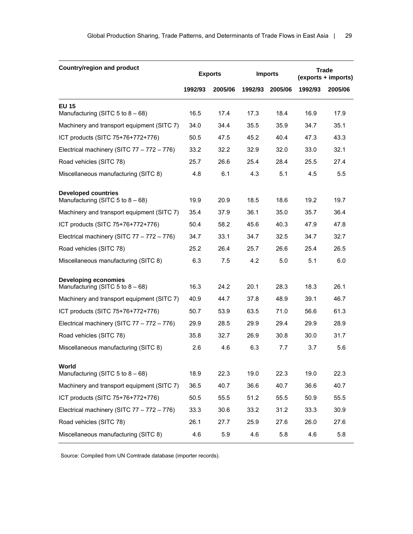| <b>Country/region and product</b>                                    |         | <b>Exports</b> |         | <b>Imports</b> | Trade<br>(exports + imports) |         |
|----------------------------------------------------------------------|---------|----------------|---------|----------------|------------------------------|---------|
|                                                                      | 1992/93 | 2005/06        | 1992/93 | 2005/06        | 1992/93                      | 2005/06 |
| <b>EU 15</b><br>Manufacturing (SITC $5$ to $8 - 68$ )                | 16.5    | 17.4           | 17.3    | 18.4           | 16.9                         | 17.9    |
| Machinery and transport equipment (SITC 7)                           | 34.0    | 34.4           | 35.5    | 35.9           | 34.7                         | 35.1    |
| ICT products (SITC 75+76+772+776)                                    | 50.5    | 47.5           | 45.2    | 40.4           | 47.3                         | 43.3    |
| Electrical machinery (SITC 77 - 772 - 776)                           | 33.2    | 32.2           | 32.9    | 32.0           | 33.0                         | 32.1    |
| Road vehicles (SITC 78)                                              | 25.7    | 26.6           | 25.4    | 28.4           | 25.5                         | 27.4    |
| Miscellaneous manufacturing (SITC 8)                                 | 4.8     | 6.1            | 4.3     | 5.1            | 4.5                          | 5.5     |
| <b>Developed countries</b><br>Manufacturing (SITC $5$ to $8 - 68$ )  | 19.9    | 20.9           | 18.5    | 18.6           | 19.2                         | 19.7    |
| Machinery and transport equipment (SITC 7)                           | 35.4    | 37.9           | 36.1    | 35.0           | 35.7                         | 36.4    |
| ICT products (SITC 75+76+772+776)                                    | 50.4    | 58.2           | 45.6    | 40.3           | 47.9                         | 47.8    |
| Electrical machinery (SITC 77 - 772 - 776)                           | 34.7    | 33.1           | 34.7    | 32.5           | 34.7                         | 32.7    |
| Road vehicles (SITC 78)                                              | 25.2    | 26.4           | 25.7    | 26.6           | 25.4                         | 26.5    |
| Miscellaneous manufacturing (SITC 8)                                 | 6.3     | 7.5            | 4.2     | 5.0            | 5.1                          | 6.0     |
| <b>Developing economies</b><br>Manufacturing (SITC $5$ to $8 - 68$ ) | 16.3    | 24.2           | 20.1    | 28.3           | 18.3                         | 26.1    |
| Machinery and transport equipment (SITC 7)                           | 40.9    | 44.7           | 37.8    | 48.9           | 39.1                         | 46.7    |
| ICT products (SITC 75+76+772+776)                                    | 50.7    | 53.9           | 63.5    | 71.0           | 56.6                         | 61.3    |
| Electrical machinery (SITC 77 - 772 - 776)                           | 29.9    | 28.5           | 29.9    | 29.4           | 29.9                         | 28.9    |
| Road vehicles (SITC 78)                                              | 35.8    | 32.7           | 26.9    | 30.8           | 30.0                         | 31.7    |
| Miscellaneous manufacturing (SITC 8)                                 | 2.6     | 4.6            | 6.3     | 7.7            | 3.7                          | 5.6     |
| World<br>Manufacturing (SITC $5$ to $8 - 68$ )                       | 18.9    | 22.3           | 19.0    | 22.3           | 19.0                         | 22.3    |
| Machinery and transport equipment (SITC 7)                           | 36.5    | 40.7           | 36.6    | 40.7           | 36.6                         | 40.7    |
| ICT products (SITC 75+76+772+776)                                    | 50.5    | 55.5           | 51.2    | 55.5           | 50.9                         | 55.5    |
| Electrical machinery (SITC 77 - 772 - 776)                           | 33.3    | 30.6           | 33.2    | 31.2           | 33.3                         | 30.9    |
| Road vehicles (SITC 78)                                              | 26.1    | 27.7           | 25.9    | 27.6           | 26.0                         | 27.6    |
| Miscellaneous manufacturing (SITC 8)                                 | 4.6     | 5.9            | 4.6     | 5.8            | 4.6                          | 5.8     |

Source: Compiled from UN Comtrade database (importer records).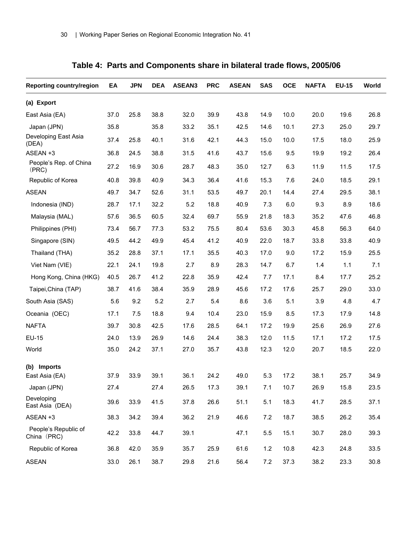| <b>Reporting country/region</b>     | EA   | <b>JPN</b> | <b>DEA</b> | ASEAN3 | <b>PRC</b> | <b>ASEAN</b> | <b>SAS</b> | <b>OCE</b> | <b>NAFTA</b> | <b>EU-15</b> | World |
|-------------------------------------|------|------------|------------|--------|------------|--------------|------------|------------|--------------|--------------|-------|
| (a) Export                          |      |            |            |        |            |              |            |            |              |              |       |
| East Asia (EA)                      | 37.0 | 25.8       | 38.8       | 32.0   | 39.9       | 43.8         | 14.9       | 10.0       | 20.0         | 19.6         | 26.8  |
| Japan (JPN)                         | 35.8 |            | 35.8       | 33.2   | 35.1       | 42.5         | 14.6       | 10.1       | 27.3         | 25.0         | 29.7  |
| Developing East Asia<br>(DEA)       | 37.4 | 25.8       | 40.1       | 31.6   | 42.1       | 44.3         | 15.0       | 10.0       | 17.5         | 18.0         | 25.9  |
| ASEAN +3                            | 36.8 | 24.5       | 38.8       | 31.5   | 41.6       | 43.7         | 15.6       | 9.5        | 19.9         | 19.2         | 26.4  |
| People's Rep. of China<br>(PRC)     | 27.2 | 16.9       | 30.6       | 28.7   | 48.3       | 35.0         | 12.7       | 6.3        | 11.9         | 11.5         | 17.5  |
| Republic of Korea                   | 40.8 | 39.8       | 40.9       | 34.3   | 36.4       | 41.6         | 15.3       | 7.6        | 24.0         | 18.5         | 29.1  |
| <b>ASEAN</b>                        | 49.7 | 34.7       | 52.6       | 31.1   | 53.5       | 49.7         | 20.1       | 14.4       | 27.4         | 29.5         | 38.1  |
| Indonesia (IND)                     | 28.7 | 17.1       | 32.2       | 5.2    | 18.8       | 40.9         | 7.3        | 6.0        | 9.3          | 8.9          | 18.6  |
| Malaysia (MAL)                      | 57.6 | 36.5       | 60.5       | 32.4   | 69.7       | 55.9         | 21.8       | 18.3       | 35.2         | 47.6         | 46.8  |
| Philippines (PHI)                   | 73.4 | 56.7       | 77.3       | 53.2   | 75.5       | 80.4         | 53.6       | 30.3       | 45.8         | 56.3         | 64.0  |
| Singapore (SIN)                     | 49.5 | 44.2       | 49.9       | 45.4   | 41.2       | 40.9         | 22.0       | 18.7       | 33.8         | 33.8         | 40.9  |
| Thailand (THA)                      | 35.2 | 28.8       | 37.1       | 17.1   | 35.5       | 40.3         | 17.0       | 9.0        | 17.2         | 15.9         | 25.5  |
| Viet Nam (VIE)                      | 22.1 | 24.1       | 19.8       | 2.7    | 8.9        | 28.3         | 14.7       | 6.7        | 1.4          | 1.1          | 7.1   |
| Hong Kong, China (HKG)              | 40.5 | 26.7       | 41.2       | 22.8   | 35.9       | 42.4         | 7.7        | 17.1       | 8.4          | 17.7         | 25.2  |
| Taipei, China (TAP)                 | 38.7 | 41.6       | 38.4       | 35.9   | 28.9       | 45.6         | 17.2       | 17.6       | 25.7         | 29.0         | 33.0  |
| South Asia (SAS)                    | 5.6  | 9.2        | 5.2        | 2.7    | 5.4        | 8.6          | 3.6        | 5.1        | 3.9          | 4.8          | 4.7   |
| Oceania (OEC)                       | 17.1 | 7.5        | 18.8       | 9.4    | 10.4       | 23.0         | 15.9       | 8.5        | 17.3         | 17.9         | 14.8  |
| <b>NAFTA</b>                        | 39.7 | 30.8       | 42.5       | 17.6   | 28.5       | 64.1         | 17.2       | 19.9       | 25.6         | 26.9         | 27.6  |
| EU-15                               | 24.0 | 13.9       | 26.9       | 14.6   | 24.4       | 38.3         | 12.0       | 11.5       | 17.1         | 17.2         | 17.5  |
| World                               | 35.0 | 24.2       | 37.1       | 27.0   | 35.7       | 43.8         | 12.3       | 12.0       | 20.7         | 18.5         | 22.0  |
| (b) Imports                         |      |            |            |        |            |              |            |            |              |              |       |
| East Asia (EA)                      | 37.9 | 33.9       | 39.1       | 36.1   | 24.2       | 49.0         | 5.3        | 17.2       | 38.1         | 25.7         | 34.9  |
| Japan (JPN)                         | 27.4 |            | 27.4       | 26.5   | 17.3       | 39.1         | 7.1        | 10.7       | 26.9         | 15.8         | 23.5  |
| Developing<br>East Asia (DEA)       | 39.6 | 33.9       | 41.5       | 37.8   | 26.6       | 51.1         | 5.1        | 18.3       | 41.7         | 28.5         | 37.1  |
| ASEAN +3                            | 38.3 | 34.2       | 39.4       | 36.2   | 21.9       | 46.6         | 7.2        | 18.7       | 38.5         | 26.2         | 35.4  |
| People's Republic of<br>China (PRC) | 42.2 | 33.8       | 44.7       | 39.1   |            | 47.1         | 5.5        | 15.1       | 30.7         | 28.0         | 39.3  |
| Republic of Korea                   | 36.8 | 42.0       | 35.9       | 35.7   | 25.9       | 61.6         | 1.2        | 10.8       | 42.3         | 24.8         | 33.5  |
| <b>ASEAN</b>                        | 33.0 | 26.1       | 38.7       | 29.8   | 21.6       | 56.4         | 7.2        | 37.3       | 38.2         | 23.3         | 30.8  |

# **Table 4: Parts and Components share in bilateral trade flows, 2005/06**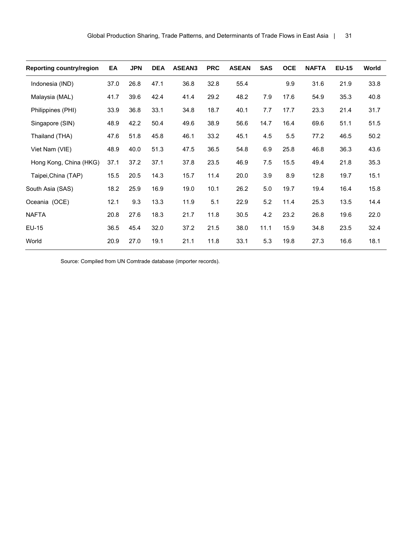| <b>Reporting country/region</b> | EA   | <b>JPN</b> | <b>DEA</b> | <b>ASEAN3</b> | <b>PRC</b> | <b>ASEAN</b> | <b>SAS</b> | <b>OCE</b> | <b>NAFTA</b> | <b>EU-15</b> | World |
|---------------------------------|------|------------|------------|---------------|------------|--------------|------------|------------|--------------|--------------|-------|
| Indonesia (IND)                 | 37.0 | 26.8       | 47.1       | 36.8          | 32.8       | 55.4         |            | 9.9        | 31.6         | 21.9         | 33.8  |
| Malaysia (MAL)                  | 41.7 | 39.6       | 42.4       | 41.4          | 29.2       | 48.2         | 7.9        | 17.6       | 54.9         | 35.3         | 40.8  |
| Philippines (PHI)               | 33.9 | 36.8       | 33.1       | 34.8          | 18.7       | 40.1         | 7.7        | 17.7       | 23.3         | 21.4         | 31.7  |
| Singapore (SIN)                 | 48.9 | 42.2       | 50.4       | 49.6          | 38.9       | 56.6         | 14.7       | 16.4       | 69.6         | 51.1         | 51.5  |
| Thailand (THA)                  | 47.6 | 51.8       | 45.8       | 46.1          | 33.2       | 45.1         | 4.5        | 5.5        | 77.2         | 46.5         | 50.2  |
| Viet Nam (VIE)                  | 48.9 | 40.0       | 51.3       | 47.5          | 36.5       | 54.8         | 6.9        | 25.8       | 46.8         | 36.3         | 43.6  |
| Hong Kong, China (HKG)          | 37.1 | 37.2       | 37.1       | 37.8          | 23.5       | 46.9         | 7.5        | 15.5       | 49.4         | 21.8         | 35.3  |
| Taipei, China (TAP)             | 15.5 | 20.5       | 14.3       | 15.7          | 11.4       | 20.0         | 3.9        | 8.9        | 12.8         | 19.7         | 15.1  |
| South Asia (SAS)                | 18.2 | 25.9       | 16.9       | 19.0          | 10.1       | 26.2         | 5.0        | 19.7       | 19.4         | 16.4         | 15.8  |
| Oceania (OCE)                   | 12.1 | 9.3        | 13.3       | 11.9          | 5.1        | 22.9         | 5.2        | 11.4       | 25.3         | 13.5         | 14.4  |
| <b>NAFTA</b>                    | 20.8 | 27.6       | 18.3       | 21.7          | 11.8       | 30.5         | 4.2        | 23.2       | 26.8         | 19.6         | 22.0  |
| EU-15                           | 36.5 | 45.4       | 32.0       | 37.2          | 21.5       | 38.0         | 11.1       | 15.9       | 34.8         | 23.5         | 32.4  |
| World                           | 20.9 | 27.0       | 19.1       | 21.1          | 11.8       | 33.1         | 5.3        | 19.8       | 27.3         | 16.6         | 18.1  |

Source: Compiled from UN Comtrade database (importer records).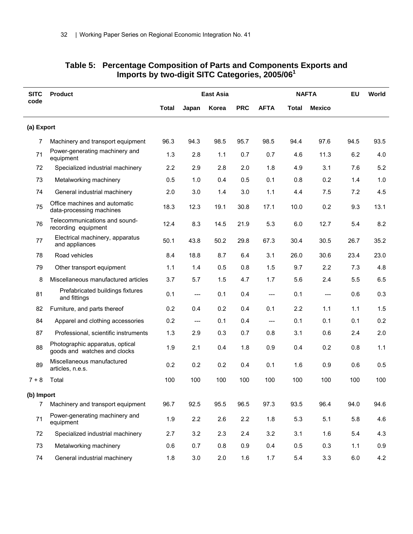| <b>SITC</b> | <b>Product</b>                                                  | <b>NAFTA</b><br><b>East Asia</b> |                |       |            |                | EU           | World         |      |      |
|-------------|-----------------------------------------------------------------|----------------------------------|----------------|-------|------------|----------------|--------------|---------------|------|------|
| code        |                                                                 | <b>Total</b>                     | Japan          | Korea | <b>PRC</b> | <b>AFTA</b>    | <b>Total</b> | <b>Mexico</b> |      |      |
| (a) Export  |                                                                 |                                  |                |       |            |                |              |               |      |      |
| 7           | Machinery and transport equipment                               | 96.3                             | 94.3           | 98.5  | 95.7       | 98.5           | 94.4         | 97.6          | 94.5 | 93.5 |
| 71          | Power-generating machinery and<br>equipment                     | 1.3                              | 2.8            | 1.1   | 0.7        | 0.7            | 4.6          | 11.3          | 6.2  | 4.0  |
| 72          | Specialized industrial machinery                                | 2.2                              | 2.9            | 2.8   | 2.0        | 1.8            | 4.9          | 3.1           | 7.6  | 5.2  |
| 73          | Metalworking machinery                                          | 0.5                              | 1.0            | 0.4   | 0.5        | 0.1            | 0.8          | 0.2           | 1.4  | 1.0  |
| 74          | General industrial machinery                                    | 2.0                              | 3.0            | 1.4   | 3.0        | 1.1            | 4.4          | 7.5           | 7.2  | 4.5  |
| 75          | Office machines and automatic<br>data-processing machines       | 18.3                             | 12.3           | 19.1  | 30.8       | 17.1           | 10.0         | 0.2           | 9.3  | 13.1 |
| 76          | Telecommunications and sound-<br>recording equipment            | 12.4                             | 8.3            | 14.5  | 21.9       | 5.3            | 6.0          | 12.7          | 5.4  | 8.2  |
| 77          | Electrical machinery, apparatus<br>and appliances               | 50.1                             | 43.8           | 50.2  | 29.8       | 67.3           | 30.4         | 30.5          | 26.7 | 35.2 |
| 78          | Road vehicles                                                   | 8.4                              | 18.8           | 8.7   | 6.4        | 3.1            | 26.0         | 30.6          | 23.4 | 23.0 |
| 79          | Other transport equipment                                       | 1.1                              | 1.4            | 0.5   | 0.8        | 1.5            | 9.7          | 2.2           | 7.3  | 4.8  |
| 8           | Miscellaneous manufactured articles                             | 3.7                              | 5.7            | 1.5   | 4.7        | 1.7            | 5.6          | 2.4           | 5.5  | 6.5  |
| 81          | Prefabricated buildings fixtures<br>and fittings                | 0.1                              | $\overline{a}$ | 0.1   | 0.4        | $\overline{a}$ | 0.1          | $---$         | 0.6  | 0.3  |
| 82          | Furniture, and parts thereof                                    | 0.2                              | 0.4            | 0.2   | 0.4        | 0.1            | 2.2          | 1.1           | 1.1  | 1.5  |
| 84          | Apparel and clothing accessories                                | 0.2                              | $\overline{a}$ | 0.1   | 0.4        | ---            | 0.1          | 0.1           | 0.1  | 0.2  |
| 87          | Professional, scientific instruments                            | 1.3                              | 2.9            | 0.3   | 0.7        | 0.8            | 3.1          | 0.6           | 2.4  | 2.0  |
| 88          | Photographic apparatus, optical<br>goods and watches and clocks | 1.9                              | 2.1            | 0.4   | 1.8        | 0.9            | 0.4          | 0.2           | 0.8  | 1.1  |
| 89          | Miscellaneous manufactured<br>articles, n.e.s.                  | 0.2                              | 0.2            | 0.2   | 0.4        | 0.1            | 1.6          | 0.9           | 0.6  | 0.5  |
| $7 + 8$     | Total                                                           | 100                              | 100            | 100   | 100        | 100            | 100          | 100           | 100  | 100  |
| (b) Import  |                                                                 |                                  |                |       |            |                |              |               |      |      |
| 7           | Machinery and transport equipment                               | 96.7                             | 92.5           | 95.5  | 96.5       | 97.3           | 93.5         | 96.4          | 94.0 | 94.6 |
| 71          | Power-generating machinery and<br>equipment                     | 1.9                              | $2.2\,$        | 2.6   | $2.2\,$    | 1.8            | 5.3          | 5.1           | 5.8  | 4.6  |
| 72          | Specialized industrial machinery                                | 2.7                              | 3.2            | 2.3   | 2.4        | 3.2            | 3.1          | 1.6           | 5.4  | 4.3  |
| 73          | Metalworking machinery                                          | 0.6                              | 0.7            | 0.8   | 0.9        | 0.4            | 0.5          | 0.3           | 1.1  | 0.9  |
| 74          | General industrial machinery                                    | 1.8                              | 3.0            | 2.0   | 1.6        | 1.7            | 5.4          | 3.3           | 6.0  | 4.2  |

## **Table 5: Percentage Composition of Parts and Components Exports and Imports by two-digit SITC Categories, 2005/061**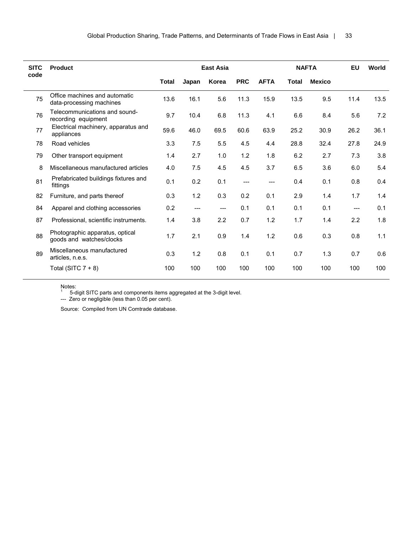| <b>SITC</b><br>code | <b>Product</b>                                              |              |       | <b>East Asia</b> |            |             |              | <b>NAFTA</b>  | <b>EU</b> | World |
|---------------------|-------------------------------------------------------------|--------------|-------|------------------|------------|-------------|--------------|---------------|-----------|-------|
|                     |                                                             | <b>Total</b> | Japan | Korea            | <b>PRC</b> | <b>AFTA</b> | <b>Total</b> | <b>Mexico</b> |           |       |
| 75                  | Office machines and automatic<br>data-processing machines   | 13.6         | 16.1  | 5.6              | 11.3       | 15.9        | 13.5         | 9.5           | 11.4      | 13.5  |
| 76                  | Telecommunications and sound-<br>recording equipment        | 9.7          | 10.4  | 6.8              | 11.3       | 4.1         | 6.6          | 8.4           | 5.6       | 7.2   |
| 77                  | Electrical machinery, apparatus and<br>appliances           | 59.6         | 46.0  | 69.5             | 60.6       | 63.9        | 25.2         | 30.9          | 26.2      | 36.1  |
| 78                  | Road vehicles                                               | 3.3          | 7.5   | 5.5              | 4.5        | 4.4         | 28.8         | 32.4          | 27.8      | 24.9  |
| 79                  | Other transport equipment                                   | 1.4          | 2.7   | 1.0              | 1.2        | 1.8         | 6.2          | 2.7           | 7.3       | 3.8   |
| 8                   | Miscellaneous manufactured articles                         | 4.0          | 7.5   | 4.5              | 4.5        | 3.7         | 6.5          | 3.6           | 6.0       | 5.4   |
| 81                  | Prefabricated buildings fixtures and<br>fittings            | 0.1          | 0.2   | 0.1              | $---$      | ---         | 0.4          | 0.1           | 0.8       | 0.4   |
| 82                  | Furniture, and parts thereof                                | 0.3          | 1.2   | 0.3              | 0.2        | 0.1         | 2.9          | 1.4           | 1.7       | 1.4   |
| 84                  | Apparel and clothing accessories                            | 0.2          | ---   | ---              | 0.1        | 0.1         | 0.1          | 0.1           | ---       | 0.1   |
| 87                  | Professional, scientific instruments.                       | 1.4          | 3.8   | 2.2              | 0.7        | 1.2         | 1.7          | 1.4           | 2.2       | 1.8   |
| 88                  | Photographic apparatus, optical<br>goods and watches/clocks | 1.7          | 2.1   | 0.9              | 1.4        | 1.2         | 0.6          | 0.3           | 0.8       | 1.1   |
| 89                  | Miscellaneous manufactured<br>articles, n.e.s.              | 0.3          | 1.2   | 0.8              | 0.1        | 0.1         | 0.7          | 1.3           | 0.7       | 0.6   |
|                     | Total (SITC $7 + 8$ )                                       | 100          | 100   | 100              | 100        | 100         | 100          | 100           | 100       | 100   |
|                     |                                                             |              |       |                  |            |             |              |               |           |       |

Notes:<br><sup>1</sup>

J.

5-digit SITC parts and components items aggregated at the 3-digit level.

--- Zero or negligible (less than 0.05 per cent). Source: Compiled from UN Comtrade database.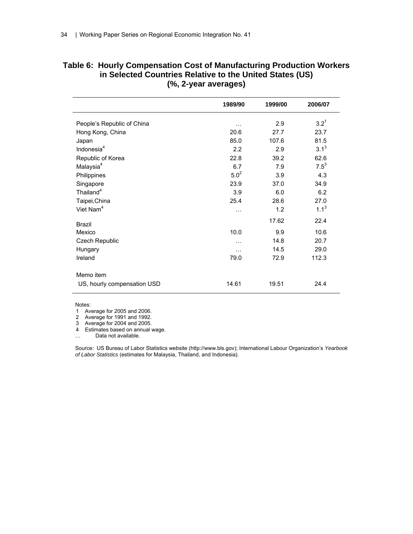|                             | 1989/90  | 1999/00 | 2006/07   |
|-----------------------------|----------|---------|-----------|
| People's Republic of China  | .        | 2.9     | $3.2^{1}$ |
| Hong Kong, China            | 20.6     | 27.7    | 23.7      |
| Japan                       | 85.0     | 107.6   | 81.5      |
| Indonesia <sup>4</sup>      | 2.2      | 2.9     | $3.1^3$   |
| Republic of Korea           | 22.8     | 39.2    | 62.6      |
| Malaysia <sup>4</sup>       | 6.7      | 7.9     | $7.5^3$   |
| Philippines                 | $5.0^2$  | 3.9     | 4.3       |
| Singapore                   | 23.9     | 37.0    | 34.9      |
| Thailand <sup>4</sup>       | 3.9      | 6.0     | 6.2       |
| Taipei, China               | 25.4     | 28.6    | 27.0      |
| Viet Nam <sup>4</sup>       | $\cdots$ | 1.2     | $1.1^3$   |
| Brazil                      |          | 17.62   | 22.4      |
| Mexico                      | 10.0     | 9.9     | 10.6      |
| Czech Republic              | .        | 14.8    | 20.7      |
| Hungary                     | .        | 14.5    | 29.0      |
| Ireland                     | 79.0     | 72.9    | 112.3     |
| Memo item                   |          |         |           |
| US, hourly compensation USD | 14.61    | 19.51   | 24.4      |

## **Table 6: Hourly Compensation Cost of Manufacturing Production Workers in Selected Countries Relative to the United States (US) (%, 2-year averages)**

Notes:

1 Average for 2005 and 2006.

2 Average for 1991 and 1992.

3 Average for 2004 and 2005.

4 Estimates based on annual wage.

… Data not available.

Source: US Bureau of Labor Statistics website (http://www.bls.gov); International Labour Organization's *Yearbook of Labor Statistics* (estimates for Malaysia, Thailand, and Indonesia).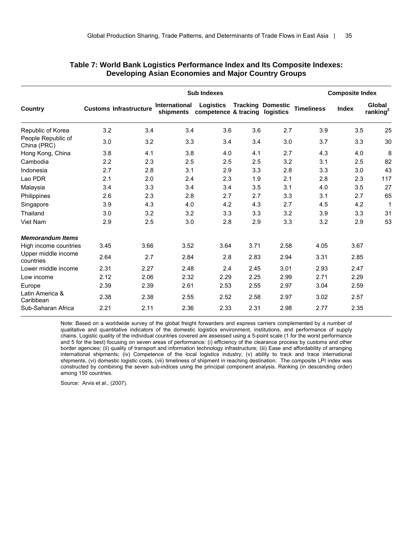|                                   |                               |      | <b>Composite Index</b>     |                                             |      |                          |                   |              |                       |
|-----------------------------------|-------------------------------|------|----------------------------|---------------------------------------------|------|--------------------------|-------------------|--------------|-----------------------|
| <b>Country</b>                    | <b>Customs Infrastructure</b> |      | International<br>shipments | Logistics<br>competence & tracing logistics |      | <b>Tracking Domestic</b> | <b>Timeliness</b> | <b>Index</b> | Global<br>ranking $2$ |
| Republic of Korea                 | 3.2                           | 3.4  | 3.4                        | 3.6                                         | 3.6  | 2.7                      | 3.9               | 3.5          | 25                    |
| People Republic of<br>China (PRC) | 3.0                           | 3.2  | 3.3                        | 3.4                                         | 3.4  | 3.0                      | 3.7               | 3.3          | 30                    |
| Hong Kong, China                  | 3.8                           | 4.1  | 3.8                        | 4.0                                         | 4.1  | 2.7                      | 4.3               | 4.0          | 8                     |
| Cambodia                          | 2.2                           | 2.3  | 2.5                        | 2.5                                         | 2.5  | 3.2                      | 3.1               | 2.5          | 82                    |
| Indonesia                         | 2.7                           | 2.8  | 3.1                        | 2.9                                         | 3.3  | 2.8                      | 3.3               | 3.0          | 43                    |
| Lao PDR                           | 2.1                           | 2.0  | 2.4                        | 2.3                                         | 1.9  | 2.1                      | 2.8               | 2.3          | 117                   |
| Malaysia                          | 3.4                           | 3.3  | 3.4                        | 3.4                                         | 3.5  | 3.1                      | 4.0               | 3.5          | 27                    |
| Philippines                       | 2.6                           | 2.3  | 2.8                        | 2.7                                         | 2.7  | 3.3                      | 3.1               | 2.7          | 65                    |
| Singapore                         | 3.9                           | 4.3  | 4.0                        | 4.2                                         | 4.3  | 2.7                      | 4.5               | 4.2          | 1                     |
| Thailand                          | 3.0                           | 3.2  | 3.2                        | 3.3                                         | 3.3  | 3.2                      | 3.9               | 3.3          | 31                    |
| Viet Nam                          | 2.9                           | 2.5  | 3.0                        | 2.8                                         | 2.9  | 3.3                      | 3.2               | 2.9          | 53                    |
| <b>Memorandum Items</b>           |                               |      |                            |                                             |      |                          |                   |              |                       |
| High income countries             | 3.45                          | 3.66 | 3.52                       | 3.64                                        | 3.71 | 2.58                     | 4.05              | 3.67         |                       |
| Upper middle income<br>countries  | 2.64                          | 2.7  | 2.84                       | 2.8                                         | 2.83 | 2.94                     | 3.31              | 2.85         |                       |
| Lower middle income               | 2.31                          | 2.27 | 2.48                       | 2.4                                         | 2.45 | 3.01                     | 2.93              | 2.47         |                       |
| Low income                        | 2.12                          | 2.06 | 2.32                       | 2.29                                        | 2.25 | 2.99                     | 2.71              | 2.29         |                       |
| Europe                            | 2.39                          | 2.39 | 2.61                       | 2.53                                        | 2.55 | 2.97                     | 3.04              | 2.59         |                       |
| Latin America &<br>Caribbean      | 2.38                          | 2.38 | 2.55                       | 2.52                                        | 2.58 | 2.97                     | 3.02              | 2.57         |                       |
| Sub-Saharan Africa                | 2.21                          | 2.11 | 2.36                       | 2.33                                        | 2.31 | 2.98                     | 2.77              | 2.35         |                       |

### **Table 7: World Bank Logistics Performance Index and Its Composite Indexes: Developing Asian Economies and Major Country Groups**

Note: Based on a worldwide survey of the global freight forwarders and express carriers complemented by a number of qualitative and quantitative indicators of the domestic logistics environment, institutions, and performance of supply chains. Logistic quality of the individual countries covered are assessed using a 5-point scale (1 for the worst performance and 5 for the best) focusing on seven areas of performance: (i) efficiency of the clearance process by customs and other border agencies; (ii) quality of transport and information technology infrastructure; (iii) Ease and affordability of arranging international shipments; (iv) Competence of the local logistics industry; (v) ability to track and trace international shipments, (vi) domestic logistic costs, (vii) timeliness of shipment in reaching destination. The composite LPI index was constructed by combining the seven sub-indices using the principal component analysis. Ranking (in descending order) among 150 countries.

Source: Arvis et al., (2007).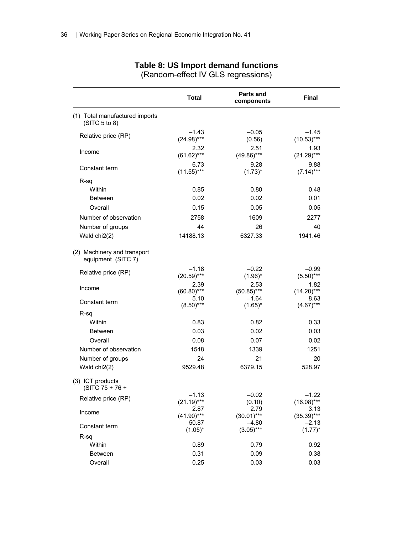|                                                   | <b>Total</b>            | <b>Parts and</b><br>components | <b>Final</b>            |
|---------------------------------------------------|-------------------------|--------------------------------|-------------------------|
| (1) Total manufactured imports<br>(SITC 5 to 8)   |                         |                                |                         |
| Relative price (RP)                               | $-1.43$<br>$(24.98)***$ | $-0.05$<br>(0.56)              | $-1.45$<br>$(10.53)***$ |
| Income                                            | 2.32<br>$(61.62)***$    | 2.51<br>$(49.86)***$           | 1.93<br>$(21.29)***$    |
| Constant term                                     | 6.73<br>$(11.55)***$    | 9.28<br>$(1.73)^*$             | 9.88<br>$(7.14)***$     |
| R-sq                                              |                         |                                |                         |
| Within                                            | 0.85                    | 0.80                           | 0.48                    |
| <b>Between</b>                                    | 0.02                    | 0.02                           | 0.01                    |
| Overall                                           | 0.15                    | 0.05                           | 0.05                    |
| Number of observation                             | 2758                    | 1609                           | 2277                    |
| Number of groups                                  | 44                      | 26                             | 40                      |
| Wald chi2(2)                                      | 14188.13                | 6327.33                        | 1941.46                 |
| (2) Machinery and transport<br>equipment (SITC 7) |                         |                                |                         |
| Relative price (RP)                               | $-1.18$<br>$(20.59)***$ | $-0.22$<br>$(1.96)^*$          | $-0.99$<br>$(5.50)***$  |
| Income                                            | 2.39<br>$(60.80)$ ***   | 2.53<br>$(50.85)***$           | 1.82<br>$(14.20)$ ***   |
| Constant term                                     | 5.10<br>$(8.50)$ ***    | $-1.64$<br>$(1.65)^*$          | 8.63<br>$(4.67)$ ***    |
| R-sq                                              |                         |                                |                         |
| Within                                            | 0.83                    | 0.82                           | 0.33                    |
| <b>Between</b>                                    | 0.03                    | 0.02                           | 0.03                    |
| Overall                                           | 0.08                    | 0.07                           | 0.02                    |
| Number of observation                             | 1548                    | 1339                           | 1251                    |
| Number of groups                                  | 24                      | 21                             | 20                      |
| Wald chi2(2)                                      | 9529.48                 | 6379.15                        | 528.97                  |
| (3) ICT products<br>(SITC 75 + 76 +               |                         |                                |                         |
| Relative price (RP)                               | $-1.13$<br>$(21.19)***$ | $-0.02$<br>(0.10)              | $-1.22$<br>$(16.08)***$ |
| Income                                            | 2.87<br>$(41.90)$ ***   | 2.79<br>$(30.01)***$           | 3.13<br>$(35.39)***$    |
| Constant term                                     | 50.87<br>$(1.05)^*$     | $-4.80$<br>$(3.05)***$         | $-2.13$<br>$(1.77)^*$   |
| R-sq                                              |                         |                                |                         |
| Within                                            | 0.89                    | 0.79                           | 0.92                    |
| <b>Between</b>                                    | 0.31                    | 0.09                           | 0.38                    |
| Overall                                           | 0.25                    | 0.03                           | 0.03                    |

## **Table 8: US Import demand functions**  (Random-effect IV GLS regressions)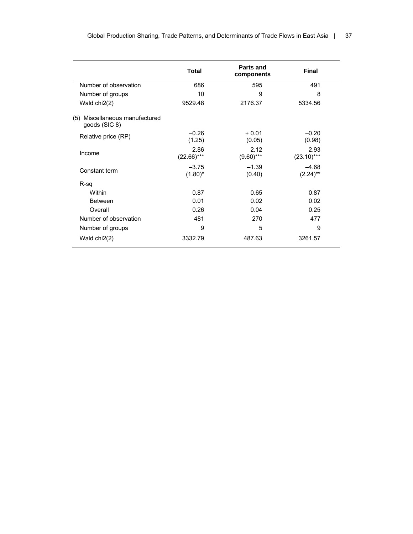|                                                    | <b>Total</b>          | Parts and<br>components | <b>Final</b>           |
|----------------------------------------------------|-----------------------|-------------------------|------------------------|
| Number of observation                              | 686                   | 595                     | 491                    |
| Number of groups                                   | 10                    | 9                       | 8                      |
| Wald chi2(2)                                       | 9529.48               | 2176.37                 | 5334.56                |
| Miscellaneous manufactured<br>(5)<br>goods (SIC 8) |                       |                         |                        |
| Relative price (RP)                                | $-0.26$<br>(1.25)     | $+0.01$<br>(0.05)       | $-0.20$<br>(0.98)      |
| Income                                             | 2.86<br>$(22.66)***$  | 2.12<br>$(9.60)***$     | 2.93<br>$(23.10)***$   |
| Constant term                                      | $-3.75$<br>$(1.80)^*$ | $-1.39$<br>(0.40)       | $-4.68$<br>$(2.24)$ ** |
| R-sq                                               |                       |                         |                        |
| Within                                             | 0.87                  | 0.65                    | 0.87                   |
| <b>Between</b>                                     | 0.01                  | 0.02                    | 0.02                   |
| Overall                                            | 0.26                  | 0.04                    | 0.25                   |
| Number of observation                              | 481                   | 270                     | 477                    |
| Number of groups                                   | 9                     | 5                       | 9                      |
| Wald chi2(2)                                       | 3332.79               | 487.63                  | 3261.57                |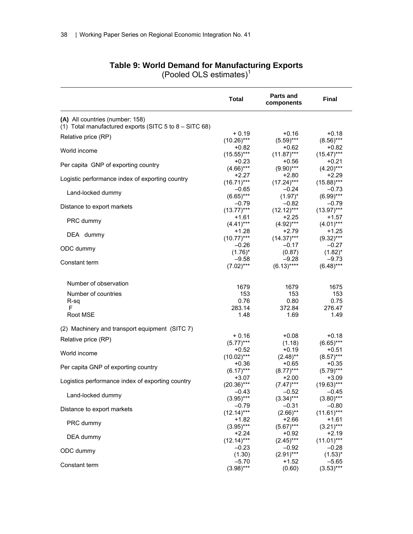|                                                                | <b>Total</b>           | Parts and<br>components  | <b>Final</b>             |
|----------------------------------------------------------------|------------------------|--------------------------|--------------------------|
| (A) All countries (number: 158)                                |                        |                          |                          |
| (1) Total manufactured exports (SITC $5$ to $8 - S$ ITC $68$ ) |                        |                          |                          |
| Relative price (RP)                                            | $+0.19$                | $+0.16$                  | $+0.18$                  |
|                                                                | $(10.26)***$           | $(5.59)***$              | $(8.56)***$              |
| World income                                                   | +0.82<br>$(15.55)***$  | $+0.62$<br>$(11.87)$ *** | $+0.82$<br>$(15.47)$ *** |
|                                                                | $+0.23$                | $+0.56$                  | $+0.21$                  |
| Per capita GNP of exporting country                            | $(4.66)***$            | $(9.90)$ ***             | $(4.20)***$              |
|                                                                | $+2.27$                | +2.80                    | $+2.29$                  |
| Logistic performance index of exporting country                | $(16.71***$            | $(17.24)***$             | $(15.88)***$             |
|                                                                | $-0.65$                | $-0.24$                  | $-0.73$                  |
| Land-locked dummy                                              | $(6.65)***$            | $(1.97)^*$               | $(6.99)***$              |
| Distance to export markets                                     | $-0.79$                | $-0.82$                  | $-0.79$                  |
|                                                                | $(13.77)$ ***          | $(12.12)***$             | $(13.97)***$             |
| PRC dummy                                                      | +1.61                  | $+2.25$                  | +1.57                    |
|                                                                | $(4.41)***$            | $(4.92)***$              | $(4.01)***$              |
| DEA dummy                                                      | $+1.28$                | $+2.79$                  | $+1.25$                  |
|                                                                | $(10.77)$ ***          | $(14.37)$ ***            | $(9.32)***$              |
| ODC dummy                                                      | $-0.26$                | $-0.17$                  | $-0.27$                  |
|                                                                | $(1.76)^*$<br>$-9.58$  | (0.87)<br>$-9.28$        | $(1.82)^*$<br>$-9.73$    |
| Constant term                                                  | $(7.02)***$            | $(6.13)***$              | $(6.48)***$              |
|                                                                |                        |                          |                          |
| Number of observation                                          |                        |                          |                          |
|                                                                | 1679                   | 1679                     | 1675                     |
| Number of countries                                            | 153                    | 153                      | 153                      |
| R-sq                                                           | 0.76                   | 0.80                     | 0.75                     |
| F                                                              | 283.14                 | 372.84                   | 276.47                   |
| Root MSE                                                       | 1.48                   | 1.69                     | 1.49                     |
| (2) Machinery and transport equipment (SITC 7)                 |                        |                          |                          |
|                                                                | + 0.16                 | $+0.08$                  | $+0.18$                  |
| Relative price (RP)                                            | $(5.77)***$            | (1.18)                   | $(6.65)***$              |
| World income                                                   | $+0.52$                | $+0.19$                  | $+0.51$                  |
|                                                                | $(10.02)***$           | $(2.48)$ **              | $(8.57)***$              |
| Per capita GNP of exporting country                            | +0.36                  | $+0.65$                  | $+0.35$                  |
|                                                                | $(6.17)***$            | $(8.77)***$              | $(5.79)***$              |
| Logistics performance index of exporting country               | +3.07                  | $+2.00$                  | $+3.09$                  |
|                                                                | $(20.36)***$           | $(7.47)***$<br>$-0.52$   | $(19.63)***$             |
| Land-locked dummy                                              | $-0.43$<br>$(3.95)***$ | $(3.34)***$              | -0.45<br>$(3.80)***$     |
|                                                                | $-0.79$                | $-0.31$                  | $-0.80$                  |
| Distance to export markets                                     | $(12.14)***$           | $(2.66)$ **              | $(11.61)***$             |
|                                                                | $+1.82$                | $+2.66$                  | $+1.61$                  |
| PRC dummy                                                      | $(3.95)***$            | $(5.67)***$              | $(3.21)***$              |
|                                                                | $+2.24$                | $+0.92$                  | $+2.19$                  |
| DEA dummy                                                      | $(12.14)***$           | $(2.45)***$              | $(11.01)***$             |
| ODC dummy                                                      | $-0.23$                | $-0.92$                  | $-0.28$                  |
|                                                                | (1.30)                 | $(2.91)***$              | $(1.53)^*$               |
| Constant term                                                  | $-5.70$                | $+1.52$                  | $-5.65$                  |
|                                                                | $(3.98)***$            | (0.60)                   | $(3.53)***$              |

## **Table 9: World Demand for Manufacturing Exports**  (Pooled OLS estimates) $<sup>1</sup>$ </sup>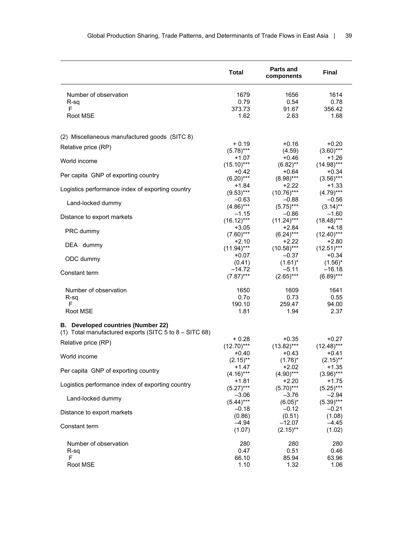|                                                                                                     | Total                   | Parts and<br>components | <b>Final</b>            |
|-----------------------------------------------------------------------------------------------------|-------------------------|-------------------------|-------------------------|
| Number of observation                                                                               | 1679                    | 1656                    | 1614                    |
| R-sq                                                                                                | 0.79                    | 0.54                    | 0.78                    |
| F                                                                                                   | 373.73                  | 91.67                   | 356.42                  |
| Root MSE                                                                                            | 1.62                    | 2.63                    | 1.68                    |
| (2) Miscellaneous manufactured goods (SITC 8)                                                       |                         |                         |                         |
| Relative price (RP)                                                                                 | + 0.19                  | $+0.16$                 | $+0.20$                 |
|                                                                                                     | $(5.78)***$             | (4.59)                  | $(3.60)***$             |
| World income                                                                                        | +1.07                   | $+0.46$                 | +1.26                   |
|                                                                                                     | $(15.10)***$            | $(6.82)$ **             | $(14.98)***$            |
| Per capita GNP of exporting country                                                                 | $+0.42$<br>$(6.20)***$  | +0.64<br>$(8.98)***$    | +0.34                   |
|                                                                                                     | +1.84                   | +2.22                   | $(3.56)***$<br>+1.33    |
| Logistics performance index of exporting country                                                    | $(9.53)$ ***            | $(10.76)***$            | $(4.79)***$             |
|                                                                                                     | $-0.63$                 | $-0.88$                 | $-0.56$                 |
| Land-locked dummy                                                                                   | $(4.86)***$             | $(5.75)***$             | $(3.14)$ **             |
|                                                                                                     | $-1.15$                 | $-0.86$                 | $-1.60$                 |
| Distance to export markets                                                                          | $(16.12)***$            | $(11.24)***$            | $(18.48)***$            |
| PRC dummy                                                                                           | $+3.05$                 | +2.84                   | +4.18                   |
|                                                                                                     | $(7.60)***$             | $(6.24)***$             | $(12.40)***$            |
| DEA dummy                                                                                           | $+2.10$                 | $+2.22$                 | +2.80                   |
|                                                                                                     | $(11.94)***$            | $(10.58)***$            | $(12.51)***$            |
| ODC dummy                                                                                           | $+0.07$                 | $-0.37$                 | $+0.34$                 |
|                                                                                                     | (0.41)                  | $(1.61)^*$              | $(1.56)^*$              |
| Constant term                                                                                       | $-14.72$<br>$(7.87)***$ | -5.11<br>$(2.65)***$    | $-16.18$<br>$(6.89)***$ |
| Number of observation                                                                               | 1650                    | 1609                    | 1641                    |
| R-sq                                                                                                | 0.7 <sub>o</sub>        | 0.73                    | 0.55                    |
| F                                                                                                   | 190.10                  | 259.47                  | 94.00                   |
| Root MSE                                                                                            | 1.81                    | 1.94                    | 2.37                    |
| <b>B.</b> Developed countries (Number 22)<br>(1) Total manufactured exports (SITC 5 to 8 - SITC 68) |                         |                         |                         |
|                                                                                                     | $+0.28$                 | $+0.35$                 | +0.27                   |
| Relative price (RP)                                                                                 | $(12.70)$ ***           | $(13.82)***$            | $(12.48)***$            |
| World income                                                                                        | $+0.40$                 | $+0.43$                 | +0.41                   |
|                                                                                                     | $(2.15)$ **             | $(1.76)^*$              | $(2.15)$ **             |
| Per capita GNP of exporting country                                                                 | $+1.47$                 | $+2.02$                 | $+1.35$                 |
|                                                                                                     | $(4.16)***$             | $(4.90)***$             | $(3.96)***$             |
| Logistics performance index of exporting country                                                    | $+1.81$                 | $+2.20$                 | $+1.75$                 |
|                                                                                                     | $(5.27)***$<br>$-3.06$  | $(5.70)***$<br>$-3.76$  | $(5.25)***$<br>-2.94    |
| Land-locked dummy                                                                                   | $(5.44)***$             | $(6.05)^*$              | $(5.39)***$             |
|                                                                                                     | $-0.18$                 | $-0.12$                 | $-0.21$                 |
| Distance to export markets                                                                          | (0.86)                  | (0.51)                  | (1.08)                  |
|                                                                                                     | $-4.94$                 | $-12.07$                | $-4.45$                 |
| Constant term                                                                                       | (1.07)                  | $(2.15)$ **             | (1.02)                  |
| Number of observation                                                                               | 280                     | 280                     | 280                     |
| R-sq                                                                                                | 0.47                    | 0.51                    | 0.46                    |
| F                                                                                                   | 66.10                   | 85.94                   | 63.96                   |
| Root MSE                                                                                            | 1.10                    | 1.32                    | 1.06                    |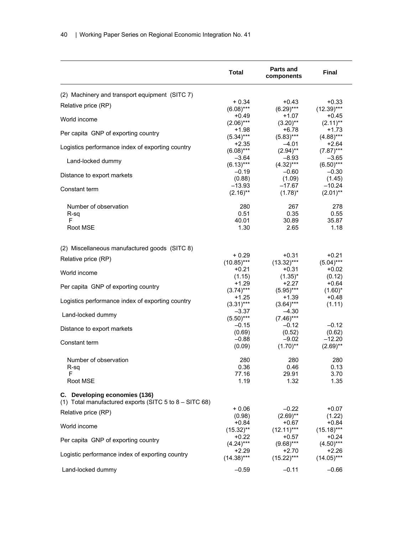|                                                                                                 | Total                  | <b>Parts and</b><br>components | <b>Final</b> |
|-------------------------------------------------------------------------------------------------|------------------------|--------------------------------|--------------|
| (2) Machinery and transport equipment (SITC 7)                                                  |                        |                                |              |
| Relative price (RP)                                                                             | $+0.34$                | $+0.43$                        | $+0.33$      |
|                                                                                                 | $(6.08)***$            | $(6.29)$ ***                   | $(12.39)***$ |
|                                                                                                 | +0.49                  | $+1.07$                        | $+0.45$      |
| World income                                                                                    | $(2.06)***$            | $(3.20)$ **                    | $(2.11)$ **  |
| Per capita GNP of exporting country                                                             | +1.98                  | +6.78                          | +1.73        |
|                                                                                                 | $(5.34)***$            | $(5.83)***$                    | $(4.88)***$  |
| Logistics performance index of exporting country                                                | +2.35                  | $-4.01$                        | +2.64        |
|                                                                                                 | $(6.08)***$            | $(2.94)$ **                    | $(7.87)***$  |
| Land-locked dummy                                                                               | $-3.64$                | $-8.93$                        | $-3.65$      |
|                                                                                                 | $(6.13)***$            | $(4.32)***$                    | $(6.50)***$  |
| Distance to export markets                                                                      | $-0.19$                | $-0.60$                        | $-0.30$      |
|                                                                                                 | (0.88)                 | (1.09)                         | (1.45)       |
| Constant term                                                                                   | $-13.93$               | $-17.67$                       | $-10.24$     |
|                                                                                                 | $(2.16)$ **            | $(1.78)^*$                     | $(2.01)$ **  |
| Number of observation                                                                           | 280                    | 267                            | 278          |
| R-sa                                                                                            | 0.51                   | 0.35                           | 0.55         |
| F                                                                                               | 40.01                  | 30.89                          | 35.87        |
| Root MSE                                                                                        | 1.30                   | 2.65                           | 1.18         |
| (2) Miscellaneous manufactured goods (SITC 8)                                                   |                        |                                |              |
| Relative price (RP)                                                                             | + 0.29                 | $+0.31$                        | $+0.21$      |
|                                                                                                 | $(10.85)***$           | $(13.32)***$                   | $(5.04)***$  |
| World income                                                                                    | $+0.21$                | $+0.31$                        | $+0.02$      |
|                                                                                                 | (1.15)                 | $(1.35)^*$                     | (0.12)       |
| Per capita GNP of exporting country                                                             | $+1.29$                | $+2.27$                        | $+0.64$      |
|                                                                                                 | $(3.74)***$            | $(5.95)$ ***                   | $(1.60)^*$   |
| Logistics performance index of exporting country                                                | $+1.25$                | +1.39                          | $+0.48$      |
|                                                                                                 | $(3.31)***$            | $(3.64)$ ***                   | (1.11)       |
| Land-locked dummy                                                                               | $-3.37$<br>$(5.50)***$ | $-4.30$<br>$(7.46)$ ***        |              |
| Distance to export markets                                                                      | $-0.15$                | $-0.12$                        | $-0.12$      |
|                                                                                                 | (0.69)                 | (0.52)                         | (0.62)       |
| Constant term                                                                                   | $-0.88$                | $-9.02$                        | $-12.20$     |
|                                                                                                 | (0.09)                 | $(1.70)$ **                    | $(2.69)$ **  |
| Number of observation                                                                           | 280                    | 280                            | 280          |
| R-sq                                                                                            | 0.36                   | 0.46                           | 0.13         |
| F                                                                                               | 77.16                  | 29.91                          | 3.70         |
| Root MSE                                                                                        | 1.19                   | 1.32                           | 1.35         |
| C. Developing economies (136)<br>(1) Total manufactured exports (SITC $5$ to $8 - S$ ITC $68$ ) |                        |                                |              |
| Relative price (RP)                                                                             | + 0.06                 | $-0.22$                        | $+0.07$      |
|                                                                                                 | (0.98)                 | $(2.69)$ **                    | (1.22)       |
| World income                                                                                    | $+0.84$                | +0.67                          | +0.84        |
|                                                                                                 | $(15.32)$ **           | $(12.11)***$                   | $(15.18)***$ |
| Per capita GNP of exporting country                                                             | $+0.22$                | $+0.57$                        | $+0.24$      |
|                                                                                                 | $(4.24)***$            | $(9.68)***$                    | $(4.50)***$  |
| Logistic performance index of exporting country                                                 | $+2.29$                | +2.70                          | $+2.26$      |
|                                                                                                 | $(14.38)***$           | $(15.22)***$                   | $(14.05)***$ |
| Land-locked dummy                                                                               | $-0.59$                | $-0.11$                        | $-0.66$      |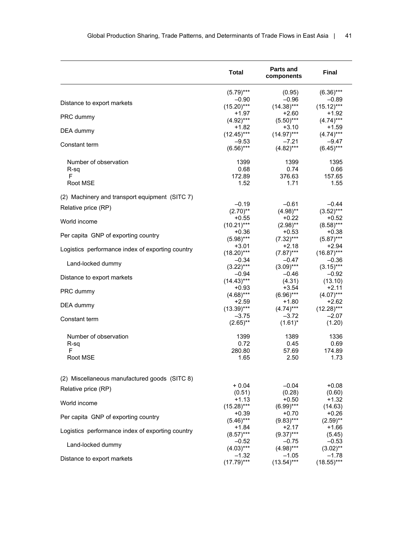|                                                  | Total                   | <b>Parts and</b><br>components | <b>Final</b>           |
|--------------------------------------------------|-------------------------|--------------------------------|------------------------|
|                                                  | $(5.79)***$             | (0.95)                         | $(6.36)$ ***           |
| Distance to export markets                       | $-0.90$                 | $-0.96$                        | $-0.89$                |
|                                                  | $(15.20)***$            | $(14.38)***$                   | $(15.12)***$           |
| PRC dummy                                        | +1.97                   | $+2.60$                        | +1.92                  |
|                                                  | $(4.92)***$             | $(5.50)***$                    | $(4.74)$ ***           |
| DEA dummy                                        | +1.82<br>$(12.45)***$   | +3.10<br>$(14.97)$ ***         | +1.59<br>$(4.74)***$   |
|                                                  | $-9.53$                 | $-7.21$                        | $-9.47$                |
| Constant term                                    | $(6.56)$ ***            | $(4.82)***$                    | $(6.45)***$            |
| Number of observation                            | 1399                    | 1399                           | 1395                   |
| R-sq                                             | 0.68                    | 0.74                           | 0.66                   |
| F                                                | 172.89                  | 376.63                         | 157.65                 |
| Root MSE                                         | 1.52                    | 1.71                           | 1.55                   |
| (2) Machinery and transport equipment (SITC 7)   |                         |                                |                        |
| Relative price (RP)                              | $-0.19$                 | -0.61                          | $-0.44$                |
|                                                  | $(2.70)$ **             | $(4.98)$ **                    | $(3.52)***$            |
| World income                                     | +0.55                   | $+0.22$                        | +0.52                  |
|                                                  | $(10.21)***$            | $(2.98)$ **                    | $(8.58)$ ***           |
| Per capita GNP of exporting country              | $+0.36$                 | +0.53<br>$(7.32)***$           | $+0.38$                |
|                                                  | $(5.98)***$             | $+2.18$                        | $(5.87)***$            |
| Logistics performance index of exporting country | $+3.01$<br>$(18.20)***$ | $(7.87)$ ***                   | +2.94<br>$(16.87)$ *** |
|                                                  | $-0.34$                 | $-0.47$                        | $-0.36$                |
| Land-locked dummy                                | $(3.22)***$             | $(3.09)$ ***                   | $(3.15)***$            |
|                                                  | $-0.94$                 | $-0.46$                        | $-0.92$                |
| Distance to export markets                       | $(14.43)$ ***           | (4.31)                         | (13.10)                |
|                                                  | $+0.93$                 | $+3.54$                        | +2.11                  |
| PRC dummy                                        | $(4.68)***$             | $(6.96)***$                    | $(4.07)***$            |
|                                                  | +2.59                   | +1.80                          | +2.62                  |
| DEA dummy                                        | $(13.39)***$            | $(4.74)***$                    | $(12.28)***$           |
| Constant term                                    | $-3.75$                 | $-3.72$                        | $-2.07$                |
|                                                  | $(2.65)$ **             | $(1.61)^*$                     | (1.20)                 |
| Number of observation                            | 1399                    | 1389                           | 1336                   |
| R-sq                                             | 0.72                    | 0.45                           | 0.69                   |
| F                                                | 280.80                  | 57.69                          | 174.89                 |
| Root MSE                                         | 1.65                    | 2.50                           | 1.73                   |
| (2) Miscellaneous manufactured goods (SITC 8)    |                         |                                |                        |
|                                                  | $+0.04$                 | $-0.04$                        | +0.08                  |
| Relative price (RP)                              | (0.51)                  | (0.28)                         | (0.60)                 |
|                                                  | $+1.13$                 | $+0.50$                        | $+1.32$                |
| World income                                     | $(15.28)***$            | $(6.99)***$                    | (14.63)                |
|                                                  | $+0.39$                 | $+0.70$                        | $+0.26$                |
| Per capita GNP of exporting country              | $(5.46)***$             | $(9.83)***$                    | $(2.59)$ **            |
|                                                  | +1.84                   | +2.17                          | +1.66                  |
| Logistics performance index of exporting country | $(8.57)***$             | $(9.37)***$                    | (5.45)                 |
| Land-locked dummy                                | $-0.52$                 | $-0.75$                        | $-0.53$                |
|                                                  | $(4.03)***$             | $(4.98)***$                    | $(3.02)$ **            |
| Distance to export markets                       | $-1.32$                 | -1.05                          | –1.78                  |
|                                                  | $(17.79)***$            | $(13.54)***$                   | $(18.55)***$           |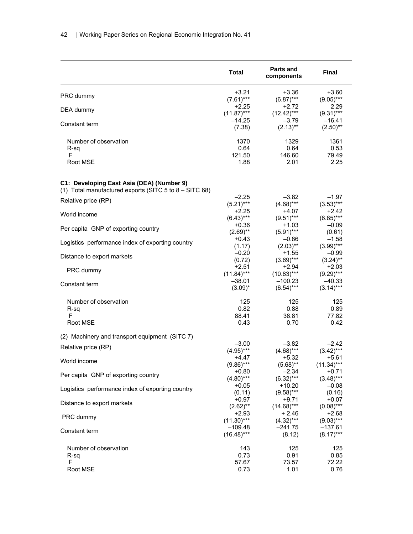|                                                                                                             | Total                     | <b>Parts and</b><br>components | <b>Final</b>             |
|-------------------------------------------------------------------------------------------------------------|---------------------------|--------------------------------|--------------------------|
| PRC dummy                                                                                                   | $+3.21$                   | +3.36                          | $+3.60$                  |
|                                                                                                             | $(7.61)***$<br>$+2.25$    | $(6.87)***$<br>$+2.72$         | $(9.05)***$<br>2.29      |
| DEA dummy                                                                                                   | $(11.87)$ ***             | $(12.42)***$                   | $(9.31)***$              |
| Constant term                                                                                               | $-14.25$<br>(7.38)        | $-3.79$<br>$(2.13)$ **         | $-16.41$<br>$(2.50)$ **  |
| Number of observation<br>R-sq                                                                               | 1370<br>0.64              | 1329<br>0.64                   | 1361<br>0.53             |
| F<br>Root MSE                                                                                               | 121.50<br>1.88            | 146.60<br>2.01                 | 79.49<br>2.25            |
| C1: Developing East Asia (DEA) (Number 9)<br>(1) Total manufactured exports (SITC $5$ to $8 - S$ ITC $68$ ) |                           |                                |                          |
| Relative price (RP)                                                                                         | $-2.25$                   | $-3.82$                        | $-1.97$                  |
|                                                                                                             | $(5.21)***$               | $(4.68)***$                    | $(3.53)***$              |
| World income                                                                                                | $+2.25$<br>$(6.43)***$    | $+4.07$<br>$(9.51)***$         | $+2.42$<br>$(6.85)***$   |
| Per capita GNP of exporting country                                                                         | $+0.36$                   | +1.03                          | $-0.09$                  |
|                                                                                                             | $(2.69)$ **<br>$+0.43$    | $(5.91)***$<br>$-0.86$         | (0.61)<br>$-1.58$        |
| Logistics performance index of exporting country                                                            | (1.17)                    | $(2.03)$ **                    | $(3.99)***$              |
| Distance to export markets                                                                                  | $-0.20$<br>(0.72)         | +1.55<br>$(3.69)***$           | $-0.99$<br>$(3.24)$ **   |
| PRC dummy                                                                                                   | $+2.51$                   | $+2.94$                        | $+2.03$                  |
|                                                                                                             | $(11.84)$ ***             | $(10.83)***$                   | $(9.29)***$              |
| Constant term                                                                                               | $-38.01$<br>$(3.09)^*$    | $-100.23$<br>$(6.54)***$       | –40.33<br>$(3.14)***$    |
| Number of observation                                                                                       | 125                       | 125                            | 125                      |
| R-sq                                                                                                        | 0.82                      | 0.88                           | 0.89                     |
| F                                                                                                           | 88.41                     | 38.81                          | 77.82                    |
| Root MSE                                                                                                    | 0.43                      | 0.70                           | 0.42                     |
| (2) Machinery and transport equipment (SITC 7)                                                              |                           |                                |                          |
| Relative price (RP)                                                                                         | $-3.00$                   | $-3.82$                        | $-2.42$                  |
|                                                                                                             | $(4.95)***$<br>+4.47      | $(4.68)***$<br>$+5.32$         | $(3.42)***$<br>$+5.61$   |
| World income                                                                                                | $(9.86)***$               | $(5.68)$ **                    | $(11.34)***$             |
| Per capita GNP of exporting country                                                                         | $+0.80$<br>$(4.80)***$    | $-2.34$<br>$(6.32)***$         | $+0.71$<br>$(3.48)***$   |
| Logistics performance index of exporting country                                                            | $+0.05$<br>(0.11)         | $+10.20$<br>$(9.58)***$        | $-0.08$<br>(0.16)        |
|                                                                                                             | $+0.97$                   | $+9.71$                        | $+0.07$                  |
| Distance to export markets                                                                                  | $(2.62)$ **               | $(14.68)***$                   | $(0.08)***$              |
| PRC dummy                                                                                                   | $+2.93$                   | $+2.46$                        | +2.68                    |
|                                                                                                             | $(11.30)***$              | $(4.32)***$                    | $(9.03)$ ***             |
| Constant term                                                                                               | $-109.48$<br>$(16.48)***$ | $-241.75$<br>(8.12)            | $-137.61$<br>$(8.17)***$ |
| Number of observation                                                                                       | 143                       | 125                            | 125                      |
| R-sq                                                                                                        | 0.73                      | 0.91                           | 0.85                     |
| F                                                                                                           | 57.67                     | 73.57                          | 72.22                    |
| Root MSE                                                                                                    | 0.73                      | 1.01                           | 0.76                     |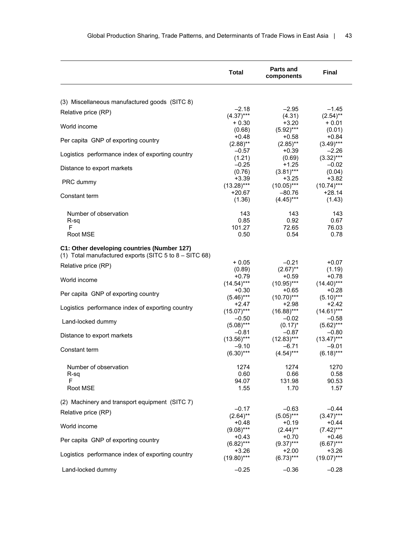|                                                                                                               | <b>Total</b>            | Parts and<br>components | <b>Final</b>             |
|---------------------------------------------------------------------------------------------------------------|-------------------------|-------------------------|--------------------------|
| (3) Miscellaneous manufactured goods (SITC 8)                                                                 |                         |                         |                          |
|                                                                                                               | $-2.18$                 | $-2.95$                 | –1.45                    |
| Relative price (RP)                                                                                           | $(4.37)***$             | (4.31)                  | $(2.54)$ <sup>**</sup>   |
| World income                                                                                                  | $+0.30$                 | $+3.20$                 | $+0.01$                  |
|                                                                                                               | (0.68)                  | $(5.92)***$             | (0.01)                   |
| Per capita GNP of exporting country                                                                           | $+0.48$<br>$(2.88)$ **  | $+0.58$<br>$(2.85)$ **  | $+0.84$<br>$(3.49)***$   |
| Logistics performance index of exporting country                                                              | $-0.57$                 | $+0.39$                 | $-2.26$                  |
|                                                                                                               | (1.21)<br>$-0.25$       | (0.69)<br>$+1.25$       | $(3.32)***$<br>$-0.02$   |
| Distance to export markets                                                                                    | (0.76)                  | $(3.81)***$             | (0.04)                   |
| PRC dummy                                                                                                     | $+3.39$                 | $+3.25$                 | +3.82                    |
|                                                                                                               | $(13.28)***$            | $(10.05)***$            | $(10.74)***$             |
| Constant term                                                                                                 | $+20.67$                | –80.76                  | $+28.14$                 |
|                                                                                                               | (1.36)                  | $(4.45)***$             | (1.43)                   |
| Number of observation                                                                                         | 143                     | 143                     | 143                      |
| R-sq                                                                                                          | 0.85                    | 0.92                    | 0.67                     |
| F                                                                                                             | 101.27                  | 72.65                   | 76.03                    |
| Root MSE                                                                                                      | 0.50                    | 0.54                    | 0.78                     |
| C1: Other developing countries (Number 127)<br>(1) Total manufactured exports (SITC $5$ to $8 - S$ ITC $68$ ) |                         |                         |                          |
| Relative price (RP)                                                                                           | $+0.05$                 | $-0.21$                 | $+0.07$                  |
|                                                                                                               | (0.89)                  | $(2.67)$ **             | (1.19)                   |
| World income                                                                                                  | $+0.79$                 | +0.59                   | +0.78                    |
|                                                                                                               | $(14.54)***$<br>+0.30   | $(10.95)***$<br>+0.65   | $(14.40)***$<br>+0.28    |
| Per capita GNP of exporting country                                                                           | $(5.46)***$             | $(10.70)$ ***           | $(5.10)***$              |
|                                                                                                               | +2.47                   | +2.98                   | +2.42                    |
| Logistics performance index of exporting country                                                              | $(15.07)$ ***           | $(16.88)***$            | $(14.61)***$             |
| Land-locked dummy                                                                                             | $-0.50$                 | $-0.02$                 | $-0.58$                  |
|                                                                                                               | $(5.08)***$             | $(0.17)^*$              | $(5.62)$ ***             |
| Distance to export markets                                                                                    | $-0.81$<br>$(13.56)***$ | -0.87<br>$(12.83)***$   | $-0.80$<br>$(13.47)$ *** |
|                                                                                                               | $-9.10$                 | -6.71                   | $-9.01$                  |
| Constant term                                                                                                 | $(6.30)***$             | $(4.54)***$             | $(6.18)***$              |
| Number of observation                                                                                         | 1274                    | 1274                    | 1270                     |
| R-sa                                                                                                          | 0.60                    | 0.66                    | 0.58                     |
| F                                                                                                             | 94.07                   | 131.98                  | 90.53                    |
| Root MSE                                                                                                      | 1.55                    | 1.70                    | 1.57                     |
| (2) Machinery and transport equipment (SITC 7)                                                                |                         |                         |                          |
|                                                                                                               | $-0.17$                 | -0.63                   | -0.44                    |
| Relative price (RP)                                                                                           | $(2.64)$ **             | $(5.05)***$             | $(3.47)$ ***             |
| World income                                                                                                  | +0.48                   | +0.19                   | +0.44                    |
|                                                                                                               | $(9.08)***$             | $(2.44)$ **             | $(7.42)$ ***             |
| Per capita GNP of exporting country                                                                           | +0.43                   | +0.70                   | $+0.46$                  |
|                                                                                                               | $(6.82)***$             | $(9.37)***$             | $(6.67)$ ***             |
| Logistics performance index of exporting country                                                              | +3.26<br>$(19.80)$ ***  | $+2.00$<br>$(6.73)***$  | +3.26<br>$(19.07)***$    |
| Land-locked dummy                                                                                             | $-0.25$                 | $-0.36$                 | $-0.28$                  |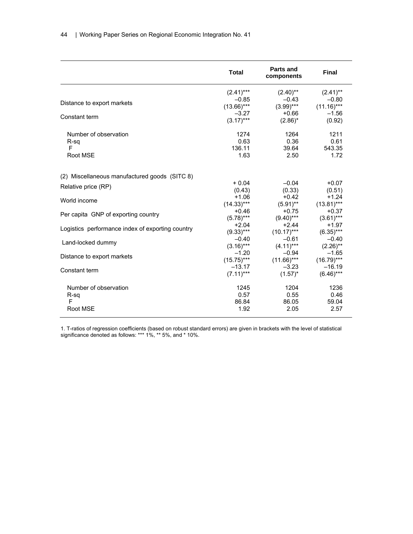|                                                  | <b>Total</b> | Parts and<br>components | <b>Final</b> |
|--------------------------------------------------|--------------|-------------------------|--------------|
|                                                  | $(2.41)***$  | $(2.40)$ **             | $(2.41)$ **  |
|                                                  | $-0.85$      | $-0.43$                 | $-0.80$      |
| Distance to export markets                       | $(13.66)***$ | $(3.99)***$             | $(11.16)***$ |
|                                                  | $-3.27$      | $+0.66$                 | $-1.56$      |
| Constant term                                    | $(3.17)***$  | $(2.86)^*$              | (0.92)       |
| Number of observation                            | 1274         | 1264                    | 1211         |
| R-sq                                             | 0.63         | 0.36                    | 0.61         |
| F                                                | 136.11       | 39.64                   | 543.35       |
| Root MSE                                         | 1.63         | 2.50                    | 1.72         |
| (2) Miscellaneous manufactured goods (SITC 8)    |              |                         |              |
|                                                  | $+0.04$      | $-0.04$                 | $+0.07$      |
| Relative price (RP)                              | (0.43)       | (0.33)                  | (0.51)       |
|                                                  | $+1.06$      | $+0.42$                 | $+1.24$      |
| World income                                     | $(14.33)***$ | $(5.91)$ **             | $(13.81)***$ |
|                                                  | $+0.46$      | $+0.75$                 | $+0.37$      |
| Per capita GNP of exporting country              | $(5.78)$ *** | $(9.40)$ ***            | $(3.61)***$  |
| Logistics performance index of exporting country | $+2.04$      | $+2.44$                 | $+1.97$      |
|                                                  | $(9.33)***$  | $(10.17)***$            | $(6.35)***$  |
| Land-locked dummy                                | $-0.40$      | $-0.61$                 | $-0.40$      |
|                                                  | $(3.16)***$  | $(4.11)***$             | $(2.26)$ **  |
| Distance to export markets                       | $-1.20$      | $-0.94$                 | $-1.65$      |
|                                                  | $(15.75)***$ | $(11.66)***$            | $(16.79)***$ |
| Constant term                                    | $-13.17$     | $-3.23$                 | $-16.19$     |
|                                                  | $(7.11)***$  | $(1.57)^*$              | $(6.46)$ *** |
| Number of observation                            | 1245         | 1204                    | 1236         |
| R-sa                                             | 0.57         | 0.55                    | 0.46         |
| F                                                | 86.84        | 86.05                   | 59.04        |
| Root MSE                                         | 1.92         | 2.05                    | 2.57         |
|                                                  |              |                         |              |

1. T-ratios of regression coefficients (based on robust standard errors) are given in brackets with the level of statistical significance denoted as follows: \*\*\* 1%, \*\* 5%, and \* 10%.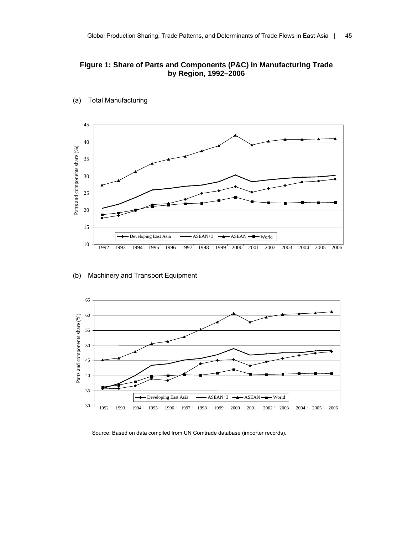## **Figure 1: Share of Parts and Components (P&C) in Manufacturing Trade by Region, 1992–2006**





### (b) Machinery and Transport Equipment



Source: Based on data compiled from UN Comtrade database (importer records).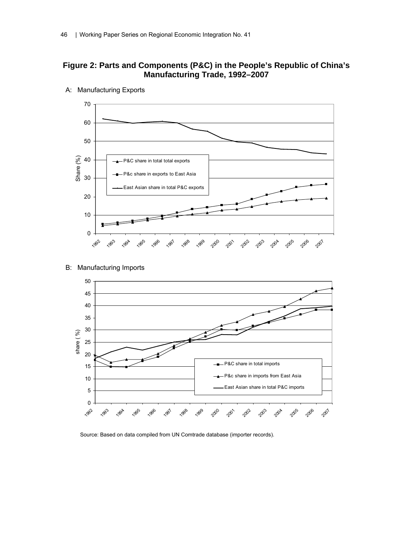## **Figure 2: Parts and Components (P&C) in the People's Republic of China's Manufacturing Trade, 1992–2007**



A: Manufacturing Exports

#### B: Manufacturing Imports



Source: Based on data compiled from UN Comtrade database (importer records).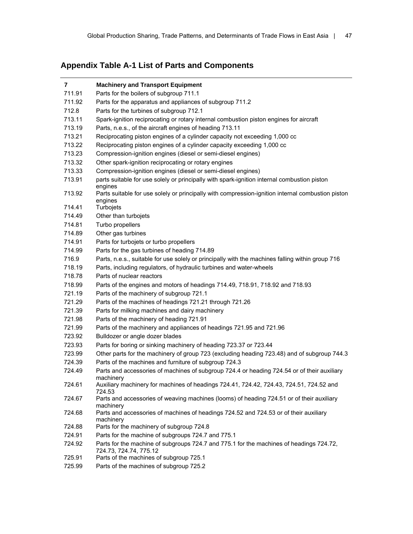# **Appendix Table A-1 List of Parts and Components**

| 7      | <b>Machinery and Transport Equipment</b>                                                                          |
|--------|-------------------------------------------------------------------------------------------------------------------|
| 711.91 | Parts for the boilers of subgroup 711.1                                                                           |
| 711.92 | Parts for the apparatus and appliances of subgroup 711.2                                                          |
| 712.8  | Parts for the turbines of subgroup 712.1                                                                          |
| 713.11 | Spark-ignition reciprocating or rotary internal combustion piston engines for aircraft                            |
| 713.19 | Parts, n.e.s., of the aircraft engines of heading 713.11                                                          |
| 713.21 | Reciprocating piston engines of a cylinder capacity not exceeding 1,000 cc                                        |
| 713.22 | Reciprocating piston engines of a cylinder capacity exceeding 1,000 cc                                            |
| 713.23 | Compression-ignition engines (diesel or semi-diesel engines)                                                      |
| 713.32 | Other spark-ignition reciprocating or rotary engines                                                              |
| 713.33 | Compression-ignition engines (diesel or semi-diesel engines)                                                      |
| 713.91 | parts suitable for use solely or principally with spark-ignition internal combustion piston<br>engines            |
| 713.92 | Parts suitable for use solely or principally with compression-ignition internal combustion piston<br>engines      |
| 714.41 | Turbojets                                                                                                         |
| 714.49 | Other than turbojets                                                                                              |
| 714.81 | Turbo propellers                                                                                                  |
| 714.89 | Other gas turbines                                                                                                |
| 714.91 | Parts for turbojets or turbo propellers                                                                           |
| 714.99 | Parts for the gas turbines of heading 714.89                                                                      |
| 716.9  | Parts, n.e.s., suitable for use solely or principally with the machines falling within group 716                  |
| 718.19 | Parts, including regulators, of hydraulic turbines and water-wheels                                               |
| 718.78 | Parts of nuclear reactors                                                                                         |
| 718.99 | Parts of the engines and motors of headings 714.49, 718.91, 718.92 and 718.93                                     |
| 721.19 | Parts of the machinery of subgroup 721.1                                                                          |
| 721.29 | Parts of the machines of headings 721.21 through 721.26                                                           |
| 721.39 | Parts for milking machines and dairy machinery                                                                    |
| 721.98 | Parts of the machinery of heading 721.91                                                                          |
| 721.99 | Parts of the machinery and appliances of headings 721.95 and 721.96                                               |
| 723.92 | Bulldozer or angle dozer blades                                                                                   |
| 723.93 | Parts for boring or sinking machinery of heading 723.37 or 723.44                                                 |
| 723.99 | Other parts for the machinery of group 723 (excluding heading 723.48) and of subgroup 744.3                       |
| 724.39 | Parts of the machines and furniture of subgroup 724.3                                                             |
| 724.49 | Parts and accessories of machines of subgroup 724.4 or heading 724.54 or of their auxiliary<br>machinery          |
| 724.61 | Auxiliary machinery for machines of headings 724.41, 724.42, 724.43, 724.51, 724.52 and<br>724.53                 |
| 724.67 | Parts and accessories of weaving machines (looms) of heading 724.51 or of their auxiliary<br>machinery            |
| 724.68 | Parts and accessories of machines of headings 724.52 and 724.53 or of their auxiliary<br>machinery                |
| 724.88 | Parts for the machinery of subgroup 724.8                                                                         |
| 724.91 | Parts for the machine of subgroups 724.7 and 775.1                                                                |
| 724.92 | Parts for the machine of subgroups 724.7 and 775.1 for the machines of headings 724.72,<br>724.73, 724.74, 775.12 |
| 725.91 | Parts of the machines of subgroup 725.1                                                                           |

725.99 Parts of the machines of subgroup 725.2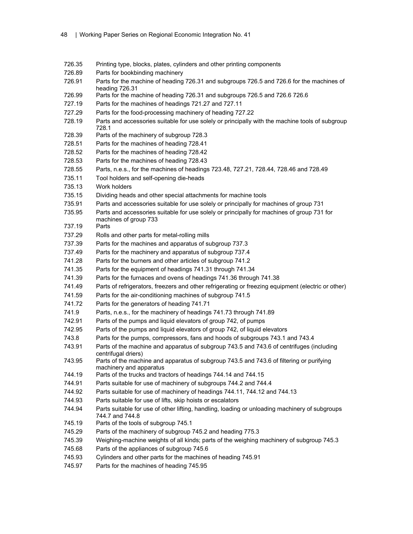726.89 Parts for bookbinding machinery

726.35 Printing type, blocks, plates, cylinders and other printing components

726.91 Parts for the machine of heading 726.31 and subgroups 726.5 and 726.6 for the machines of heading 726.31 726.99 Parts for the machine of heading 726.31 and subgroups 726.5 and 726.6 726.6 727.19 Parts for the machines of headings 721.27 and 727.11 727.29 Parts for the food-processing machinery of heading 727.22 728.19 Parts and accessories suitable for use solely or principally with the machine tools of subgroup 728.1 728.39 Parts of the machinery of subgroup 728.3 728.51 Parts for the machines of heading 728.41 728.52 Parts for the machines of heading 728.42 728.53 Parts for the machines of heading 728.43 728.55 Parts, n.e.s., for the machines of headings 723.48, 727.21, 728.44, 728.46 and 728.49 735.11 Tool holders and self-opening die-heads 735.13 Work holders 735.15 Dividing heads and other special attachments for machine tools 735.91 Parts and accessories suitable for use solely or principally for machines of group 731 735.95 Parts and accessories suitable for use solely or principally for machines of group 731 for machines of group 733 737.19 Parts 737.29 Rolls and other parts for metal-rolling mills 737.39 Parts for the machines and apparatus of subgroup 737.3 737.49 Parts for the machinery and apparatus of subgroup 737.4 741.28 Parts for the burners and other articles of subgroup 741.2 741.35 Parts for the equipment of headings 741.31 through 741.34 741.39 Parts for the furnaces and ovens of headings 741.36 through 741.38 741.49 Parts of refrigerators, freezers and other refrigerating or freezing equipment (electric or other) 741.59 Parts for the air-conditioning machines of subgroup 741.5 741.72 Parts for the generators of heading 741.71 741.9 Parts, n.e.s., for the machinery of headings 741.73 through 741.89 742.91 Parts of the pumps and liquid elevators of group 742, of pumps 742.95 Parts of the pumps and liquid elevators of group 742, of liquid elevators 743.8 Parts for the pumps, compressors, fans and hoods of subgroups 743.1 and 743.4 743.91 Parts of the machine and apparatus of subgroup 743.5 and 743.6 of centrifuges (including centrifugal driers) 743.95 Parts of the machine and apparatus of subgroup 743.5 and 743.6 of filtering or purifying machinery and apparatus 744.19 Parts of the trucks and tractors of headings 744.14 and 744.15 744.91 Parts suitable for use of machinery of subgroups 744.2 and 744.4 744.92 Parts suitable for use of machinery of headings 744.11, 744.12 and 744.13 744.93 Parts suitable for use of lifts, skip hoists or escalators 744.94 Parts suitable for use of other lifting, handling, loading or unloading machinery of subgroups 744.7 and 744.8 745.19 Parts of the tools of subgroup 745.1 745.29 Parts of the machinery of subgroup 745.2 and heading 775.3 745.39 Weighing-machine weights of all kinds; parts of the weighing machinery of subgroup 745.3 745.68 Parts of the appliances of subgroup 745.6 745.93 Cylinders and other parts for the machines of heading 745.91 745.97 Parts for the machines of heading 745.95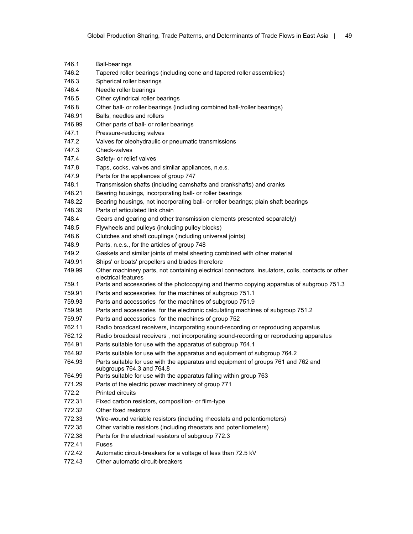746.1 Ball-bearings

746.2 Tapered roller bearings (including cone and tapered roller assemblies) 746.3 Spherical roller bearings 746.4 Needle roller bearings 746.5 Other cylindrical roller bearings 746.8 Other ball- or roller bearings (including combined ball-/roller bearings) 746.91 Balls, needles and rollers 746.99 Other parts of ball- or roller bearings 747.1 Pressure-reducing valves 747.2 Valves for oleohydraulic or pneumatic transmissions 747.3 Check-valves 747.4 Safety- or relief valves 747.8 Taps, cocks, valves and similar appliances, n.e.s. 747.9 Parts for the appliances of group 747 748.1 Transmission shafts (including camshafts and crankshafts) and cranks 748.21 Bearing housings, incorporating ball- or roller bearings 748.22 Bearing housings, not incorporating ball- or roller bearings; plain shaft bearings 748.39 Parts of articulated link chain 748.4 Gears and gearing and other transmission elements presented separately) 748.5 Flywheels and pulleys (including pulley blocks) 748.6 Clutches and shaft couplings (including universal joints) 748.9 Parts, n.e.s., for the articles of group 748 749.2 Gaskets and similar joints of metal sheeting combined with other material 749.91 Ships' or boats' propellers and blades therefore 749.99 Other machinery parts, not containing electrical connectors, insulators, coils, contacts or other electrical features 759.1 Parts and accessories of the photocopying and thermo copying apparatus of subgroup 751.3 759.91 Parts and accessories for the machines of subgroup 751.1 759.93 Parts and accessories for the machines of subgroup 751.9 759.95 Parts and accessories for the electronic calculating machines of subgroup 751.2 759.97 Parts and accessories for the machines of group 752 762.11 Radio broadcast receivers, incorporating sound-recording or reproducing apparatus 762.12 Radio broadcast receivers , not incorporating sound-recording or reproducing apparatus 764.91 Parts suitable for use with the apparatus of subgroup 764.1 764.92 Parts suitable for use with the apparatus and equipment of subgroup 764.2 764.93 Parts suitable for use with the apparatus and equipment of groups 761 and 762 and subgroups 764.3 and 764.8 764.99 Parts suitable for use with the apparatus falling within group 763 771.29 Parts of the electric power machinery of group 771 772.2 Printed circuits 772.31 Fixed carbon resistors, composition- or film-type 772.32 Other fixed resistors 772.33 Wire-wound variable resistors (including rheostats and potentiometers) 772.35 Other variable resistors (including rheostats and potentiometers) 772.38 Parts for the electrical resistors of subgroup 772.3 772.41 Fuses 772.42 Automatic circuit-breakers for a voltage of less than 72.5 kV 772.43 Other automatic circuit-breakers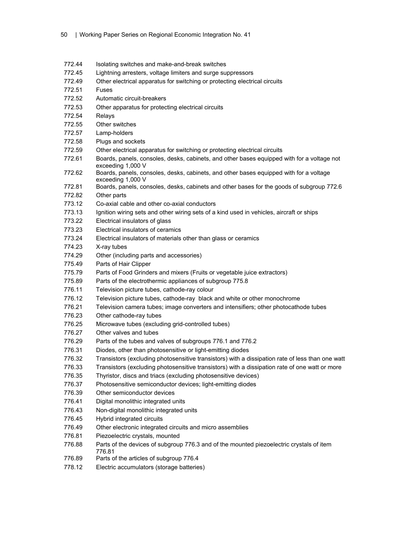| 772.44           | Isolating switches and make-and-break switches                                                                  |
|------------------|-----------------------------------------------------------------------------------------------------------------|
| 772.45           | Lightning arresters, voltage limiters and surge suppressors                                                     |
| 772.49           | Other electrical apparatus for switching or protecting electrical circuits                                      |
| 772.51           | Fuses                                                                                                           |
| 772.52           | Automatic circuit-breakers                                                                                      |
| 772.53           | Other apparatus for protecting electrical circuits                                                              |
| 772.54           | Relays                                                                                                          |
| 772.55           | Other switches                                                                                                  |
| 772.57           | Lamp-holders                                                                                                    |
| 772.58           | Plugs and sockets                                                                                               |
| 772.59           | Other electrical apparatus for switching or protecting electrical circuits                                      |
| 772.61           | Boards, panels, consoles, desks, cabinets, and other bases equipped with for a voltage not<br>exceeding 1,000 V |
| 772.62           | Boards, panels, consoles, desks, cabinets, and other bases equipped with for a voltage<br>exceeding 1,000 V     |
| 772.81           | Boards, panels, consoles, desks, cabinets and other bases for the goods of subgroup 772.6                       |
| 772.82           | Other parts                                                                                                     |
| 773.12           | Co-axial cable and other co-axial conductors                                                                    |
| 773.13           | Ignition wiring sets and other wiring sets of a kind used in vehicles, aircraft or ships                        |
| 773.22           | Electrical insulators of glass                                                                                  |
| 773.23           | Electrical insulators of ceramics                                                                               |
| 773.24           | Electrical insulators of materials other than glass or ceramics                                                 |
| 774.23           | X-ray tubes                                                                                                     |
| 774.29           | Other (including parts and accessories)                                                                         |
| 775.49           | Parts of Hair Clipper                                                                                           |
| 775.79           | Parts of Food Grinders and mixers (Fruits or vegetable juice extractors)                                        |
| 775.89           | Parts of the electrothermic appliances of subgroup 775.8                                                        |
| 776.11           | Television picture tubes, cathode-ray colour                                                                    |
| 776.12           | Television picture tubes, cathode-ray black and white or other monochrome                                       |
| 776.21           | Television camera tubes; image converters and intensifiers; other photocathode tubes                            |
| 776.23           | Other cathode-ray tubes                                                                                         |
| 776.25           | Microwave tubes (excluding grid-controlled tubes)                                                               |
| 776.27           | Other valves and tubes                                                                                          |
| 776.29           | Parts of the tubes and valves of subgroups 776.1 and 776.2                                                      |
| 776.31           | Diodes, other than photosensitive or light-emitting diodes                                                      |
| 776.32           | Transistors (excluding photosensitive transistors) with a dissipation rate of less than one watt                |
| 776.33           | Transistors (excluding photosensitive transistors) with a dissipation rate of one watt or more                  |
| 776.35           | Thyristor, discs and triacs (excluding photosensitive devices)                                                  |
| 776.37           | Photosensitive semiconductor devices; light-emitting diodes                                                     |
| 776.39           | Other semiconductor devices                                                                                     |
| 776.41           | Digital monolithic integrated units                                                                             |
| 776.43           | Non-digital monolithic integrated units                                                                         |
| 776.45           | Hybrid integrated circuits                                                                                      |
| 776.49           | Other electronic integrated circuits and micro assemblies                                                       |
| 776.81           | Piezoelectric crystals, mounted                                                                                 |
| 776.88           | Parts of the devices of subgroup 776.3 and of the mounted piezoelectric crystals of item                        |
|                  | 776.81                                                                                                          |
| 776.89<br>778.12 | Parts of the articles of subgroup 776.4<br>Electric accumulators (storage batteries)                            |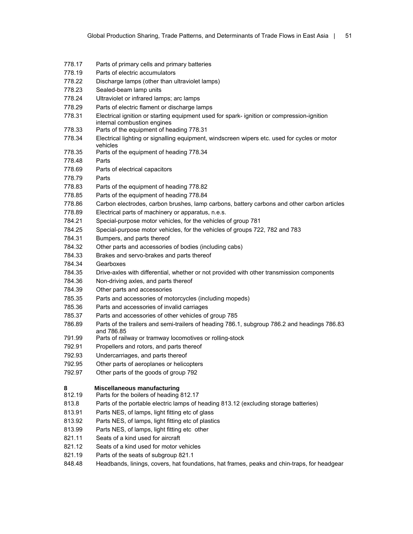- 778.17 Parts of primary cells and primary batteries
- 778.19 Parts of electric accumulators
- 778.22 Discharge lamps (other than ultraviolet lamps)
- 778.23 Sealed-beam lamp units
- 778.24 Ultraviolet or infrared lamps; arc lamps
- 778.29 Parts of electric flament or discharge lamps
- 778.31 Electrical ignition or starting equipment used for spark- ignition or compression-ignition internal combustion engines
- 778.33 Parts of the equipment of heading 778.31
- 778.34 Electrical lighting or signalling equipment, windscreen wipers etc. used for cycles or motor vehicles
- 778.35 Parts of the equipment of heading 778.34
- 778.48 Parts
- 778.69 Parts of electrical capacitors
- 778.79 Parts
- 778.83 Parts of the equipment of heading 778.82
- 778.85 Parts of the equipment of heading 778.84
- 778.86 Carbon electrodes, carbon brushes, lamp carbons, battery carbons and other carbon articles
- 778.89 Electrical parts of machinery or apparatus, n.e.s.
- 784.21 Special-purpose motor vehicles, for the vehicles of group 781
- 784.25 Special-purpose motor vehicles, for the vehicles of groups 722, 782 and 783
- 784.31 Bumpers, and parts thereof
- 784.32 Other parts and accessories of bodies (including cabs)
- 784.33 Brakes and servo-brakes and parts thereof
- 784.34 Gearboxes
- 784.35 Drive-axles with differential, whether or not provided with other transmission components
- 784.36 Non-driving axles, and parts thereof
- 784.39 Other parts and accessories
- 785.35 Parts and accessories of motorcycles (including mopeds)
- 785.36 Parts and accessories of invalid carriages
- 785.37 Parts and accessories of other vehicles of group 785
- 786.89 Parts of the trailers and semi-trailers of heading 786.1, subgroup 786.2 and headings 786.83 and 786.85
- 791.99 Parts of railway or tramway locomotives or rolling-stock
- 792.91 Propellers and rotors, and parts thereof
- 792.93 Undercarriages, and parts thereof
- 792.95 Other parts of aeroplanes or helicopters
- 792.97 Other parts of the goods of group 792

#### **8 Miscellaneous manufacturing**

- 812.19 Parts for the boilers of heading 812.17
- 813.8 Parts of the portable electric lamps of heading 813.12 (excluding storage batteries)
- 813.91 Parts NES, of lamps, light fitting etc of glass
- 813.92 Parts NES, of lamps, light fitting etc of plastics
- 813.99 Parts NES, of lamps, light fitting etc other
- 821.11 Seats of a kind used for aircraft
- 821.12 Seats of a kind used for motor vehicles
- 821.19 Parts of the seats of subgroup 821.1
- 848.48 Headbands, linings, covers, hat foundations, hat frames, peaks and chin-traps, for headgear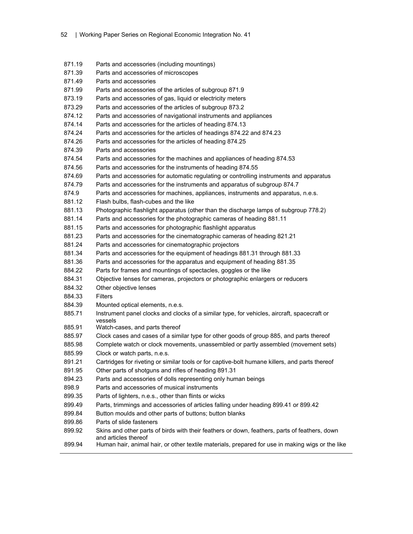871.19 Parts and accessories (including mountings) 871.39 Parts and accessories of microscopes 871.49 Parts and accessories 871.99 Parts and accessories of the articles of subgroup 871.9 873.19 Parts and accessories of gas, liquid or electricity meters 873.29 Parts and accessories of the articles of subgroup 873.2 874.12 Parts and accessories of navigational instruments and appliances 874.14 Parts and accessories for the articles of heading 874.13 874.24 Parts and accessories for the articles of headings 874.22 and 874.23 874.26 Parts and accessories for the articles of heading 874.25 874.39 Parts and accessories 874.54 Parts and accessories for the machines and appliances of heading 874.53 874.56 Parts and accessories for the instruments of heading 874.55 874.69 Parts and accessories for automatic regulating or controlling instruments and apparatus 874.79 Parts and accessories for the instruments and apparatus of subgroup 874.7 874.9 Parts and accessories for machines, appliances, instruments and apparatus, n.e.s. 881.12 Flash bulbs, flash-cubes and the like 881.13 Photographic flashlight apparatus (other than the discharge lamps of subgroup 778.2) 881.14 Parts and accessories for the photographic cameras of heading 881.11 881.15 Parts and accessories for photographic flashlight apparatus 881.23 Parts and accessories for the cinematographic cameras of heading 821.21 881.24 Parts and accessories for cinematographic projectors 881.34 Parts and accessories for the equipment of headings 881.31 through 881.33 881.36 Parts and accessories for the apparatus and equipment of heading 881.35 884.22 Parts for frames and mountings of spectacles, goggles or the like 884.31 Objective lenses for cameras, projectors or photographic enlargers or reducers 884.32 Other objective lenses 884.33 Filters 884.39 Mounted optical elements, n.e.s. 885.71 Instrument panel clocks and clocks of a similar type, for vehicles, aircraft, spacecraft or vessels 885.91 Watch-cases, and parts thereof 885.97 Clock cases and cases of a similar type for other goods of group 885, and parts thereof 885.98 Complete watch or clock movements, unassembled or partly assembled (movement sets) 885.99 Clock or watch parts, n.e.s. 891.21 Cartridges for riveting or similar tools or for captive-bolt humane killers, and parts thereof 891.95 Other parts of shotguns and rifles of heading 891.31 894.23 Parts and accessories of dolls representing only human beings 898.9 Parts and accessories of musical instruments 899.35 Parts of lighters, n.e.s., other than flints or wicks 899.49 Parts, trimmings and accessories of articles falling under heading 899.41 or 899.42 899.84 Button moulds and other parts of buttons; button blanks 899.86 Parts of slide fasteners 899.92 Skins and other parts of birds with their feathers or down, feathers, parts of feathers, down and articles thereof 899.94 Human hair, animal hair, or other textile materials, prepared for use in making wigs or the like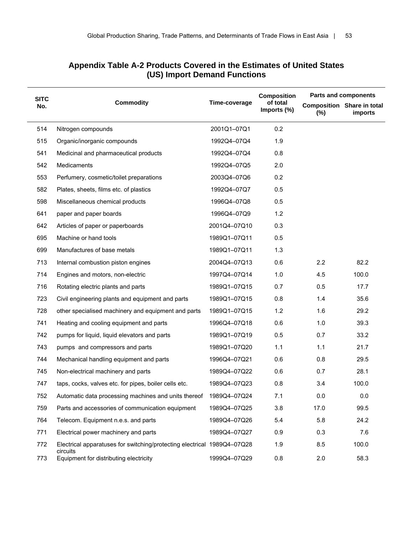| <b>SITC</b> |                                                                                     |               | <b>Composition</b>      | <b>Parts and components</b> |                                              |
|-------------|-------------------------------------------------------------------------------------|---------------|-------------------------|-----------------------------|----------------------------------------------|
| No.         | <b>Commodity</b>                                                                    | Time-coverage | of total<br>Imports (%) | $(\%)$                      | <b>Composition</b> Share in total<br>imports |
| 514         | Nitrogen compounds                                                                  | 2001Q1-07Q1   | 0.2                     |                             |                                              |
| 515         | Organic/inorganic compounds                                                         | 1992Q4-07Q4   | 1.9                     |                             |                                              |
| 541         | Medicinal and pharmaceutical products                                               | 1992Q4-07Q4   | 0.8                     |                             |                                              |
| 542         | Medicaments                                                                         | 1992Q4-07Q5   | 2.0                     |                             |                                              |
| 553         | Perfumery, cosmetic/toilet preparations                                             | 2003Q4-07Q6   | 0.2                     |                             |                                              |
| 582         | Plates, sheets, films etc. of plastics                                              | 1992Q4-07Q7   | 0.5                     |                             |                                              |
| 598         | Miscellaneous chemical products                                                     | 1996Q4-07Q8   | 0.5                     |                             |                                              |
| 641         | paper and paper boards                                                              | 1996Q4-07Q9   | $1.2$                   |                             |                                              |
| 642         | Articles of paper or paperboards                                                    | 2001Q4-07Q10  | 0.3                     |                             |                                              |
| 695         | Machine or hand tools                                                               | 1989Q1-07Q11  | 0.5                     |                             |                                              |
| 699         | Manufactures of base metals                                                         | 1989Q1-07Q11  | 1.3                     |                             |                                              |
| 713         | Internal combustion piston engines                                                  | 2004Q4-07Q13  | 0.6                     | 2.2                         | 82.2                                         |
| 714         | Engines and motors, non-electric                                                    | 1997Q4-07Q14  | 1.0                     | 4.5                         | 100.0                                        |
| 716         | Rotating electric plants and parts                                                  | 1989Q1-07Q15  | 0.7                     | 0.5                         | 17.7                                         |
| 723         | Civil engineering plants and equipment and parts                                    | 1989Q1-07Q15  | 0.8                     | 1.4                         | 35.6                                         |
| 728         | other specialised machinery and equipment and parts                                 | 1989Q1-07Q15  | $1.2$                   | 1.6                         | 29.2                                         |
| 741         | Heating and cooling equipment and parts                                             | 1996Q4-07Q18  | 0.6                     | 1.0                         | 39.3                                         |
| 742         | pumps for liquid, liquid elevators and parts                                        | 1989Q1-07Q19  | 0.5                     | 0.7                         | 33.2                                         |
| 743         | pumps and compressors and parts                                                     | 1989Q1-07Q20  | 1.1                     | 1.1                         | 21.7                                         |
| 744         | Mechanical handling equipment and parts                                             | 1996Q4-07Q21  | 0.6                     | 0.8                         | 29.5                                         |
| 745         | Non-electrical machinery and parts                                                  | 1989Q4-07Q22  | 0.6                     | 0.7                         | 28.1                                         |
| 747         | taps, cocks, valves etc. for pipes, boiler cells etc.                               | 1989Q4-07Q23  | 0.8                     | 3.4                         | 100.0                                        |
| 752         | Automatic data processing machines and units thereof                                | 1989Q4-07Q24  | 7.1                     | 0.0                         | $0.0\,$                                      |
| 759         | Parts and accessories of communication equipment                                    | 1989Q4-07Q25  | 3.8                     | 17.0                        | 99.5                                         |
| 764         | Telecom. Equipment n.e.s. and parts                                                 | 1989Q4-07Q26  | 5.4                     | 5.8                         | 24.2                                         |
| 771         | Electrical power machinery and parts                                                | 1989Q4-07Q27  | 0.9                     | 0.3                         | 7.6                                          |
| 772         | Electrical apparatuses for switching/protecting electrical 1989Q4-07Q28<br>circuits |               | 1.9                     | 8.5                         | 100.0                                        |
| 773         | Equipment for distributing electricity                                              | 1999Q4-07Q29  | 0.8                     | 2.0                         | 58.3                                         |

## **Appendix Table A-2 Products Covered in the Estimates of United States (US) Import Demand Functions**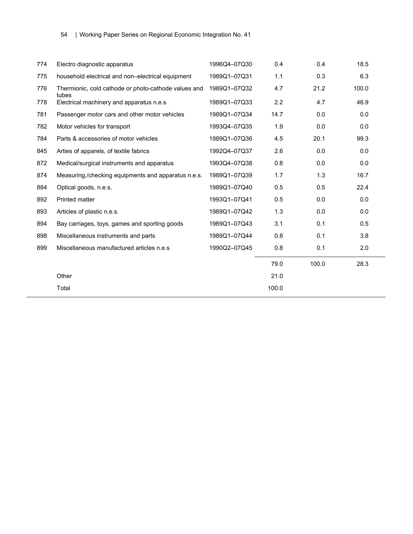54 | Working Paper Series on Regional Economic Integration No. 41

| 774 | Electro diagnostic apparatus                                  | 1996Q4-07Q30 | 0.4   | 0.4   | 18.5  |
|-----|---------------------------------------------------------------|--------------|-------|-------|-------|
| 775 | household electrical and non-electrical equipment             | 1989Q1-07Q31 | 1.1   | 0.3   | 6.3   |
| 776 | Thermionic, cold cathode or photo-cathode values and<br>tubes | 1989Q1-07Q32 | 4.7   | 21.2  | 100.0 |
| 778 | Electrical machinery and apparatus n.e.s                      | 1989Q1-07Q33 | 2.2   | 4.7   | 46.9  |
| 781 | Passenger motor cars and other motor vehicles                 | 1989Q1-07Q34 | 14.7  | 0.0   | 0.0   |
| 782 | Motor vehicles for transport                                  | 1993Q4-07Q35 | 1.9   | 0.0   | 0.0   |
| 784 | Parts & accessories of motor vehicles                         | 1989Q1-07Q36 | 4.5   | 20.1  | 99.3  |
| 845 | Arties of apparels, of textile fabrics                        | 1992Q4-07Q37 | 2.6   | 0.0   | 0.0   |
| 872 | Medical/surgical instruments and apparatus                    | 1993Q4-07Q38 | 0.8   | 0.0   | 0.0   |
| 874 | Measuring,/checking equipments and apparatus n.e.s.           | 1989Q1-07Q39 | 1.7   | 1.3   | 16.7  |
| 884 | Optical goods, n.e.s.                                         | 1989Q1-07Q40 | 0.5   | 0.5   | 22.4  |
| 892 | <b>Printed matter</b>                                         | 1993Q1-07Q41 | 0.5   | 0.0   | 0.0   |
| 893 | Articles of plastic n.e.s.                                    | 1989Q1-07Q42 | 1.3   | 0.0   | 0.0   |
| 894 | Bay carriages, toys, games and sporting goods                 | 1989Q1-07Q43 | 3.1   | 0.1   | 0.5   |
| 898 | Miscellaneous instruments and parts                           | 1989Q1-07Q44 | 0.8   | 0.1   | 3.8   |
| 899 | Miscellaneous manufactured articles n.e.s                     | 1990Q2-07Q45 | 0.8   | 0.1   | 2.0   |
|     |                                                               |              | 79.0  | 100.0 | 28.3  |
|     | Other                                                         |              | 21.0  |       |       |
|     | Total                                                         |              | 100.0 |       |       |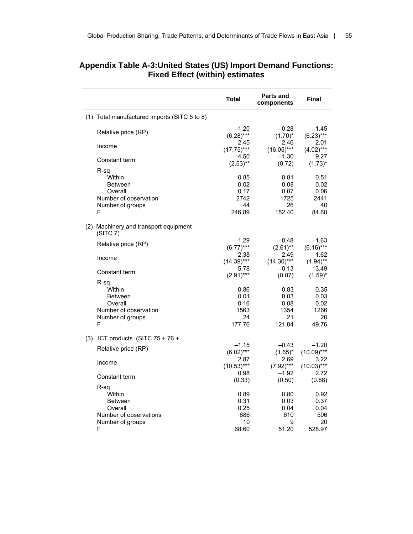|                                                                                               | <b>Total</b>                                 | <b>Parts and</b><br>components               | <b>Final</b>                                |
|-----------------------------------------------------------------------------------------------|----------------------------------------------|----------------------------------------------|---------------------------------------------|
| (1) Total manufactured imports (SITC 5 to 8)                                                  |                                              |                                              |                                             |
| Relative price (RP)                                                                           | $-1.20$<br>$(6.28)***$                       | $-0.28$<br>$(1.70)^*$                        | $-1.45$<br>$(6.23)***$                      |
| Income                                                                                        | 2.45<br>$(17.75)***$                         | 2.46<br>$(16.05)***$                         | 2.01<br>$(4.02)***$                         |
| Constant term                                                                                 | 4.50<br>$(2.53)$ **                          | $-1.30$<br>(0.72)                            | 9.27<br>$(1.73)^*$                          |
| R-sq<br>Within<br>Between<br>Overall<br>Number of observation<br>Number of groups<br>F        | 0.85<br>0.02<br>0.17<br>2742<br>44<br>246,89 | 0.81<br>0.08<br>0.07<br>1725<br>26<br>152.40 | 0.51<br>0.02<br>0.06<br>2441<br>40<br>84.60 |
| (2) Machinery and transport equipment<br>(SITC 7)                                             |                                              |                                              |                                             |
| Relative price (RP)                                                                           | $-1.29$<br>$(6.77)***$                       | $-0.48$<br>$(2.61)$ **                       | $-1.63$<br>$(6.16)***$                      |
| Income                                                                                        | 2.38<br>$(14.39)***$                         | 2.49<br>$(14.30)***$                         | 1.62<br>$(1.94)$ **                         |
| Constant term                                                                                 | 5.78<br>$(2.91)***$                          | $-0.13$<br>(0.07)                            | 13.49<br>$(1.59)^*$                         |
| R-sq<br>Within<br><b>Between</b><br>Overall<br>Number of observation<br>Number of groups<br>F | 0.86<br>0.01<br>0.16<br>1563<br>24<br>177.76 | 0.83<br>0.03<br>0.08<br>1354<br>21<br>121.84 | 0.35<br>0.03<br>0.02<br>1266<br>20<br>49.76 |
| (3) ICT products (SITC $75 + 76 +$                                                            |                                              |                                              |                                             |
| Relative price (RP)                                                                           | $-1.15$<br>$(6.02)***$<br>2.87               | $-0.43$<br>$(1.65)^*$<br>2.69                | $-1.20$<br>$(10.09)***$<br>3.22             |
| Income                                                                                        | $(10.53)***$<br>0.98                         | $(7.92)$ ***<br>$-1.92$                      | $(10.03)***$<br>2.72                        |
| Constant term                                                                                 | (0.33)                                       | (0.50)                                       | (0.88)                                      |
| R-sq<br>Within<br><b>Between</b><br>Overall                                                   | 0.89<br>0.31<br>0.25                         | 0.80<br>0.03<br>0.04                         | 0.92<br>0.37<br>0.04                        |
| Number of observations<br>Number of groups<br>F                                               | 686<br>10<br>68.60                           | 610<br>9<br>51.20                            | 506<br>20<br>528.97                         |

## **Appendix Table A-3:United States (US) Import Demand Functions: Fixed Effect (within) estimates**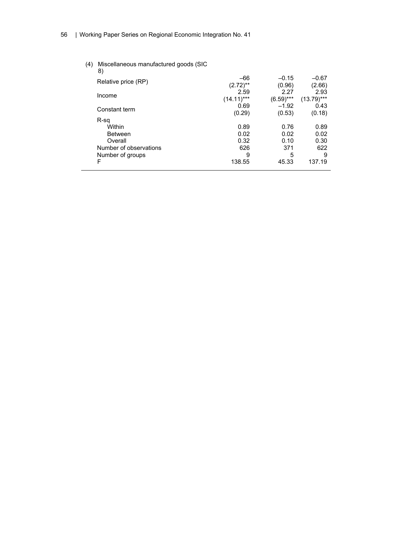| (4) Miscellaneous manufactured goods (SIC |
|-------------------------------------------|
| 8)                                        |

| O)                     |              |           |              |
|------------------------|--------------|-----------|--------------|
| Relative price (RP)    | -66          | $-0.15$   | $-0.67$      |
|                        | (2.72)**     | (0.96)    | (2.66)       |
|                        | 2.59         | 2.27      | 2.93         |
| Income                 | $(14.11)***$ | (6.59)*** | $(13.79)***$ |
|                        | 0.69         | $-1.92$   | 0.43         |
| Constant term          | (0.29)       | (0.53)    | (0.18)       |
| R-sa                   |              |           |              |
| Within                 | 0.89         | 0.76      | 0.89         |
| <b>Between</b>         | 0.02         | 0.02      | 0.02         |
| Overall                | 0.32         | 0.10      | 0.30         |
| Number of observations | 626          | 371       | 622          |
| Number of groups       | 9            | 5         | 9            |
| F                      | 138.55       | 45.33     | 137.19       |
|                        |              |           |              |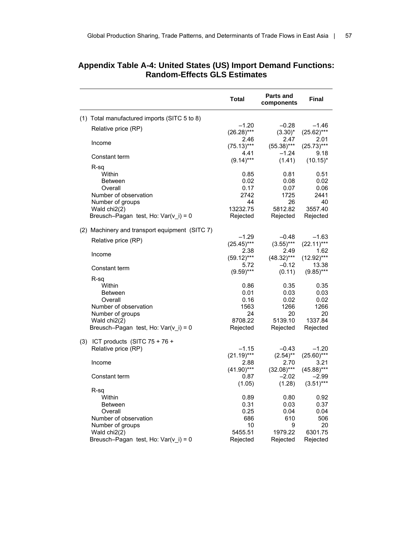|                                                      |                                                | Total                   | Parts and<br>components | Final                   |
|------------------------------------------------------|------------------------------------------------|-------------------------|-------------------------|-------------------------|
| $(1)$ Total manufactured imports (SITC 5 to 8)       |                                                |                         |                         |                         |
| Relative price (RP)                                  |                                                | $-1.20$<br>$(26.28)***$ | $-0.28$<br>$(3.30)^{*}$ | $-1.46$<br>$(25.62)***$ |
| Income                                               |                                                | 2.46<br>$(75.13)***$    | 2.47<br>$(55.38)***$    | 2.01<br>$(25.73)***$    |
| Constant term                                        |                                                | 4.41<br>$(9.14)$ ***    | $-1.24$<br>(1.41)       | 9.18<br>$(10.15)^*$     |
| R-sq                                                 |                                                |                         |                         |                         |
| Within                                               |                                                | 0.85                    | 0.81                    | 0.51                    |
| <b>Between</b>                                       |                                                | 0.02                    | 0.08                    | 0.02                    |
| Overall                                              |                                                | 0.17                    | 0.07                    | 0.06                    |
| Number of observation                                |                                                | 2742                    | 1725                    | 2441                    |
| Number of groups                                     |                                                | 44                      | 26                      | 40                      |
| Wald chi2(2)<br>Breusch-Pagan test, Ho: Var(v_i) = 0 |                                                | 13232.75<br>Rejected    | 5812.82<br>Rejected     | 3557.40<br>Rejected     |
|                                                      | (2) Machinery and transport equipment (SITC 7) |                         |                         |                         |
|                                                      |                                                | $-1.29$                 | $-0.48$                 | $-1.63$                 |
| Relative price (RP)                                  |                                                | $(25.45)***$            | $(3.55)***$             | $(22.11)***$            |
|                                                      |                                                | 2.38                    | 2.49                    | 1.62                    |
| Income                                               |                                                | $(59.12)***$            | $(48.32)***$            | $(12.92)***$            |
|                                                      |                                                | 5.72                    | $-0.12$                 | 13.38                   |
| Constant term                                        |                                                | $(9.59)$ ***            | (0.11)                  | $(9.85)***$             |
| R-sq                                                 |                                                |                         |                         |                         |
| Within                                               |                                                | 0.86                    | 0.35                    | 0.35                    |
| <b>Between</b>                                       |                                                | 0.01                    | 0.03                    | 0.03                    |
| Overall                                              |                                                | 0.16                    | 0.02                    | 0.02                    |
| Number of observation                                |                                                | 1563                    | 1266                    | 1266                    |
| Number of groups                                     |                                                | 24                      | 20                      | 20                      |
| Wald chi2(2)                                         |                                                | 8708.22                 | 5139.10                 | 1337.84                 |
| Breusch-Pagan test, Ho: Var(v i) = 0                 |                                                | Rejected                | Rejected                | Rejected                |
| $(3)$ ICT products $(SITC 75 + 76 +$                 |                                                |                         |                         |                         |
| Relative price (RP)                                  |                                                | $-1.15$                 | $-0.43$                 | $-1.20$                 |
|                                                      |                                                | $(21.19)***$            | $(2.54)$ **             | $(25.60)$ ***           |
| Income                                               |                                                | 2.88                    | 2.70                    | 3.21                    |
|                                                      |                                                | $(41.90)$ ***           | $(32.08)***$            | $(45.88)***$            |
| Constant term                                        |                                                | 0.87                    | $-2.02$                 | $-2.99$                 |
|                                                      |                                                | (1.05)                  | (1.28)                  | $(3.51)***$             |
| R-sq                                                 |                                                |                         |                         |                         |
| Within                                               |                                                | 0.89                    | 0.80                    | 0.92                    |
| <b>Between</b>                                       |                                                | 0.31                    | 0.03                    | 0.37                    |
| Overall                                              |                                                | 0.25                    | 0.04                    | 0.04                    |
| Number of observation                                |                                                | 686                     | 610                     | 506                     |
| Number of groups                                     |                                                | 10                      | 9                       | 20                      |
| Wald chi2(2)                                         |                                                | 5455.51                 | 1979.22                 | 6301.75                 |
| Breusch-Pagan test, Ho: $Var(v_i) = 0$               |                                                | Rejected                | Rejected                | Rejected                |

## **Appendix Table A-4: United States (US) Import Demand Functions: Random-Effects GLS Estimates**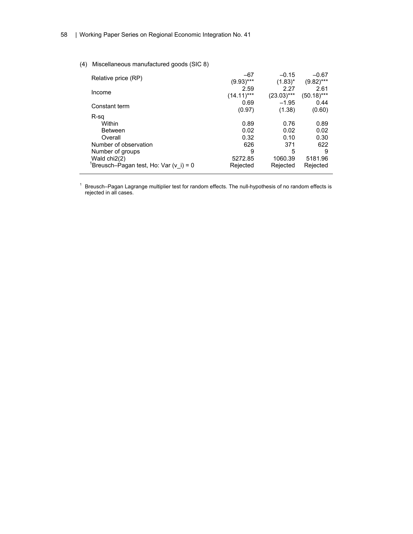(4) Miscellaneous manufactured goods (SIC 8)

| Relative price (RP)                                | $-67$        | $-0.15$      | $-0.67$     |
|----------------------------------------------------|--------------|--------------|-------------|
|                                                    | $(9.93)$ *** | $(1.83)^*$   | $(9.82)***$ |
| Income                                             | 2.59         | 2.27         | 2.61        |
|                                                    | $(14.11)***$ | $(23.03)***$ | (50.18)***  |
| Constant term                                      | 0.69         | $-1.95$      | 0.44        |
|                                                    | (0.97)       | (1.38)       | (0.60)      |
| R-sq                                               |              |              |             |
| Within                                             | 0.89         | 0.76         | 0.89        |
| <b>Between</b>                                     | 0.02         | 0.02         | 0.02        |
| Overall                                            | 0.32         | 0.10         | 0.30        |
| Number of observation                              | 626          | 371          | 622         |
| Number of groups                                   | 9            | 5            | 9           |
| Wald chi2(2)                                       | 5272.85      | 1060.39      | 5181.96     |
| <sup>1</sup> Breusch-Pagan test, Ho: Var (v i) = 0 | Rejected     | Rejected     | Rejected    |

 <sup>1</sup> Breusch–Pagan Lagrange multiplier test for random effects. The null-hypothesis of no random effects is rejected in all cases.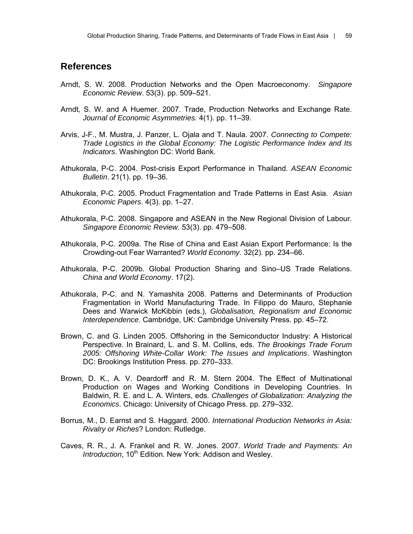## **References**

- Arndt, S. W. 2008. Production Networks and the Open Macroeconomy. *Singapore Economic Review*. 53(3). pp. 509–521.
- Arndt, S. W. and A Huemer. 2007. Trade, Production Networks and Exchange Rate. *Journal of Economic Asymmetries.* 4(1). pp. 11–39.
- Arvis, J-F., M. Mustra, J. Panzer, L. Ojala and T. Naula. 2007. *Connecting to Compete: Trade Logistics in the Global Economy: The Logistic Performance Index and Its Indicators*. Washington DC: World Bank.
- Athukorala, P-C. 2004. Post-crisis Export Performance in Thailand. *ASEAN Economic Bulletin*. 21(1). pp. 19–36.
- Athukorala, P-C. 2005. Product Fragmentation and Trade Patterns in East Asia. *Asian Economic Papers*. 4(3). pp. 1–27.
- Athukorala, P-C. 2008. Singapore and ASEAN in the New Regional Division of Labour. *Singapore Economic Review.* 53(3). pp. 479–508.
- Athukorala, P-C. 2009a. The Rise of China and East Asian Export Performance: Is the Crowding-out Fear Warranted? *World Economy.* 32(2). pp. 234–66.
- Athukorala, P-C. 2009b. Global Production Sharing and Sino–US Trade Relations. *China and World Economy*. 17(2).
- Athukorala, P-C. and N. Yamashita 2008. Patterns and Determinants of Production Fragmentation in World Manufacturing Trade. In Filippo do Mauro, Stephanie Dees and Warwick McKibbin (eds.), *Globalisation, Regionalism and Economic Interdependence*. Cambridge, UK: Cambridge University Press. pp. 45–72.
- Brown, C. and G. Linden 2005. Offshoring in the Semiconductor Industry: A Historical Perspective. In Brainard, L. and S. M. Collins, eds. *The Brookings Trade Forum 2005: Offshoring White-Collar Work: The Issues and Implications*. Washington DC: Brookings Institution Press. pp. 270–333.
- Brown, D. K., A. V. Deardorff and R. M. Stern 2004. The Effect of Multinational Production on Wages and Working Conditions in Developing Countries. In Baldwin, R. E. and L. A. Winters, eds. *Challenges of Globalization: Analyzing the Economics*. Chicago: University of Chicago Press. pp. 279–332.
- Borrus, M., D. Earnst and S. Haggard. 2000. *International Production Networks in Asia: Rivalry or Riches*? London: Rutledge.
- Caves, R. R., J. A. Frankel and R. W. Jones. 2007. *World Trade and Payments: An Introduction*, 10<sup>th</sup> Edition. New York: Addison and Wesley.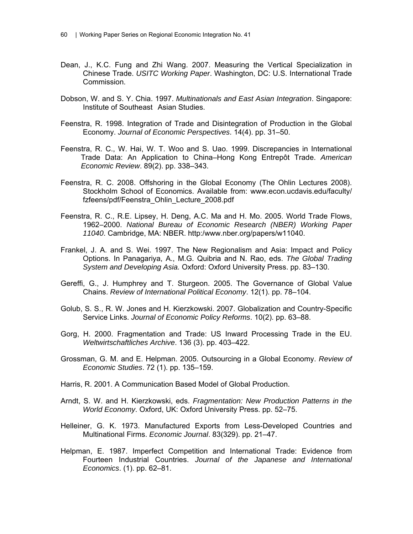- Dean, J., K.C. Fung and Zhi Wang. 2007. Measuring the Vertical Specialization in Chinese Trade. *USITC Working Paper*. Washington, DC: U.S. International Trade Commission.
- Dobson, W. and S. Y. Chia. 1997. *Multinationals and East Asian Integration*. Singapore: Institute of Southeast Asian Studies.
- Feenstra, R. 1998. Integration of Trade and Disintegration of Production in the Global Economy. *Journal of Economic Perspectives*. 14(4). pp. 31–50.
- Feenstra, R. C., W. Hai, W. T. Woo and S. Uao. 1999. Discrepancies in International Trade Data: An Application to China–Hong Kong Entrepôt Trade. *American Economic Review*. 89(2). pp. 338–343.
- Feenstra, R. C. 2008. Offshoring in the Global Economy (The Ohlin Lectures 2008). Stockholm School of Economics. Available from: www.econ.ucdavis.edu/faculty/ fzfeens/pdf/Feenstra\_Ohlin\_Lecture\_2008.pdf
- Feenstra, R. C., R.E. Lipsey, H. Deng, A.C. Ma and H. Mo. 2005. World Trade Flows, 1962–2000. *National Bureau of Economic Research (NBER) Working Paper 11040*. Cambridge, MA: NBER. http:/www.nber.org/papers/w11040.
- Frankel, J. A. and S. Wei. 1997. The New Regionalism and Asia: Impact and Policy Options. In Panagariya, A., M.G. Quibria and N. Rao, eds. *The Global Trading System and Developing Asia.* Oxford: Oxford University Press. pp. 83–130.
- Gereffi, G., J. Humphrey and T. Sturgeon. 2005. The Governance of Global Value Chains. *Review of International Political Economy*. 12(1). pp. 78–104.
- Golub, S. S., R. W. Jones and H. Kierzkowski. 2007. Globalization and Country-Specific Service Links. *Journal of Economic Policy Reforms*. 10(2). pp. 63–88.
- Gorg, H. 2000. Fragmentation and Trade: US Inward Processing Trade in the EU. *Weltwirtschaftliches Archive*. 136 (3). pp. 403–422.
- Grossman, G. M. and E. Helpman. 2005. Outsourcing in a Global Economy. *Review of Economic Studies*. 72 (1). pp. 135–159.
- Harris, R. 2001. A Communication Based Model of Global Production.
- Arndt, S. W. and H. Kierzkowski, eds. *Fragmentation: New Production Patterns in the World Economy*. Oxford, UK: Oxford University Press. pp. 52–75.
- Helleiner, G. K. 1973. Manufactured Exports from Less-Developed Countries and Multinational Firms. *Economic Journal*. 83(329). pp. 21–47.
- Helpman, E. 1987. Imperfect Competition and International Trade: Evidence from Fourteen Industrial Countries. *Journal of the Japanese and International Economics*. (1). pp. 62–81.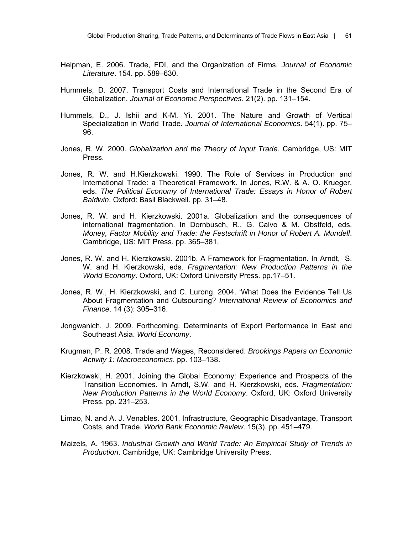- Helpman, E. 2006. Trade, FDI, and the Organization of Firms. *Journal of Economic Literature*. 154. pp. 589–630.
- Hummels, D. 2007. Transport Costs and International Trade in the Second Era of Globalization. *Journal of Economic Perspectives*. 21(2). pp. 131–154.
- Hummels, D., J. Ishii and K-M. Yi. 2001. The Nature and Growth of Vertical Specialization in World Trade. *Journal of International Economics*. 54(1). pp. 75– 96.
- Jones, R. W. 2000. *Globalization and the Theory of Input Trade*. Cambridge, US: MIT Press.
- Jones, R. W. and H.Kierzkowski. 1990. The Role of Services in Production and International Trade: a Theoretical Framework. In Jones, R.W. & A. O. Krueger, eds. *The Political Economy of International Trade: Essays in Honor of Robert Baldwin*. Oxford: Basil Blackwell. pp. 31–48.
- Jones, R. W. and H. Kierzkowski. 2001a. Globalization and the consequences of international fragmentation. In Dornbusch, R., G. Calvo & M. Obstfeld, eds. *Money, Factor Mobility and Trade: the Festschrift in Honor of Robert A. Mundell*. Cambridge, US: MIT Press. pp. 365–381.
- Jones, R. W. and H. Kierzkowski. 2001b. A Framework for Fragmentation. In Arndt, S. W. and H. Kierzkowski, eds. *Fragmentation: New Production Patterns in the World Economy*. Oxford, UK: Oxford University Press. pp.17–51.
- Jones, R. W., H. Kierzkowski, and C. Lurong. 2004. 'What Does the Evidence Tell Us About Fragmentation and Outsourcing? *International Review of Economics and Finance*. 14 (3): 305–316.
- Jongwanich, J. 2009. Forthcoming. Determinants of Export Performance in East and Southeast Asia. *World Economy*.
- Krugman, P. R. 2008. Trade and Wages, Reconsidered. *Brookings Papers on Economic Activity 1: Macroeconomics*. pp. 103–138.
- Kierzkowski, H. 2001. Joining the Global Economy: Experience and Prospects of the Transition Economies. In Arndt, S.W. and H. Kierzkowski, eds. *Fragmentation: New Production Patterns in the World Economy*. Oxford, UK: Oxford University Press. pp. 231–253.
- Limao, N. and A. J. Venables. 2001. Infrastructure, Geographic Disadvantage, Transport Costs, and Trade. *World Bank Economic Review*. 15(3). pp. 451–479.
- Maizels, A. 1963. *Industrial Growth and World Trade: An Empirical Study of Trends in Production*. Cambridge, UK: Cambridge University Press.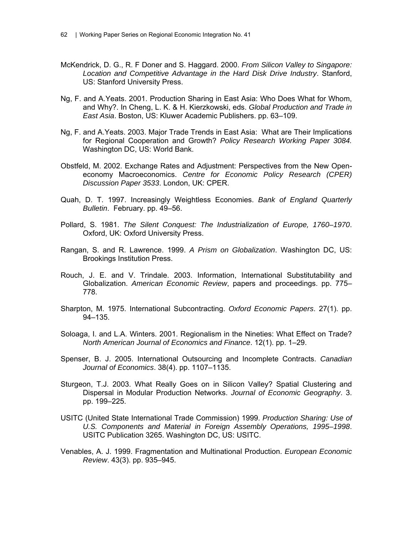- McKendrick, D. G., R. F Doner and S. Haggard. 2000. *From Silicon Valley to Singapore: Location and Competitive Advantage in the Hard Disk Drive Industry*. Stanford, US: Stanford University Press.
- Ng, F. and A.Yeats. 2001. Production Sharing in East Asia: Who Does What for Whom, and Why?. In Cheng, L. K. & H. Kierzkowski, eds. *Global Production and Trade in East Asia*. Boston, US: Kluwer Academic Publishers. pp. 63–109.
- Ng, F. and A.Yeats. 2003. Major Trade Trends in East Asia: What are Their Implications for Regional Cooperation and Growth? *Policy Research Working Paper 3084.* Washington DC, US: World Bank.
- Obstfeld, M. 2002. Exchange Rates and Adjustment: Perspectives from the New Openeconomy Macroeconomics. *Centre for Economic Policy Research (CPER) Discussion Paper 3533*. London, UK: CPER.
- Quah, D. T. 1997. Increasingly Weightless Economies. *Bank of England Quarterly Bulletin*. February. pp. 49–56.
- Pollard, S. 1981. *The Silent Conquest: The Industrialization of Europe, 1760–1970*. Oxford, UK: Oxford University Press.
- Rangan, S. and R. Lawrence. 1999. *A Prism on Globalization*. Washington DC, US: Brookings Institution Press.
- Rouch, J. E. and V. Trindale. 2003. Information, International Substitutability and Globalization. *American Economic Review*, papers and proceedings. pp. 775– 778.
- Sharpton, M. 1975. International Subcontracting. *Oxford Economic Papers*. 27(1). pp. 94–135.
- Soloaga, I. and L.A. Winters. 2001. Regionalism in the Nineties: What Effect on Trade? *North American Journal of Economics and Finance*. 12(1). pp. 1–29.
- Spenser, B. J. 2005. International Outsourcing and Incomplete Contracts. *Canadian Journal of Economics*. 38(4). pp. 1107–1135.
- Sturgeon, T.J. 2003. What Really Goes on in Silicon Valley? Spatial Clustering and Dispersal in Modular Production Networks. *Journal of Economic Geography*. 3. pp. 199–225.
- USITC (United State International Trade Commission) 1999. *Production Sharing: Use of U.S. Components and Material in Foreign Assembly Operations, 1995–1998*. USITC Publication 3265. Washington DC, US: USITC.
- Venables, A. J. 1999. Fragmentation and Multinational Production. *European Economic Review*. 43(3). pp. 935–945.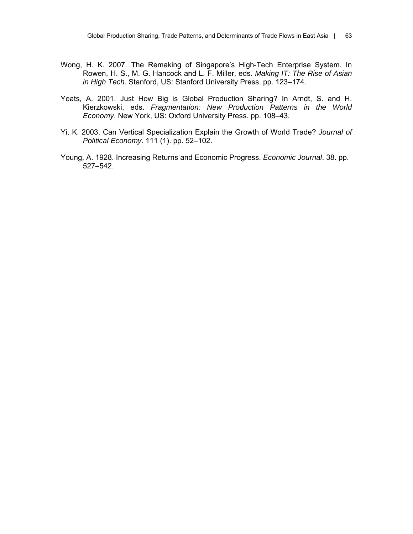- Wong, H. K. 2007. The Remaking of Singapore's High-Tech Enterprise System. In Rowen, H. S., M. G. Hancock and L. F. Miller, eds. *Making IT: The Rise of Asian in High Tech*. Stanford, US: Stanford University Press. pp. 123–174.
- Yeats, A. 2001. Just How Big is Global Production Sharing? In Arndt, S. and H. Kierzkowski, eds. *Fragmentation: New Production Patterns in the World Economy*. New York, US: Oxford University Press. pp. 108–43.
- Yi, K. 2003. Can Vertical Specialization Explain the Growth of World Trade? *Journal of Political Economy*. 111 (1). pp. 52–102.
- Young, A. 1928. Increasing Returns and Economic Progress. *Economic Journal*. 38. pp. 527–542.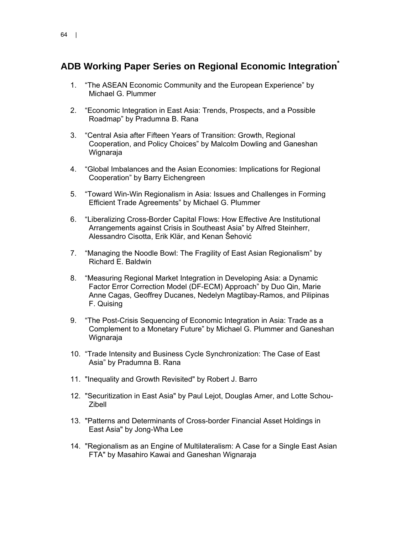## **ADB Working Paper Series on Regional Economic Integration\***

- 1. "The ASEAN Economic Community and the European Experience" by Michael G. Plummer
- 2. "Economic Integration in East Asia: Trends, Prospects, and a Possible Roadmap" by Pradumna B. Rana
- 3. "Central Asia after Fifteen Years of Transition: Growth, Regional Cooperation, and Policy Choices" by Malcolm Dowling and Ganeshan Wignaraja
- 4. "Global Imbalances and the Asian Economies: Implications for Regional Cooperation" by Barry Eichengreen
- 5. "Toward Win-Win Regionalism in Asia: Issues and Challenges in Forming Efficient Trade Agreements" by Michael G. Plummer
- 6. "Liberalizing Cross-Border Capital Flows: How Effective Are Institutional Arrangements against Crisis in Southeast Asia" by Alfred Steinherr, Alessandro Cisotta, Erik Klär, and Kenan Šehović
- 7. "Managing the Noodle Bowl: The Fragility of East Asian Regionalism" by Richard E. Baldwin
- 8. "Measuring Regional Market Integration in Developing Asia: a Dynamic Factor Error Correction Model (DF-ECM) Approach" by Duo Qin, Marie Anne Cagas, Geoffrey Ducanes, Nedelyn Magtibay-Ramos, and Pilipinas F. Quising
- 9. "The Post-Crisis Sequencing of Economic Integration in Asia: Trade as a Complement to a Monetary Future" by Michael G. Plummer and Ganeshan Wignaraja
- 10. "Trade Intensity and Business Cycle Synchronization: The Case of East Asia" by Pradumna B. Rana
- 11. "Inequality and Growth Revisited" by Robert J. Barro
- 12. "Securitization in East Asia" by Paul Lejot, Douglas Arner, and Lotte Schou-Zibell
- 13. "Patterns and Determinants of Cross-border Financial Asset Holdings in East Asia" by Jong-Wha Lee
- 14. "Regionalism as an Engine of Multilateralism: A Case for a Single East Asian FTA" by Masahiro Kawai and Ganeshan Wignaraja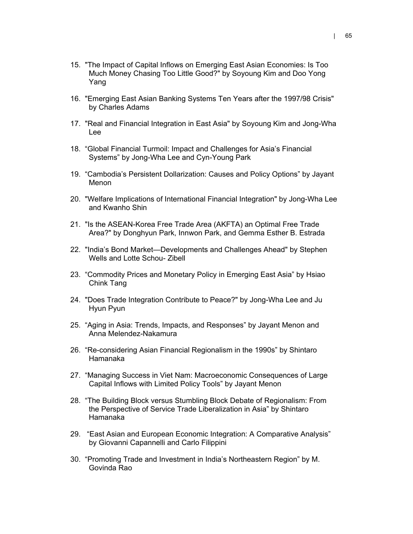- 15. "The Impact of Capital Inflows on Emerging East Asian Economies: Is Too Much Money Chasing Too Little Good?" by Soyoung Kim and Doo Yong Yang
- 16. "Emerging East Asian Banking Systems Ten Years after the 1997/98 Crisis" by Charles Adams
- 17. "Real and Financial Integration in East Asia" by Soyoung Kim and Jong-Wha Lee
- 18. "Global Financial Turmoil: Impact and Challenges for Asia's Financial Systems" by Jong-Wha Lee and Cyn-Young Park
- 19. "Cambodia's Persistent Dollarization: Causes and Policy Options" by Jayant Menon
- 20. "Welfare Implications of International Financial Integration" by Jong-Wha Lee and Kwanho Shin
- 21. "Is the ASEAN-Korea Free Trade Area (AKFTA) an Optimal Free Trade Area?" by Donghyun Park, Innwon Park, and Gemma Esther B. Estrada
- 22. "India's Bond Market—Developments and Challenges Ahead" by Stephen Wells and Lotte Schou- Zibell
- 23. "Commodity Prices and Monetary Policy in Emerging East Asia" by Hsiao Chink Tang
- 24. "Does Trade Integration Contribute to Peace?" by Jong-Wha Lee and Ju Hyun Pyun
- 25. "Aging in Asia: Trends, Impacts, and Responses" by Jayant Menon and Anna Melendez-Nakamura
- 26. "Re-considering Asian Financial Regionalism in the 1990s" by Shintaro Hamanaka
- 27. "Managing Success in Viet Nam: Macroeconomic Consequences of Large Capital Inflows with Limited Policy Tools" by Jayant Menon
- 28. "The Building Block versus Stumbling Block Debate of Regionalism: From the Perspective of Service Trade Liberalization in Asia" by Shintaro Hamanaka
- 29. "East Asian and European Economic Integration: A Comparative Analysis" by Giovanni Capannelli and Carlo Filippini
- 30. "Promoting Trade and Investment in India's Northeastern Region" by M. Govinda Rao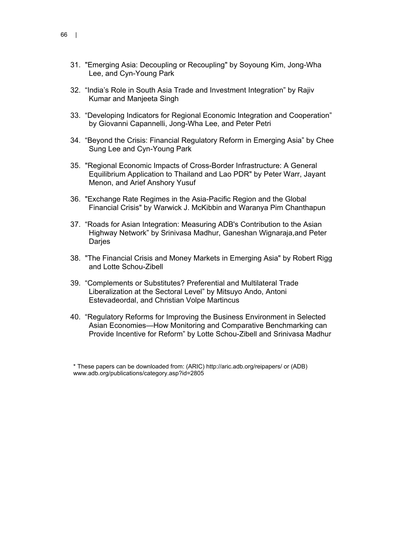- 31. "Emerging Asia: Decoupling or Recoupling" by Soyoung Kim, Jong-Wha Lee, and Cyn-Young Park
- 32. "India's Role in South Asia Trade and Investment Integration" by Rajiv Kumar and Manjeeta Singh
- 33. "Developing Indicators for Regional Economic Integration and Cooperation" by Giovanni Capannelli, Jong-Wha Lee, and Peter Petri
- 34. "Beyond the Crisis: Financial Regulatory Reform in Emerging Asia" by Chee Sung Lee and Cyn-Young Park
- 35. "Regional Economic Impacts of Cross-Border Infrastructure: A General Equilibrium Application to Thailand and Lao PDR" by Peter Warr, Jayant Menon, and Arief Anshory Yusuf
- 36. "Exchange Rate Regimes in the Asia-Pacific Region and the Global Financial Crisis" by Warwick J. McKibbin and Waranya Pim Chanthapun
- 37. "Roads for Asian Integration: Measuring ADB's Contribution to the Asian Highway Network" by Srinivasa Madhur, Ganeshan Wignaraja,and Peter **Daries**
- 38. "The Financial Crisis and Money Markets in Emerging Asia" by Robert Rigg and Lotte Schou-Zibell
- 39. "Complements or Substitutes? Preferential and Multilateral Trade Liberalization at the Sectoral Level" by Mitsuyo Ando, Antoni Estevadeordal, and Christian Volpe Martincus
- 40. "Regulatory Reforms for Improving the Business Environment in Selected Asian Economies—How Monitoring and Comparative Benchmarking can Provide Incentive for Reform" by Lotte Schou-Zibell and Srinivasa Madhur

<sup>\*</sup> These papers can be downloaded from: (ARIC) http://aric.adb.org/reipapers/ or (ADB) www.adb.org/publications/category.asp?id=2805